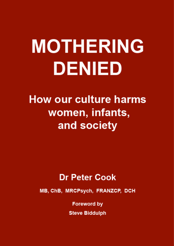# **MOTHERING DENIED**

## **How our culture harms** women, infants, and society

### **Dr Peter Cook**

MB, ChB, MRCPsych, FRANZCP, DCH

**Foreword by Steve Biddulph**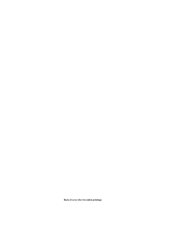**Back of cover (for two-sided printing)**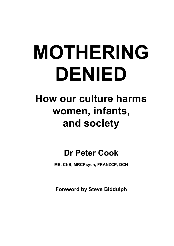# **MOTHERING DENIED**

## **How our culture harms women, infants, and society**

## **Dr Peter Cook**

**MB, ChB, MRCPsych, FRANZCP, DCH** 

**Foreword by Steve Biddulph**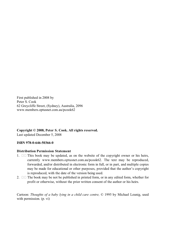First published in 2008 by Peter S. Cook 62 Greycliffe Street, (Sydney), Australia, 2096 www.members.optusnet.com.au/pcook62

**Copyright © 2008, Peter S. Cook. All rights reserved.**  Last updated December 5, 2008

#### **ISBN 978-0-646-50366-0**

#### **Distribution Permission Statement**

- 1.  $\Box$  This book may be updated, as on the website of the copyright owner or his heirs, currently www.members.optusnet.com.au/pcook62. The text may be reproduced, forwarded, and/or distributed in electronic form in full, or in part, and multiple copies may be made for educational or other purposes, provided that the author's copyright is reproduced, with the date of the version being used.
- 2.  $\Box$  The book may be not be published in printed form, or in any edited form, whether for profit or otherwise, without the prior written consent of the author or his heirs.

Cartoon: *Thoughts of a baby lying in a child care centre,* © 1995 by Michael Leunig, used with permission*.* (p. vi)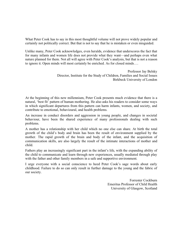What Peter Cook has to say in this most thoughtful volume will not prove widely popular and certainly not politically correct. But that is not to say that he is mistaken or even misguided.

Unlike many, Peter Cook acknowledges, even heralds, evidence that underscores the fact that for many infants and women life does not provide what they want—and perhaps even what nature planned for them. Not all will agree with Peter Cook's analysis, but that is not a reason to ignore it. Open minds will most certainly be enriched. As for closed minds….

> Professor Jay Belsky Director, Institute for the Study of Children, Families and Social Issues Birkbeck University of London

At the beginning of this new millennium, Peter Cook presents much evidence that there is a natural, 'best fit' pattern of human mothering. He also asks his readers to consider some ways in which significant departures from this pattern can harm infants, women, and society, and contribute to emotional, behavioural, and health problems.

An increase in conduct disorders and aggression in young people, and changes in societal behaviour, have been the shared experience of many professionals dealing with such problems.

A mother has a relationship with her child which no one else can share. At birth the total growth of the child's body and brain has been the result of environment supplied by the mother. The rapid growth of the brain and body of the infant, and the acquisition of communication skills, are also largely the result of the intimate interactions of mother and child.

Fathers play an increasingly significant part in the infant's life, with the expanding ability of the child to communicate and learn through new experiences, usually mediated through play with the father and other family members in a safe and supportive environment.

I urge everyone with a social conscience to heed Peter Cook's sage words about early childhood. Failure to do so can only result in further damage to the young and the fabric of our society.

> Forrester Cockburn Emeritus Professor of Child Health University of Glasgow, Scotland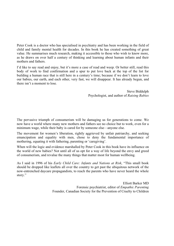Peter Cook is a doctor who has specialised in psychiatry and has been working in the field of child and family mental health for decades. In this book he has created something of great value. He summarises much research, making it accessible to those who wish to know more, as he draws on over half a century of thinking and learning about human infants and their mothers and fathers.

I'd like to say read and enjoy, but it's more a case of read and weep. Or better still, read this body of work to find confirmation and a spur to put love back at the top of the list for building a human race that is still here in a century's time; because if we don't learn to love our babies, our earth, and each other, very fast, we will disappear. It has already begun, and there isn't a moment to lose.

> Steve Biddulph Psychologist, and author of *Raising Babies*

The pervasive triumph of consumerism will be damaging us for generations to come. We now have a world where many new mothers and fathers see no choice but to work, even for a minimum wage, while their baby is cared for by someone else—anyone else.

The movement for women's liberation, rightly aggrieved by unfair patriarchy, and seeking emancipation and equality with men, chose to deny the fundamental importance of mothering, equating it with fathering, parenting or 'caregiving'.

When will the logic and evidence marshalled by Peter Cook in this book have its influence on the world of new babies? Not until all of us opt for a way of life beyond the envy and greed of consumerism, and revalue the many things that matter most for human wellbeing.

As I said in 1996 of his *Early Child Care: Infants and Nations at Risk*, "This small book should be dropped like leaflets all over the country to get past the ubiquitous network of the now-entrenched daycare propagandists, to reach the parents who have never heard the whole story."

> Elliott Barker MD Forensic psychiatrist, editor of *Empathic Parenting* Founder, Canadian Society for the Prevention of Cruelty to Children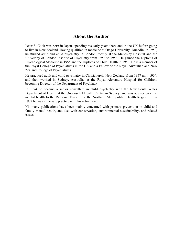#### **About the Author**

Peter S. Cook was born in Japan, spending his early years there and in the UK before going to live in New Zealand. Having qualified in medicine at Otago University, Dunedin, in 1950, he studied adult and child psychiatry in London, mostly at the Maudsley Hospital and the University of London Institute of Psychiatry from 1952 to 1956. He gained the Diploma of Psychological Medicine in 1955 and the Diploma of Child Health in 1956. He is a member of the Royal College of Psychiatrists in the UK and a Fellow of the Royal Australian and New Zealand College of Psychiatrists.

He practiced adult and child psychiatry in Christchurch, New Zealand, from 1957 until 1964, and then worked in Sydney, Australia, at the Royal Alexandra Hospital for Children, becoming Director of the Department of Psychiatry.

In 1974 he became a senior consultant in child psychiatry with the New South Wales Department of Health at the Queenscliff Health Centre in Sydney, and was adviser on child mental health to the Regional Director of the Northern Metropolitan Health Region. From 1982 he was in private practice until his retirement.

His many publications have been mainly concerned with primary prevention in child and family mental health, and also with conservation, environmental sustainability, and related issues.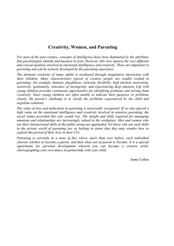#### **Creativity, Women, and Parenting**

*For most of the past century, concepts of intelligence have been dominated by the attributes that psychologists identify and measure in tests. However, this view ignores the very different and crucial qualities involved in emotional intelligence and creativity. These are important in parenting and can be actively developed by the parenting experience.* 

*The dormant creativity of many adults is awakened through imaginative interaction with their children. Many characteristics typical of creative people are readily evoked in parenting—for example, humour, playfulness, curiosity, flexibility, high intrinsic motivation, sensitivity, spontaneity, tolerance of incongruity, and experiencing deep emotion. Life with young children provides continuous opportunities for identifying problems and solving them creatively. Since young children are often unable to indicate their purposes or problems clearly, the parent's challenge is to clarify the problems experienced by the child and negotiate solutions.* 

*The value of love and dedication in parenting is universally recognised. If we also placed a high value on the emotional intelligence and creativity involved in sensitive parenting, the social status accorded this role would rise. The insight and skills required for managing emotions and relationships are increasingly valued in the workplace. Men and women who use their interpersonal skills in the public arena are applauded. Yet those who use such skills*  in the private world of parenting are so lacking in status that they may wonder how to *explain this period of their lives in their CVs.*

*Parenting is currently in a state of flux where, more than ever before, each individual chooses whether to become a parent, and then what sort of parent to become. It is a special opportunity for personal development wherein you can become a creative artist, choreographing your own dance in partnership with your child.* 

Jenny Cullen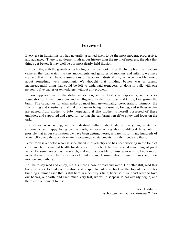#### **Foreword**

Every era in human history has naturally assumed itself to be the most modern, progressive, and advanced. There is no deeper myth in our history than the myth of progress, the idea that things get better. It may well be our most dearly-held illusion.

Just recently, with the growth of technologies that can look inside the living brain, and videocameras that can watch the tiny movements and gestures of mothers and infants, we have realized that in our basic assumptions of Western industrial life, we were terribly wrong about something very important. We thought that minding babies was a casual, inconsequential thing that could be left to underpaid teenagers, or done in bulk with one person to five babies or ten toddlers, without any problem.

It now appears that mother-baby interaction, in the first year especially, is the very foundation of human emotions and intelligence. In the most essential terms, love grows the brain. The capacities for what make us most human—empathy, co-operation, intimacy, the fine timing and sensitivity that makes a human being charismatic, loving, and self-assured are passed from mother to baby, especially if that mother is herself possessed of these qualities, and supported and cared for, so that she can bring herself to enjoy and focus on the task.

Just as we were wrong, in our industrial culture, about almost everything related to sustainable and happy living on this earth, we were wrong about childhood. It is entirely possible that in our civilisation we have been getting worse, as parents, for many hundreds of years. Of course these are dramatic, sweeping overstatements. But the trends are there.

Peter Cook is a doctor who has specialised in psychiatry and has been working in the field of child and family mental health for decades. In this book he has created something of great value. He summarises much research, making it accessible to those who wish to know more, as he draws on over half a century of thinking and learning about human infants and their mothers and fathers.

I'd like to say read and enjoy, but it's more a case of read and weep. Or better still, read this body of work to find confirmation and a spur to put love back at the top of the list for building a human race that is still here in a century's time; because if we don't learn to love our babies, our earth, and each other, very fast, we will disappear. It has already begun, and there isn't a moment to lose.

> Steve Biddulph Psychologist and author, *Raising Babies*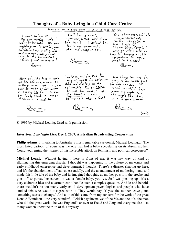© 1995 by Michael Leunig. Used with permission.

#### **Interview:** *Late Night Live***: Dec 5, 2007, Australian Broadcasting Corporation**

**Philip Adams:** I'm talking to Australia's most remarkable cartoonist, Michael Leunig.… The most hated cartoon of yours was the one that had a baby speculating on its absent mother. Could you remind the listener of this incredible attack on feminism and political correctness?

**Michael Leunig:** Without having it here in front of me, it was my way of kind of illuminating this emerging disaster I thought was happening in the culture of maternity and early childhood emergence and development. I thought 'There's a disaster shaping up here, and it's the abandonment of babies, essentially, and the abandonment of mothering,' and so I made this little tale of the baby and its imagined thoughts, as mother puts it in the crèche and goes off to pursue her career—it was a female baby, you see. So I was picking up—it's a very elaborate idea and a cartoon can't handle such a complex question. And lo and behold, there wouldn't be too many early child development psychologists and people who have studied this who would disagree with it. They would say 'Y-yes; the mother leaves, and something starts to change.' And a lot of this came from my concern for the work of the great Donald Winnicott—the very wonderful British psychoanalyst of the 50s and the 40s, the man who did the great work—he was England's answer to Freud and Jung and everyone else—so many women know the truth of this anyway.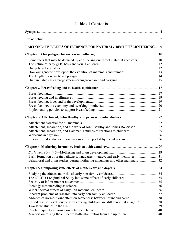#### **Table of Contents**

| PART ONE: FIVE LINES OF EVIDENCE FOR NATURAL, 'BEST-FIT' MOTHERING 9                   |  |
|----------------------------------------------------------------------------------------|--|
|                                                                                        |  |
| Some facts that may be deduced by considering our direct maternal ancestors  10        |  |
|                                                                                        |  |
|                                                                                        |  |
|                                                                                        |  |
|                                                                                        |  |
|                                                                                        |  |
|                                                                                        |  |
|                                                                                        |  |
|                                                                                        |  |
|                                                                                        |  |
|                                                                                        |  |
|                                                                                        |  |
|                                                                                        |  |
|                                                                                        |  |
| Attachment, separation, and the work of John Bowlby and James Robertson  22            |  |
|                                                                                        |  |
|                                                                                        |  |
|                                                                                        |  |
|                                                                                        |  |
|                                                                                        |  |
|                                                                                        |  |
| Behavioral and brain studies during mothering in humans and other mammals 32           |  |
|                                                                                        |  |
|                                                                                        |  |
|                                                                                        |  |
|                                                                                        |  |
|                                                                                        |  |
|                                                                                        |  |
|                                                                                        |  |
|                                                                                        |  |
| Raised cortisol levels due to stress during childcare are still abnormal at age 15  38 |  |
|                                                                                        |  |
|                                                                                        |  |
|                                                                                        |  |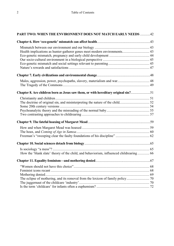| PART TWO: WHEN THE ENVIRONMENT DOES NOT MATCH EARLY NEEDS 42                           |  |
|----------------------------------------------------------------------------------------|--|
|                                                                                        |  |
|                                                                                        |  |
|                                                                                        |  |
|                                                                                        |  |
|                                                                                        |  |
|                                                                                        |  |
|                                                                                        |  |
|                                                                                        |  |
| Males, aggression, power, psychopaths, slavery, materialism and war 48                 |  |
|                                                                                        |  |
|                                                                                        |  |
|                                                                                        |  |
|                                                                                        |  |
|                                                                                        |  |
|                                                                                        |  |
|                                                                                        |  |
|                                                                                        |  |
|                                                                                        |  |
|                                                                                        |  |
|                                                                                        |  |
|                                                                                        |  |
|                                                                                        |  |
| How the 'blank slate' theory of the child, and behaviorism, influenced childrearing 66 |  |
|                                                                                        |  |
|                                                                                        |  |
|                                                                                        |  |
|                                                                                        |  |
|                                                                                        |  |
|                                                                                        |  |
|                                                                                        |  |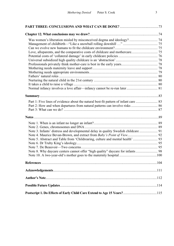| Part 2: How and when departures from natural patterns can involve risks  86        |  |
|------------------------------------------------------------------------------------|--|
|                                                                                    |  |
|                                                                                    |  |
|                                                                                    |  |
|                                                                                    |  |
| Note 3. Infants' distress and developmental delay in quality Swedish childcare  91 |  |
|                                                                                    |  |
|                                                                                    |  |
|                                                                                    |  |
|                                                                                    |  |
| Note 8. Why daycare centers cannot offer "high quality" daycare for infants 98     |  |
|                                                                                    |  |
|                                                                                    |  |
|                                                                                    |  |
|                                                                                    |  |
|                                                                                    |  |
|                                                                                    |  |
|                                                                                    |  |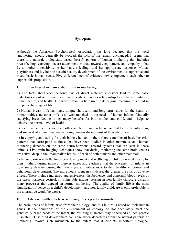#### **Synopsis**

Although the American Psychological Association has long declared that the word 'mothering' should generally be avoided, the facts of life remain unchanged. It seems that there is a natural, biologically-based, best-fit pattern of human mothering that includes breastfeeding, carrying, secure attachment, mutual rewards, enjoyment, and empathy—that is, a mother's sensitivity to her baby's feelings and her appropriate response. Mutual playfulness and joy help to sustain healthy development if the environment is supportive and meets basic human needs. Five different lines of evidence now complement each other to support this proposition.

#### **I. Five lines of evidence about human mothering**

1) The facts about each person's line of direct maternal ancestors lead to some basic deductions about our human genomic inheritance and its relationship to mothering, infancy, human nature, and health. The word 'infant' is here used in its original meaning of a child in the preverbal stage of life.

2) Human breast milk has many unique short-term and long-term values for the health of human babies; no other milk is so well matched to the needs of human infants. Mutually satisfying breastfeeding brings many benefits for both mother and child, and it helps to achieve the normal level of health.

3) Secure attachment between a mother and her infant has been essential for the breastfeeding and survival of all mammals—including humans during most of their life on earth.

4) In enjoying and caring for their babies, human mothers show a number of basic behavior patterns that correspond to those that have been studied in other mammals, and human mothering depends on the same neuro-hormonal reward systems that are seen in these animals. Live brain-imaging techniques show that during mothering the same brain centers are active, deep in the 'mammalian brains' of each of both humans and other mammals.

5) In comparison with the long-term development and wellbeing of children reared mostly by their mothers during infancy, there is increasing evidence that the placement of infants in non-family daycare during their early years involves risks to their healthy emotional and behavioral development. The more hours spent in childcare, the greater the risk of adverse effects. These include increased aggressiveness, disobedience, and abnormal blood levels of the stress hormone cortisol. In vulnerable infants, rearing in non-family childcare disrupts many processes that depend on normal mothering. The quality of family life is the most significant influence on a child's development, and non-family childcare is only preferable if the alternative would be worse.

#### **II. Adverse health effects arise through 'eco-genetic mismatch'**

The basic needs of infants arise from their biology, and this in turn is based on their human genes. If the conditions of the environment or ecology do not adequately meet the genetically-based needs of the infant, the resulting mismatch may be termed an 'eco-genetic mismatch.' Disturbed development can arise when departures from the natural patterns of mothering involve such mismatch to the extent that it disrupts important biological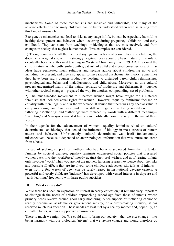mechanisms. Some of these mechanisms are sensitive and vulnerable, and many of the adverse effects of non-family childcare can be better understood when seen as arising from this kind of mismatch.

Eco-genetic mismatches can lead to risks at any stage in life, but can be especially harmful to healthy development and behavior when occurring during pregnancy, childbirth, and early childhood. They can stem from teachings or ideologies that are misconceived, and from changes in society that neglect human needs. Two examples are considered.

1) Though contrary to all the recorded sayings and actions of Jesus relating to children, the doctrine of original sin, with its strongly negative ideas about the basic nature of the infant, eventually became authorized teaching in Western Christianity from 529 AD. It viewed the child's nature as inherently sinful, with great risk of awful and eternal consequences. Similar ideas have permeated much religious and secular advice about childrearing up to and including the present, and they also appear to have shaped psychoanalytic theory. Sometimes they have been sadly counter-productive, leading to disturbed parent-child relationships, psychological and behavioral maladjustment, and child abuse. Moreover, as this cultural process undermined many of the natural rewards of mothering and fathering, it—together with other societal changes—prepared the way for another, compounding, set of problems.

2) The much-needed movement to 'liberate' women might have fought for a maternal feminism that included equal rights for women. However, 'equality feminism' focused on equality with men, legally and in the workplace. It denied that there was any special value in early mothering, and this was (and often still is) regarded as being no different from fathering. 'Mothering' and 'fathering' were replaced by words with a different meaning— 'parenting' and 'care-giver'—and it has become politically correct to require the use of these words.

In their agenda for the advancement of women, equality feminists relied on cultural determinism—an ideology that denied the influence of biology in most aspects of human nature and behavior. Unfortunately, cultural determinism was itself fundamentally misconceived, because it depended on anthropological information that was untrue and arose from a hoax.

Instead of seeking support for mothers who had become separated from their extended families by societal changes, equality feminists engineered social policies that pressured women back into the 'workforce,' mostly against their real wishes, and as if rearing infants only involves 'work' when you are not the mother. Ignoring research evidence about the risks and possible ill-effects that are involved, some childcare advocates still talk as if infants even from a few weeks of age—can be safely reared in institutional daycare centers. A powerful and costly childcare 'industry' has developed with vested interests in daycare and 'early learning,' frequently with large public subsidies.

#### **III. What can we do?**

While there has been an explosion of interest in 'early education,' it remains very important to distinguish the needs of children approaching school age from those of infants, whose primary needs revolve around good early mothering. Since support of mothering cannot so readily become an academic or government activity, or a profit-making industry, it has received much less attention. These needs are best met by a healthy mother and, hopefully, an empathic father, within a supportive environment.

There is much we might do. We could aim to bring our society—that we *can* change—into better harmony with our biological 'givens' that we *cannot* change and would therefore do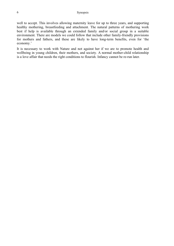well to accept. This involves allowing maternity leave for up to three years, and supporting healthy mothering, breastfeeding and attachment. The natural patterns of mothering work best if help is available through an extended family and/or social group in a suitable environment. There are models we could follow that include other family-friendly provisions for mothers and fathers, and these are likely to have long-term benefits, even for 'the economy.'

It is necessary to work with Nature and not against her if we are to promote health and wellbeing in young children, their mothers, and society. A normal mother-child relationship is a love affair that needs the right conditions to flourish. Infancy cannot be re-run later.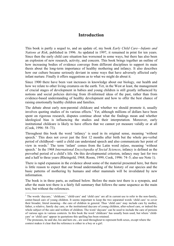#### **Introduction**

This book is partly a sequel to, and an update of, my book *Early Child Care—Infants and Nations at Risk*, published in 1996. As updated in 1997, it remained in print for ten years. Since then the early child care situation has worsened in some ways, but there has also been an explosion of new research, activity, and concern. This book brings together an outline of how increasing bodies of evidence converge from different disciplines to support its main thesis about the long-term importance of healthy mothering and infancy. It also describes how our culture became seriously deviant in some ways that have adversely affected early infant nurture. Finally it offers suggestions as to what we might do about it.

Since 1900 there have been vast increases in knowledge about our biology, our health and how we relate to other living creatures on the earth. Yet, in the West at least, the management of crucial stages of development in babies and young children is still greatly influenced by notions and social policies deriving from ill-informed ideas of the past, rather than from evidence-based understanding of healthy development and how to offer the best chance of raising emotionally healthy children and families.

The debate about early non-parental childcare and whether we should promote it, usually involves quoting studies of its various effects.<sup>1</sup> Yet, although millions of dollars have been spent on rigorous research, disputes continue about what the findings mean and whether ideological bias is influencing the studies and their interpretation. Moreover, early institutional childcare is likely to have effects that we cannot yet measure validly or at all (Cook, 1996: 58–73).

Throughout this book the word 'infancy' is used in its original sense, meaning 'without speech.' This does not cover just the first 12 months after birth but the whole pre-verbal period of childhood—until a child can understand speech and also communicate her point of view in words.<sup>2</sup> The term 'infant' comes from the Latin word *infans*, meaning 'without speech.' In the 1968 *International Encyclopedia of Social Sciences*, infancy is defined as the preverbal period of a child's life. On this developmental criterion, infancy may last for two and a half to three years (Rheingold, 1968; Room, 1999; Cook, 1996: 74–5; also see Note 1).

There is rapid expansion in the evidence about some of the material presented here, but there is little reason to expect that our broad understanding of the history of our species and the basic patterns of mothering by humans and other mammals will be invalidated by new information.

The book is in three parts, as outlined below. Before the main text there is a synopsis, and after the main text there is a fairly full summary that follows the same sequence as the main text, but without the references.

 $\overline{a}$ 

<sup>&</sup>lt;sup>1</sup> The words 'daycare,' 'childcare,' 'child-care' and 'child care' are all in current use to refer to the non-family, center-based care of young children. It seems important to keep the two separated words 'child care' to cover their broader, literal meaning—the care of children in general. Thus 'child care' may include care by mother, father, a relative, family day care, or the institutional daycare of young children, after-school care, or indeed the whole subject of the care and welfare of children. The word 'daycare' can be used to include the care of persons of various ages in various contexts. In this book the word 'childcare' has usually been used, but where 'childcare' or 'child care' appear in quotations this spelling has been retained.

 $2^2$  The pronouns, he and she, his and hers etc., are used throughout to represent both sexes, except where the context makes it clear that the reference is either to a boy or a girl.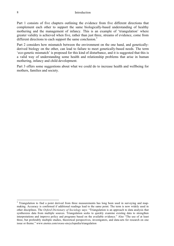Part 1 consists of five chapters outlining the evidence from five different directions that complement each other to support the same biologically-based understanding of healthy mothering and the management of infancy. This is an example of 'triangulation' where greater validity is achieved when five, rather than just three, streams of evidence, come from different directions to each support the same conclusion.<sup>3</sup>

Part 2 considers how mismatch between the environment on the one hand, and geneticallyderived biology on the other, can lead to failure to meet genetically-based needs. The term 'eco-genetic mismatch' is proposed for this kind of disturbance, and it is suggested that this is a valid way of understanding some health and relationship problems that arise in human mothering, infancy and child development.

Part 3 offers some suggestions about what we could do to increase health and wellbeing for mothers, families and society.

1

<sup>&</sup>lt;sup>3</sup> Triangulation to find a point derived from three measurements has long been used in surveying and mapmaking. Accuracy is confirmed if additional readings lead to the same point. The term is now widely used in other disciplines. The *Oxford Dictionary of Sociology* says: "Triangulation is an approach to data analysis that synthesizes data from multiple sources. Triangulation seeks to quickly examine existing data to strengthen interpretations and improve policy and programs based on the available evidence." Also "The use of at least three, but preferably multiple studies, theoretical perspectives, investigators, and data-sets for research on one issue or theme." www.enotes.com/oxsoc-encyclopedia/triangulation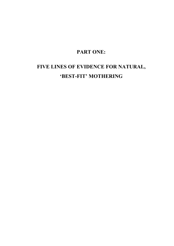#### **PART ONE:**

### **FIVE LINES OF EVIDENCE FOR NATURAL, 'BEST-FIT' MOTHERING**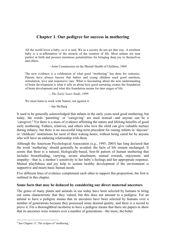#### **Chapter 1. Our pedigree for success in mothering**

All the world loves a baby, so it is said. We as a society do not act that way. A newborn baby is a re-affirmation of the miracle of the creation of life. Most infants are near perfect at birth and possess enormous potentialities for bringing deep joy to themselves and others.

—Joint Commission on the Mental Health of Children, 1969

The new evidence is a celebration of what good "mothering" has done for centuries. Parents have always known that babies and young children need good nutrition, stimulation, love and responsive care. What is fascinating about the new understanding of brain development is what it tells us about how good nurturing creates the foundation of brain development and what this foundation means for later stages of life.

—*The Early Years Study*, 1999

We must learn to work with Nature, not against it.

—Ian McHarg

It used to be generally acknowledged that infants in the early years need good mothering, but today, the words 'parenting' or 'caregiving' are used instead—and anyone can be a 'caregiver.<sup>4</sup> Yet there is a mass of evidence affirming the nature and lifelong benefits of good early mothering. Fathers, relatives, and others who love the child can give valuable nurture during infancy, but there is no successful long-term precedent for raising infants in 'daycare' or 'childcare' institutions for most of their waking hours, without being cared for by anyone who will have an enduring relationship with them.

Although the American Psychological Association (e.g., 1995; 2005) has long declared that the word 'mothering' should generally be avoided, the facts of life remain unchanged. It seems that there is a natural, biologically-based, best-fit pattern of human mothering that includes breastfeeding, carrying, secure attachment, mutual rewards, enjoyment, and empathy—that is, a mother's sensitivity to her baby's feelings and her appropriate response. Mutual playfulness and joy help to sustain healthy development if the environment is supportive and meets basic human needs.

Five different lines of evidence complement each other to support this proposition; the first is outlined in this chapter.

#### **Some facts that may be deduced by considering our direct maternal ancestors**

The genes of many plants and animals in use today have been selected by humans to bring out some characteristic that they valued, but this does not amount to a pedigree. For an animal to have a pedigree means that its ancestors have been selected by humans over a number of generations because they possessed some desired quality, and there is a record to prove it. For a thoroughbred racehorse to have a pedigree means that there are papers to show that its ancestors were winners over a number of generations—the more, the better.

 4 See Chapter 11: The eclipse of 'mothering.'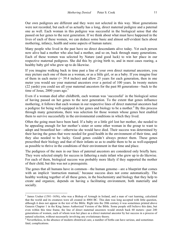Our own pedigrees are different and they were not selected in this way. Most generations were not recorded, but each of us actually has a long, direct maternal pedigree and a paternal one as well. Each woman in this pedigree was successful in the biological sense that she passed on her genes to the next generation. If we think about what must have happened in the lives of each of these women, we can deduce some basic and almost self-evident facts about mothering, infancy, health and some aspects of human nature.

Many people who lived in the past have no direct descendants alive today. Yet each person now alive had a mother who also had a mother, and so on, back through many generations. Each of these women was selected by Nature (and good luck) to win her place in our respective maternal pedigrees. She did this by giving birth to, and in most cases rearing, a healthy baby girl who grew up to do likewise.

If you imagine walking back in time past a line of your own direct maternal ancestors, you may picture each one of them as a woman, or as a little girl, or as a baby. If you imagine four of them in each meter  $(= 39.4$  inches) and allow 25 years for each generation, then in one meter you would see your maternal ancestors over a period of 100 years. In twenty meters (22 yards) you could see all your maternal ancestors for the past 80 generations—back to the time of Jesus, 2000 years ago. $5$ 

Even if a woman died after childbirth, each woman was 'successful' in the biological sense of having passed on her genes to the next generation. To the extent that genes influence mothering, it follows that each woman in our respective lines of direct maternal ancestors had a pedigree for being well-equipped in her genes and biology to be a mother.<sup>6</sup> By this process through many generations, there was selection for those women whose genes best enabled them to survive successfully in the environmental conditions in which they lived.

Often the going must have been hard. If a baby or a little girl lost her mother, she needed to be appealing enough for her mother's sister or some other woman in the group to want to adopt and breastfeed her—otherwise she would have died. Their success was determined by their having the genes that were needed for good health in the environment of their time, and they also needed to be lucky. Good genes couldn't always protect them. These genes prescribed their biology and that of their infants so as to enable them to be as well-equipped as possible to thrive in the conditions of their environment in that time and place.

The pedigrees of the men in our lines of paternal ancestors are considered only briefly here. They were selected simply for success in fathering a male infant who grew up to do likewise. For each of them, biological success was probably more likely if they supported the mother of their child, but this was not a prerequisite.

The genes that all humans have in common—the human genome—are a blueprint that comes with an implicit 'instruction manual,' because success does not come automatically. The healthy working together of all these genes, in the biochemistry and biology that they help to create and organize, depends on having a facilitating environment, both materially and socially.

 $\overline{a}$ 

<sup>&</sup>lt;sup>5</sup> James Ussher (1581-1656), who was a Bishop of Armagh in Ireland, and a man of vast learning, calculated that the world and its creatures were all created in 4004 BC. This date was long accepted with little question, although it does not appear in the text of the Bible. Right into the 20th century it was sometimes printed above Genesis Chapter 1 in the King James Authorized Version of the Bible. Some people still believe this date, but even within this time frame, the line of direct maternal ancestors would stretch back 60 meters—past 240 generations of women, each of whom won her place as a direct maternal ancestor by her success in a process of natural selection, without necessarily involving any evolutionary theory.

<sup>&</sup>lt;sup>6</sup> Nevertheless, in the absence of modern obstetrical care, a number of births can have serious, and sometimes fatal, complications.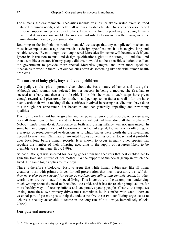For humans, the environmental necessities include fresh air, drinkable water, exercise, food matched to human needs, and shelter, all within a livable climate. Our ancestors also needed the social support and protection of others, because the long dependency of young humans meant that it was not sustainable for mothers and infants to survive on their own, as some mammals—for example, bears—can do.

Returning to the implicit 'instruction manual,' we accept that any complicated mechanism must have inputs and usage that match its design specifications if it is to give long and reliable service. Even a tough, well-engineered Mercedes limousine will become sick if you ignore its instruction manual and design specifications, give it the wrong oil and fuel, and then use it like a tractor. If many people did this, it would not be a sensible solution to call on the government to provide more special Mercedes garages, and train more specialist mechanics to work in them. Yet our societies often do something like this with human health problems.

#### **The nature of baby girls, boys and young children**

Our pedigrees also give important clues about the basic nature of babies and little girls. Although each woman was selected for her success in being a mother, she first had to succeed as a baby and then as a little girl. To do this she must, at each stage, have given enough rewards and pleasure to her mother—and perhaps to her father as well—for it to have been worth their while making all the sacrifices involved in rearing her. She must have done this through her appearance, her behavior, and her generally appealing and rewarding qualities.

From birth, each infant had to give her mother powerful emotional rewards; otherwise why, over all those eons of time, would each mother without fail have done all that mothering? Nobody *made* them do it. Acceptance at birth and during infancy was not guaranteed. In some human groups a variety of factors—such as lack of appeal, too many other offspring, or a scarcity of resources—led to decisions as to which babies were worth the big investment needed to rear them. Eliminating unwanted babies sometimes occurs today, and it probably goes back long before human records. It is known to occur in many other species that regulate the number of their offspring according to the supply of resources likely to be available to sustain them (Hrdy, 1999).

So each little girl was selected for having genes from her ancestors that best enabled her to gain the love and nurture of her mother *and* the support of the social group in which she lived. The same logic applies to little boys.

There is therefore a biological basis to argue that while human babies are, like all living creatures, born with primary drives for self-preservation that must necessarily be 'selfish,' *they have also been selected for being rewarding, appealing, and innately social*. In other words, they are well-made for social living. This is contrary to the assumptions underlying much writing about the need to 'socialize' the child, and it has far-reaching implications for more healthy ways of rearing infants and cooperative young people. Clearly, the impulses arising from these two primary drives must sometimes be in conflict with each other; an essential part of parenting is to help the toddler resolve these two conflicting urges so as to achieve a socially acceptable outcome in the long run, if not always immediately (Cook,  $2005a$ ).<sup>7</sup>

#### **Our paternal ancestors**

 $\overline{a}$ 

<sup>&</sup>lt;sup>7</sup> Cf. "The longer a creature stays young, the more perfect it is when it's finished" (Anon).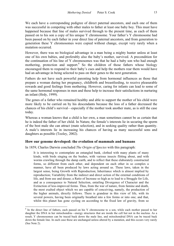We each have a corresponding pedigree of direct paternal ancestors, and each one of them was successful in competing with other males to father at least one baby boy. This must have happened because that line of males survived through to the present time, as each of them passed on to his son a copy of his unique Y chromosome. Your father's Y chromosome had been passed on by each father in your direct line of paternal ancestors, and from generation to generation these Y chromosomes were copied without change, except very rarely when a mutation occurred.

However, there was no biological advantage in a man being a mighty hunter unless at least one of his own babies, and preferably also the baby's mother, survived. A precondition for the continuation of his line of Y chromosomes was that he had a baby son who had enough mothering, protection and support.<sup>8</sup> So the children of those fathers whose biology encouraged them to respond to their baby's cues and help the mothers rear them would have had an advantage in being selected to pass on their genes to the next generation.

Fathers do not have such powerful parenting help from hormonal influences as those that prepare a woman during her pregnancy, childbirth and breastfeeding, to receive pleasurable rewards and good feelings from mothering. However, caring for infants can lead to some of the same hormonal responses in men and these help to increase their satisfactions in nurturing an infant (Hrdy, 1999).

The genes of a father who remained healthy and able to support the mother of his child were more likely to be carried on by his descendants because the loss of a father decreased the chances of his child's survival—especially if the mother took another mate, as is still the case today.

Whereas a woman knows that a child is her own, a man sometimes cannot be as certain that he is indeed the father of her child. In Nature, the female's interests lie in securing the sperm of the best male she can attract (mate selection), and in seeking quality rather than quantity. A male's interests lie in increasing his chances of having as many successful sons and daughters as possible (Tooley, 2002).

#### **How our genome developed: the evolution of mammals and humans**

In 1859, Charles Darwin concluded *The Origin of Species* with this paragraph:

 $\overline{a}$ 

It is interesting to contemplate an entangled bank, clothed with many plants of many kinds, with birds singing on the bushes, with various insects flitting about, and with worms crawling through the damp earth, and to reflect that these elaborately constructed forms, so different from each other, and dependent on each other in so complex a manner, have all been produced by laws acting around us. These laws, taken in the largest sense, being Growth with Reproduction; Inheritance which is almost implied by reproduction; Variability from the indirect and direct action of the external conditions of life, and from use and disuse; a Ratio of Increase so high as to lead to a Struggle for Life, and as a consequence to Natural Selection, entailing Divergence of Character and the Extinction of less-improved forms. Thus, from the war of nature, from famine and death, the most exalted object which we are capable of conceiving, namely, the production of the higher animals, directly follows. There is grandeur in this view of life, with its several powers, having been originally breathed into a few forms or into one; and that, whilst this planet has gone cycling on according to the fixed law of gravity, from so

<sup>&</sup>lt;sup>8</sup> In the direct line of fathers, each passed on his Y chromosome to a son, while each mother passed to her daughter the DNA in her mitochondria—energy structures that are inside the cell but not in the nucleus. As a result, Y chromosomes can be traced back down the male line, and mitochondrial DNA can be traced back down the female line. In each case these are unchanged unless altered by a mutation, and this occurs very rarely (See Note 2).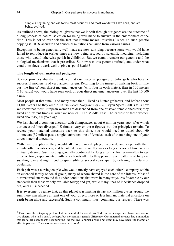simple a beginning endless forms most beautiful and most wonderful have been, and are being, evolved.

As outlined above, the biological givens that we inherit through our genes are the outcome of a long process of natural selection for being well-made to survive in the environment of the time. This is not to overlook the fact that Nature makes 'mistakes,' since no such genetic copying is 100% accurate and abnormal mutations can arise from various causes.

Exceptions to being genetically well-made are now surviving because some who would have failed to reproduce in earlier times are now being rescued by scientific medicine, including those who would otherwise perish in childbirth. But we cannot remake our genome and the biological mechanisms that it prescribes. So how was this genome refined, and under what conditions does it work well to give us good health?

#### **The length of our maternal pedigree**

Science provides abundant evidence that our maternal pedigree of baby girls who became successful mothers is of very ancient origin. Returning to the image of walking back in time past the line of your direct maternal ancestors (with four in each meter), then in 100 meters (110 yards) you would have seen each of your direct maternal ancestors over the last 10,000 years.

Most people at that time—and many since then—lived as hunter-gatherers, and before about 11,000 years ago they all did. In *The Seven Daughters of Eve*, Bryan Sykes (2001) tells how we know that most European women are descended from one of seven female ancestors; they lived at different times in what we now call The Middle East. The earliest of these women lived about 45,000 years ago.

We last shared a common ancestor with chimpanzees about 6 million years ago, after which our ancestral lines diverged.<sup>9</sup> Estimates vary on these figures, but the principles remain. To review your maternal ancestors back to this time, you would need to travel about 60 kilometers (37 miles) past a single, unbroken line of females, each of them being one of your direct maternal ancestors.

With rare exceptions, they would all have carried, played, worked, and slept with their infants, often skin-to-skin, and breastfed them frequently over as long a period of time as was mutually desired. Such feeding generally continued for long after the first year—often to age three or four, supplemented with other foods after teeth appeared. Such patterns of frequent suckling, day and night, tend to space siblings several years apart by delaying the return of ovulation.

Each pair was a nursing couple who would mostly have enjoyed each other's company within an extended family or social group, many of whom shared in the care of the infants. Most of our maternal ancestors did this under conditions that were in many ways less favorable by our standards than those widely available today; and yet, while many lines of inheritance dropped out, ours all succeeded.

It is awesome to realize that, as this planet was making its last six million cycles around the sun, there was always at least one of your direct, more or less human, maternal ancestors on earth being alive and successful. Such a continuum must command our respect. There was

<sup>&</sup>lt;sup>9</sup> This raises the intriguing picture that our ancestral female at this 'fork' in the lineage must have been one of two sisters, who had a small, perhaps, but momentous genetic difference. Our maternal ancestor had a mutation that led to her descendants becoming the line that led to humans, while her sister may have been 'the mother of all chimpanzees.' Their mother was ancestor to both!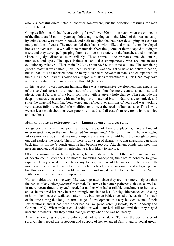also a successful direct paternal ancestor somewhere, but the selection pressures for men were different.

Complex life on earth had been evolving for well over 500 million years when the extinction of the dinosaurs 65 million years ago left a major ecological niche. Much of this was taken up by animals that were warm-blooded, and built to a plan that had been developing on earth for many millions of years. The mothers fed their babies with milk, and most of them developed breasts or *mammae*—so we call them mammals. Over time, some of them adapted to living in trees, and they developed grasping thumbs to live more safely in the branches, and binocular vision to judge distances more reliably. These animals—the primates—include lemurs, monkeys, and apes. The apes include us and also chimpanzees, who are our nearest evolutionary relatives. Their main DNA is about 98.5% the same as ours. The remaining genetic material was called 'junk DNA' because it was thought to have no active function, but in 2007, it was reported there are many differences between humans and chimpanzees in their 'junk DNA,' and this called for a major re-think as to whether this junk DNA may have a more important role than previously thought (Note 2).

In this 'ascent' toward modern humans, there was a progressive development and expansion of the cerebral cortex—the outer part of the brain—but the more central anatomical and physiological features of the brain continued with relatively little change. These include the deep structures concerned with mothering—the 'maternal brain.' Nature is economical, and since the maternal brain had been tested and refined over millions of years and was working very successfully, it needed little modification to meet the needs of humans also. This is why we can learn much about our own patterns of health and disease from research with rats, mice and monkeys.

#### **Human babies as exterogestates—'kangaroo care' and carrying**

Kangaroos and other marsupial mammals, instead of having a placenta, have a kind of exterior gestation, so they may be called 'exterogestates.' After birth, the tiny baby wriggles into its mother's pouch, latches onto a nipple and stays there until he is big enough to come out and explore the world. Then, if there is any sign of danger, a young marsupial can jump back into his mother's pouch until he has become too big. Attachment bonds still keep him near his mother, and if she is neglectful he is less likely to survive.

Of all the mammals that have a placenta, human babies are born at the most immature stage of development. After the nine months following conception, their brains continue to grow rapidly. If they stayed in the uterus any longer, there would be major problems for both mother and baby. To deliver a baby with a larger head, a woman would need a larger pelvis, but this would create other problems, such as making it harder for her to run. So Nature settled on the best available compromise.

Human babies are in some ways like exterogestates, since they are born more helpless than the babies of any other *placental* mammal. To survive in hunter-gatherer societies, as well as in more recent times, they each needed a mother who had a reliable attachment to her baby, and as he matured her baby became strongly attached to her. A baby chimpanzee could cling to his mother's coat or walk soon after birth, but human babies needed to be carried for much of the time during this long 'in-arms' stage of development; this may be seen as one of their 'expectations' and it has been described as 'kangaroo care' (Liedloff, 1975; Adderly and Gordon, 1999). When infants could toddle or walk, survival still required that they stayed near their mothers until they could manage safely when she was not nearby.

A woman carrying a growing baby could not survive alone. To have the best chance of survival she needed the protection and support of her extended family and/or social group.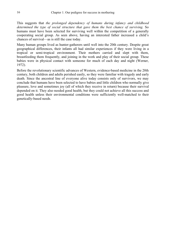This suggests that *the prolonged dependency of humans during infancy and childhood determined the type of social structure that gave them the best chance of surviving*. So humans must have been selected for surviving well within the competition of a generally cooperating social group. As seen above, having an interested father increased a child's chances of survival—as is still the case today.

Many human groups lived as hunter-gatherers until well into the 20th century. Despite great geographical differences, their infants all had similar experiences if they were living in a tropical or semi-tropical environment. Their mothers carried and slept with them, breastfeeding them frequently, and joining in the work and play of their social group. These babies were in physical contact with someone for much of each day and night (Werner, 1972).

Before the revolutionary scientific advances of Western, evidence-based medicine in the 20th century, both children and adults perished easily, so they were familiar with tragedy and early death. Since the ancestral line of everyone alive today consists only of survivors, we may conclude that humans have been selected to have babies and little children who normally give pleasure, love and sometimes joy (all of which they receive in return) because their survival depended on it. They also needed good health, but they could not achieve all this success and good health unless their environmental conditions were sufficiently well-matched to their genetically-based needs.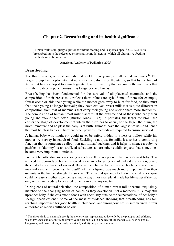#### **Chapter 2. Breastfeeding and its health significance**

Human milk is uniquely superior for infant feeding and is species-specific.… Exclusive breastfeeding is the reference or normative model against which all alternative feeding methods must be measured.

—American Academy of Pediatrics, 2005

#### **Breastfeeding**

1

The three broad groups of animals that suckle their young are all called mammals.<sup>10</sup> The largest group have a placenta that nourishes the baby inside the uterus, so that by the time of its birth it has developed to a much greater level of maturity than occurs in the mammals that feed their babies in pouches—such as kangaroos and koalas.

Breastfeeding has been fundamental for the survival of all placental mammals, and the composition of their breast milk reflects their infant-care style. Some of them (for example, foxes) cache or hide their young while the mother goes away to hunt for food, so they must feed their young at longer intervals; they have evolved breast milk that is quite different in composition from that of mammals that carry their young and suckle them more frequently. The composition of human breast milk places us at the extreme end of those who carry their young and suckle them often (Blurton Jones, 1972). In primates, the larger the brain, the earlier the stage of development at which the birth has to occur, so the larger the brain, the more immature and helpless the baby is at birth. Humans have the largest brains—and hence the most helpless babies. Therefore other powerful methods are required to ensure survival.

A human baby who might cry could never be safely hidden in a nest or hollow while his mother went away in search of food. Suckling is not just for milk; it also has a comforting function that is sometimes called 'non-nutritional' sucking, and it helps to silence a baby. A pacifier or 'dummy' is an artificial substitute, as are other cuddly objects that sometimes become very important to infants.

Frequent breastfeeding over several years delayed the conception of the mother's next baby. This reduced the demands on her and allowed her infant a longer period of undivided attention, giving the child a better chance of survival. Because each human baby needs such a large investment of maternal care and resources, the *quality* of the offspring was much more important than their *quantity* in the human struggle for survival. This natural spacing of children several years apart could increase a mother's wellbeing in many ways. For example, it made her life easier if she had only one infant needing to be cared for and carried at any one time.

During eons of natural selection, the composition of human breast milk became exquisitely matched to the changing needs of babies as they developed. Yet a mother's milk may still upset her baby if she eats exotic foods with chemistry outside the 'expectations' of her baby's 'design specifications.' Some of the mass of evidence showing that breastfeeding has farreaching importance for good health in childhood, and throughout life, is summarized in four authoritative reports outlined below.

 $10$  The three kinds of mammals are: i) the monotremes, represented today only by the platypus and echidna, which lay eggs, and after birth, their tiny young are suckled in a pouch; ii) the marsupials, such as koalas, kangaroos, and many others, already described, and iii) the placental mammals.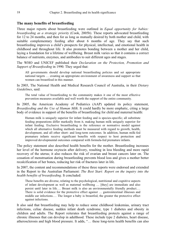#### **The many benefits of breastfeeding**

Three major reports about breastfeeding were outlined in *Equal opportunity for babies: breastfeeding as a strategic priority* (Cook, 2005b). These reports advocated breastfeeding for 12 to 24 months, and then for as long as mutually desired by both mother and child, with suitable complementary feeding after about 6 months of age. They say that such breastfeeding improves a child's prospects for physical, intellectual, and emotional health in childhood and throughout life. It also promotes bonding between a mother and her child, laying a foundation for a lifetime of wellbeing. Breast milk varies so that it contains a correct balance of nutrients, enzymes, and antibodies to suit different ages and stages.

The WHO and UNICEF published their *Declaration on the Protection, Promotion and Support of Breastfeeding* in 1990*.* They urged that:

All governments should develop national breastfeeding policies and set appropriate national targets … creating an appropriate environment of awareness and support so that women can breastfeed in this manner.

In 2003, The National Health and Medical Research Council of Australia, in their *Dietary Guidelines*, said:

The total value of breastfeeding to the community makes it one of the most effective prevention measures available and well worth the support of the entire community.

In 2005, the American Academy of Pediatrics (AAP) updated its policy statement, *Breastfeeding and the Use of Human Milk*. It could hardly be more emphatic, citing a large body of evidence in support of the benefits of breastfeeding for child and maternal health:

Human milk is uniquely superior for infant feeding and is species-specific; all substitute feeding preparations differ markedly from it, making human milk uniquely superior for infant feeding. Exclusive breastfeeding is the reference or normative model against which all alternative feeding methods must be measured with regard to growth, health, development, and all other short- and long-term outcomes. In addition, human milk-fed premature infants receive significant benefits with respect to host protection and improved developmental outcomes compared with formula-fed premature infants.

The policy statement also described health benefits for the mother. Breastfeeding increases her level of the hormone oxytocin after delivery, resulting in less bleeding and more rapid recovery of the uterus; it also reduces the risk of ovarian and breast cancers later on. The cessation of menstruation during breastfeeding prevents blood loss and gives a mother better recalcification of her bones, reducing her risk of fractures later in life.

In 2007, the content and recommendations of these three reports were endorsed and extended in the Report to the Australian Parliament: *The Best Start: Report on the inquiry into the health benefits of breastfeeding*. It concluded:

These benefits are diverse, relating to the psychological, nutritional and cognitive aspects of infant development as well as maternal wellbeing … [they] are immediate and also persist until later in life…. Breast milk is also an environmentally friendly product.… There is solid evidence for the protective effect against … gastrointestinal illnesses and middle ear infections.… The longer a baby is breastfed, the greater the protective effect against infections.

It also said that breastfeeding may help to reduce some childhood leukemias, urinary tract infections, celiac disease, sudden infant death syndrome, type 1 diabetes and obesity in children and adults. The Report reiterates that breastfeeding protects against a range of chronic illnesses that can develop in adulthood. These include type 2 diabetes, heart disease, atherosclerosis and high blood pressure. It adds, "… these long-term health benefits can also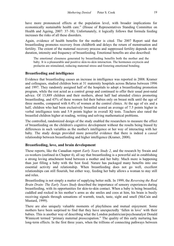have more pronounced effects at the population level, with broader implications for economically sustainable health care." (House of Representatives Standing Committee on Health and Ageing, 2007: 37–38). Unfortunately, it logically follows that formula feeding increases the risks of all these disorders.

Again, evidence of health benefits for the mother is cited. The 2007 Report said that breastfeeding promotes recovery from childbirth and delays the return of menstruation and fertility. The extent of the maternal recovery process and suppressed fertility depends on the duration, intensity and frequency of breastfeeding. Emotional benefits are also described:

The emotional closeness generated by breastfeeding benefits both the mother and the baby. It is a pleasurable and positive skin-to-skin interaction. The hormones oxytocin and prolactin are stimulated, reducing maternal stress and fostering emotional bonding.

#### **Breastfeeding and intelligence**

Evidence that breastfeeding causes an increase in intelligence was reported in 2008. Kramer and colleagues, studied children born at 31 maternity hospitals across Belarus between 1996 and 1997. They randomly assigned half of the hospitals to adopt a breastfeeding promotion program, while the rest acted as a control group and continued to offer their usual post-natal advice. Of 13,889 children and their mothers, about half had attended clinics promoting breastfeeding, and 43% of these women fed their babies only on breast milk until the age of three months, compared with 6.4% of women at the control clinics. At the age of six and a half, children who had been exclusively breastfed scored an average of 7.5 points higher in verbal intelligence tests and 5.9 points higher in overall IQ tests. Teachers also rated the breastfed children higher at reading, writing and solving mathematical problems.

The controlled, randomized design of the study enabled the researchers to measure the effect of breastfeeding on the children's cognitive development without the results being biased by differences in such variables as the mother's intelligence or her way of interacting with her baby. The study design provided more powerful evidence that there is indeed a *causal* relationship between breastfeeding and higher intelligence (Kramer, 2008).

#### **Breastfeeding, love, and brain development**

These reports, like the Canadian report *Early Years Study 2*, and the research by Swain and co-workers (outlined in Chapter 4), all say that breastfeeding is a powerful aid in establishing a strong loving attachment bond between a mother and her baby. Much more is happening than just filling a baby with the best food. Nature has packaged many benefits into one essential activity and relationship. When breastfeeding does not go well, excellent relationships can still flourish, but either way, feeding her baby allows a woman to stay still and relax.

Breastfeeding is not simply a matter of supplying better milk. In 1999, the *Reversing the Real Brain Drain: The Early Years Study* described the importance of sensory experiences during breastfeeding, with its opportunities for skin-to-skin contact. When a baby is being breastfed, cuddled and rocked in his mother's arms as she smiles and coos at him, his brain is busily receiving signals through sensations of warmth, touch, taste, sight and smell (McCain and Mustard, 1999).

There are also uniquely valuable moments of playfulness and mutual enjoyment. Some mothers have been surprised to find that they have unexpectedly 'fallen in love' with their babies. This is another way of describing what the London pediatrician/psychoanalyst Donald Winnicott termed "primary maternal preoccupation." The quality of this early nurturing has long-term effects. In the first three years, when the trillions of connecting pathways between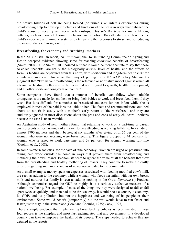the brain's billions of cell are being formed (or 'wired'), an infant's experiences during breastfeeding help to develop structures and functions of the brain in ways that enhance the child's sense of security and social relationships. This *sets the base* for many lifelong patterns, such as those of learning, behavior and emotion. Breastfeeding also benefits the child's endocrine and immune systems, by tempering the responses to stress, and so reducing the risks of disease throughout life.

#### **Breastfeeding, the economy and 'working' mothers**

In the 2007 Australian report, *The Best Start*, the House Standing Committee on Ageing and Health accepted evidence showing some far-reaching *economic* benefits of breastfeeding (Smith, 2004). Julie Smith, PhD, pointed out that it would be more accurate to say that these so-called 'benefits' are really the biologically *normal* level of health, and the effects of formula feeding are departures from this norm, with short-term and long-term health *risks* for infants and mothers. This is another way of putting the 2007 AAP Policy Statement's judgment that "Exclusive breastfeeding is the reference or normative model against which all alternative feeding methods must be measured with regard to growth, health, development, and all other short- and long-term outcomes."

Some companies have found that a number of benefits can follow when suitable arrangements are made for mothers to bring their babies to work and breastfeed them if they wish. But it is difficult for a mother to breastfeed and care for her infant while she is employed in most of the paid jobs available to her. The facts and recommendations outlined above do not fit in easily with a mother's early return to 'the workforce,' and they are studiously ignored in most discussions about the pros and cons of early childcare—perhaps because the case is unanswerable.

An Australian study of new mothers found that returning to work on a part-time or casual basis presents almost as much of a barrier to breastfeeding as working full-time. In a study of almost 3700 mothers and their babies, at six months after giving birth 56 per cent of the women who were not working were breastfeeding. This figure dropped to 44 per cent for women who returned to work part-time, and 39 per cent for women working full-time (Cooklin et al., 2008).

In some Western societies, for the sake of 'the economy,' women are urged or pressured into taking paid work outside the home in ways that prevent them from breastfeeding and mothering their own infants. Economists seem to ignore the value of all the benefits that flow from the breastfeeding and healthy mothering of infants. They continue to make the costly error of regarding such mothering as of no *economic* value to the community.

As a small example: money spent on expenses associated with feeding modified cow's milk are seen as adding to the economy, while a woman who feeds her infant with her own breast milk and nurtures her family is seen as adding nothing to the Gross *Domestic* (!) Product. Although economists regard the GDP so highly, it is a seriously defective measure of a nation's wellbeing. For example, if most of the things we buy were designed to fail or fall apart twice as quickly, and then had to be thrown away, it would boost a country's economy, its GDP, and its pollution; but not the happiness and wellbeing of its people or their environment. Some would benefit (temporarily) but the rest would have to run faster and faster just to stay in the same place (Cook and Coombs, 1975; Cook, 1995).

There is ample evidence that implementing breastfeeding policies as recommended in these four reports is the simplest and most far-reaching step that any government in a developed country can take to improve the health of its people. The steps needed to achieve this are detailed in the reports.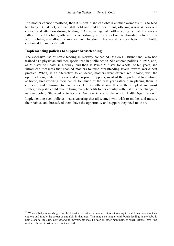If a mother cannot breastfeed, then it is best if she can obtain another woman's milk to feed her baby. But if not, she can still hold and cuddle her infant, offering warm skin-to-skin contact and attention during feeding.<sup>11</sup> An advantage of bottle-feeding is that it allows a father to feed his baby, offering the opportunity to foster a closer relationship between him and his baby, and allow the mother more freedom. This would be even better if the bottle contained the mother's milk.

#### **Implementing policies to support breastfeeding**

The extensive use of bottle-feeding in Norway concerned Dr Gro H. Brundtland, who had trained as a physician and then specialized in public health. She entered politics in 1965, and, as Minister of Health in Norway, and then as Prime Minister for a total of ten years, she introduced measures that enabled mothers to raise breastfeeding levels toward world best practice. When, as an alternative to childcare, mothers were offered real choice, with the option of long maternity leave and appropriate supports, most of them preferred to continue at home, breastfeeding their babies for much of the first year rather than placing them in childcare and returning to paid work. Dr Brundtland saw this as the simplest and most strategic step she could take to bring many benefits to her country with just this one change in national policy. She went on to become Director-General of the World Health Organization.

Implementing such policies means ensuring that all women who wish to mother and nurture their babies, and breastfeed them, have the opportunity and support they need to do so.

1

 $11$  When a baby is suckling from the breast in skin-to-skin contact, it is interesting to watch his hands as they explore and fondle the breast or any skin in that area. This may also happen with bottle-feeding, if the baby is held close to the skin. Corresponding movements may be seen in other mammals, as when kittens 'paw' the mother's breast to stimulate it as they feed.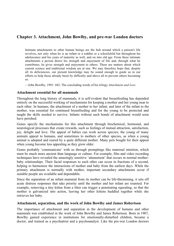#### **Chapter 3. Attachment, John Bowlby, and pre-war London doctors**

Intimate attachments to other human beings are the hub around which a person's life revolves, not only when he is an infant or a toddler or a schoolchild but throughout his adolescence and his years of maturity as well, and on into old age. From these intimate attachments a person draws his strength and enjoyment of life and, through what he contributes, he gives strength and enjoyment to others. These are matters about which current science and traditional wisdom are at one. We may therefore hope that, despite all its deficiencies, our present knowledge may be sound enough to guide us in our efforts to help those already beset by difficulty and above all to prevent others becoming so.

—John Bowlby, 1981: 442. The concluding words of his trilogy *Attachment and Loss*

#### **Attachment essential for all mammals**

Throughout the long history of mammals, it is self-evident that breastfeeding has depended entirely on the successful working of mechanisms for keeping a mother and her young near to each other. In humans, the attachment of a mother to her infant, and later of the infant to the mother, was essential for continued breastfeeding and for the young to be protected and taught the skills needed to survive. Infants without such bonds of attachment would soon have perished.

Genes specify the mechanisms for this attachment through biochemical, hormonal, and neurological processes that create rewards, such as feelings of mutual attraction, satisfaction, joy, delight and love. The appeal of babies can work across species; the young of many animals appeal to humans, and sometimes to mothers of other species, as when a young animal is adopted and reared by a quite different mother. Many pets bought for their appeal when young become less appealing as they grow older.

Genes probably 'communicate' with us through promptings like maternal intuition, which must be much more ancient than language or culture. For example, film and video recording techniques have revealed the amazingly sensitive 'attunement' that occurs in normal motherbaby relationships. Their facial responses to each other can occur in fractions of a second, helping to harmonize the interactions of mother and baby from the earliest days. While the primary attachment is normally with mother, important secondary attachments occur if suitable people are available and dependable.

Since the separation of an infant mammal from its mother can be life-threatening, it sets off acute distress responses that take priority until the mother and her infant are reunited. For example, removing a tiny kitten from a litter can trigger a penetrating squealing, so that the mother is galvanized into action, leaving her other kittens huddled together while she retrieves her baby.

#### **Attachment, separation, and the work of John Bowlby and James Robertson**

The importance of attachment and separation in the development of humans and other mammals was established in the work of John Bowlby and James Robertson. Born in 1907, Bowlby gained experience in institutions for emotionally-disturbed children, became a doctor, and trained as a psychiatrist and a psychoanalyst. Like the pre-war London doctors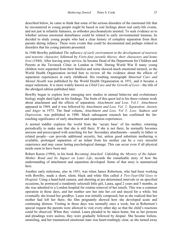described below, he came to think that some of the serious disorders of the emotional life that he encountered in young people might be based in real feelings about real early-life events, and not just in infantile fantasies, as orthodox psychoanalysts insisted. To seek evidence as to whether serious emotional disturbance could be related to early environmental traumas, he decided to study young people who had a clear history of complete separation from their parents during infancy. These were events that could be documented and perhaps related to disorders that his young patients presented.

In 1940 Bowlby published *The influence of early environment in the development of neurosis and neurotic character*, followed by *Forty-four juvenile thieves, their characters and home lives* (1944)*.* After leaving army service, he became Head of the Department for Children and Parents at the Tavistock Clinic in London in 1946. During World War II many young children were separated from their families and some showed much emotional turmoil, so the World Health Organization invited him to review all the evidence about the effects of separation experiences in early childhood. His resulting monograph *Maternal Care and Mental Health* was published by the World Health Organization in 1951, and it became a major milestone. It is more widely known as *Child Care and the Growth of Love*—the title of the abridged edition published later.

Bowlby began to explore how emerging new studies in animal behavior and evolutionary biology might shed light on his findings. The fruits of this quest led to his three-volume work about attachment and the effects of separation. *Attachment and Loss. Vol.1: Attachment*  appeared in 1969, and it was followed by *Attachment and Loss. Vol. 2: Separation: Anxiety and Anger* in 1973. The final volume, *Attachment and Loss. Vol 3: Loss: Sadness and Depression,* was published in 1980. Much subsequent research has confirmed the farreaching significance of early attachment and separation experiences.

A normal toddler explores the world from the 'secure base' of his mother, returning periodically to make sure that she is still there. If she is not there, he normally becomes anxious and preoccupied with searching for her. Secondary attachments—usually to father or related people—can provide additional security, but, unless good substitute mothering is available, prolonged separation of an infant from his mother can be a very stressful experience and may cause lasting psychological damage. This can occur even if all physical needs seem to have been met.

Robert Karen (1994), in his book *Becoming Attached: Unfolding the Mystery of the Infant-Mother Bond and Its Impact on Later Life*, records the remarkable story of how the understanding of attachment and separation developed. Some of that story is summarized here.

Another early milestone, also in 1951, was when James Robertson, who had been working with Bowlby, made a short, silent, black and white film called *A Two-Year-Old Goes to Hospital*. Using a hand-held camera, and shooting at pre-determined intervals or on specified occasions, he portrayed a (randomly selected) little girl, Laura, aged 2 years and 5 months, as she was admitted to a London hospital for routine removal of her tonsils. This was a common operation in those days, and her mother saw her into her cot and stayed for a while; but eventually she kissed her goodbye. Laura was initially composed, but as she realized that her mother had left her there, the film poignantly showed how she developed acute and continuing distress. Visiting in those days was normally once a week, but at Robertson's special request the parents were allowed to visit every other day so that the child's reactions could be observed. When they visited, Laura pleaded to be taken home, but as her protests and pleadings were useless, they were gradually followed by despair. She became listless, unsmiling, and her traumatized emotional state was heart-rendingly clear, as she turned away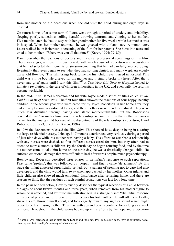from her mother on the occasions when she did visit the child during her eight days in hospital.

On return home, after some turmoil Laura went through a period of anxiety and irritability, sleeping poorly, sometimes soiling herself, throwing tantrums and clinging to her mother. Five months later she had to stay with her grandmother for five weeks while her mother was in hospital. When her mother returned, she was greeted with a blank stare. A month later, Laura walked in on Robertson's screening of the film for her parents. She burst into tears and cried to her mother, "Where was you all that time?" (Karen, 1994: 79–80).

Karen describes the reactions of doctors and nurses at professional screenings of this film. There was angry, and even furious, denial, with much abuse of Robertson and accusations that he had selected the moments of stress—something that he had carefully avoided doing. Eventually their eyes began to see what they had so long denied, and many wept. An elderly nurse told Bowlby, "This film brings back to me the first child I ever nursed in hospital. This child was a little boy. He grieved for his mother and it simply broke my heart. After that I never saw grief again until I saw this film."12 *A Two-Year-Old Goes to Hospital* helped to initiate a revolution in the care of children in hospitals in the UK, and eventually the reforms became worldwide.

In the mid-1960s, James Robertson and his wife Joyce made a series of films called *Young Children in Brief Separation*. The first four films showed the reactions of four happy, healthy children in the second year who were cared for by Joyce Robertson in her home after they had already become accustomed to her, and their mothers were then hospitalized. They were much less disturbed through having one stable mother-substitute; but the Robertsons concluded that "no matter how good the relationship, separation from the mother remains a hazard for the young child because of the discontinuity of the relationship" (Robertson, J. and Robertson, J., 1973, cited from Karen, 1994).

In 1969 the Robertsons released the film *John*. This showed how, despite being in a caring but large residential nursery, John aged 17 months deteriorated very seriously during a period of just nine days while his mother was having a baby. His efforts to establish a relationship with any nurses were dashed, as four different nurses cared for him, but they often had to attend to more clamorous children. By the fourth day he began refusing food, and by the time his mother came to take him home on the ninth day, he was a drastically changed child. He suffered emotional damage that was difficult to heal afterwards despite much psychotherapy.

Bowlby and Robertson described three phases in an infant's response to such separations. First came 'protest'; this was followed by 'despair,' and finally came 'detachment.' By this stage the infant appeared superficially settled, but a pattern of seeming not to care had also developed, and the child would turn away when approached by her mother. Other infants and little children also showed much emotional disturbance after returning home, and there are reasons to think that the residues of such painful separations can last for a long time.

In the passage cited below, Bowlby vividly describes the typical reactions of a child between the ages of about twelve months and three years, when removed from his mother-figure to whom he is attached, and left full-time with strangers in a strange place: "His initial response … is one of protest and of urgent effort to recover his lost mother. He will often cry loudly, shake his cot, throw himself about, and look eagerly toward any sight or sound which might prove to be his missing mother. This may with ups and downs continue for as long as a week or more. Throughout it, the child seems buoyed up in his efforts by the hope and expectation

1

 $12$  Karen (1994) references this as cited from Tanner and Inhelder, 1971 p.223, but adds, "this is obviously not a direct quote, but Bowlby's memory of what she said."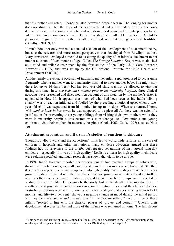that his mother will return. Sooner or later, however, despair sets in. The longing for mother does not diminish, but the hope of its being realised fades. Ultimately the restless noisy demands cease; he becomes apathetic and withdrawn, a despair broken only perhaps by an intermittent and monotonous wail. He is in a state of unutterable misery.… A child's persistent longing for his mother is often suffused with intense, generalised hostility" (Bowlby, 1981: 9, 13).

Karen's book not only presents a detailed account of the development of attachment theory, but also the research and more recent perspectives that developed from Bowlby's studies. Mary Ainsworth developed a method of assessing the quality of an infant's attachment to her mother at around fifteen months of age. Called *The Strange Situation Test*¸ it was established as a valid and reliable instrument by the first studies of the Early Child Care Research Network (ECCRN) that was set up by the US National Institute for Child Health and Development (NICHD).<sup>13</sup>

Another easily preventable occasion of traumatic mother-infant separation used to occur quite frequently when a mother went to a maternity hospital to have another baby. She might stay there for up to 14 days 'rest,' but her two-year-old child was not be allowed to visit her during this time. In *A two-year-old's mother goes to the maternity hospital*, three clinical accounts were presented and discussed. An account of this situation by the mother's sister is appended in Note 10. It appears that much of what had been seen as inevitable 'sibling rivalry' was a reaction initiated and fuelled by the preceding emotional upset when a twoyear-old child was separated from his mother for up to 14 days. When she returned home *with another baby in her arms*, he was supposed to be pleased! As there was no scientific justification for preventing these young siblings from visiting their own mothers while they were in maternity hospitals, this custom was soon changed to allow infants and young children to visit their mothers in maternity hospitals (Cook, 1962; Cook, 1977; also see Note 10).

#### **Attachment, separation, and Harsman's studies of reactions to childcare**

Though Bowlby's work and the Robertsons' films led to world-wide reforms in the care of children in hospitals and other institutions, many childcare advocates argued that these findings had no relevance to the briefer but repeated separations of institutional long-day childcare—especially if it was of 'high quality.' Realistic criteria for high quality in childcare were seldom specified, and much research has shown that claim to be untrue.

In 1994, Ingrid Harsman reported her observations of two matched groups of babies who, during their early months, were all cared for at home by their mothers and breastfed. She then described their progress as one group went into high quality Swedish daycare, while the other group of babies remained with their mothers. The two groups were matched and controlled, and the effects on attachment, relationships and behavior in both groups were recorded in writing, but *not* on film. Unfortunately the study had to finish after five months, but the results showed grounds for serious concern about the future of some of the childcare babies. Disturbing reactions were seen following admission to daycare at ages varying from 6 to 12 months, and fifty-two per cent "showed a negative change in mood during the initial period and they were assessed as *sad and depressed* in the daycare setting." Two or three of these infants "reacted in line with the classical phases of 'protest and despair.'" Overall, their developmental scores fell behind those of the infants who remained at home. The full Report

<sup>1</sup>  $13$  This network and its first study are outlined in Cook, 1996, and a postscript in the 1997 reprint summarized results up to three years. Some more recent NICHD ECCRN findings are in Chapter 5.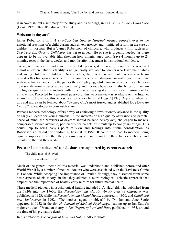is in Swedish, but a summary of the study and its findings, in English, is in *Early Child Care* (Cook, 1996: 102–106; also see Note 3).

#### **Webcams in daycare?**

James Robertson's film, *A Two-Year-Old Goes to Hospital,* opened people's eyes to the emotional reactions of a child during such an experience, and it initiated reform in the care of children in hospital. But a 'James Robertson' of childcare, who produces a film such as *A Two-Year-Old Goes to Childcare,* has yet to appear. He or she is urgently needed, as there appears to be no available film showing how infants, aged from (say) 4 months up to 24 months, react in the days, weeks, and months after placement in institutional childcare.

Today, with webcams, and cameras in mobile phones, it is easy for people to be observed almost anywhere. But this facility is not generally available to parents who leave their babies and young children in childcare. Nevertheless, there *is* a daycare center where a webcam provides this transparent service to offer you peace of mind—you can watch your loved one with new friends, and enjoy the games they are playing, while you are at work. It can be seen how socialization reduces separation anxiety and nervous behavior; it also helps to maintain the highest quality and standards within the center, making it a fun and safe environment for all to enjoy. Protected by a personal password, this webcam view is available on the Internet at any time. However, this access is strictly for clients of Dogs @ Play Daycare, where all this and more can be learned about "Sydney City's most trusted and established Dog Daycare Centre." (www.dogsplay.com.au/daycare.html)

Perhaps modern technology offers a way of achieving a revolutionary advance in the quality of early childcare for young humans. In the interests of high quality assurance and parental peace of mind, the providers of daycare should be (and hereby *are*) challenged to make a comparable service available, particularly for parents of infants up to two years of age. This could help to bring baby's point of view and feelings into public consideration, as Robertson's film did for children in hospital in 1951. It could also lead to mothers being equally supported, whether they choose daycare or to nurture their babies at home and breastfeed them if they wish.

#### **Pre-war London doctors' conclusions are supported by recent research**

The child must *feel* loved.

—Bevan-Brown, 1950

Much of the general theme of this material was understood and published before and after World War II by a number of medical doctors who were associated with the Tavistock Clinic in London. While accepting the importance of Freud's findings, they dissented from some basic aspects of his theory, in that they adopted a more biological, eclectic approach that emphasized the importance of healthy early nurture for future mental health.

These medical pioneers in psychological healing included J. A. Hadfield, who published from the 1920s into the 1960s. His *Psychology and Morals: An Analysis of Character* was published in 1923, while his *Psychology and Mental Health* appeared in 1950, and *Childhood and Adolescence* in 1962. "The mother: agent or object?" by Drs Ian and Jane Suttie appeared in 1932 in the *British Journal of Medical Psychology,* leading up to Ian Suttie's major critique of Freudian theory in *The Origins of Love and Hate*, published in 1935, around the time of his premature death.

In his preface to *The Origins of Love and Hate*, Hadfield wrote: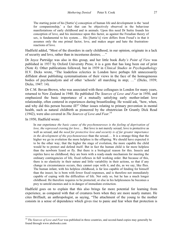The starting point of his [Suttie's] conception of human life and development is the 'need for companionship,' a fact that can be objectively observed in the behaviour manifestations of early childhood and in animals. Upon this need Dr Suttie founds his conception of love, and his insistence upon this factor, as against the Freudian theory of sex, is fundamental to his system.… His [Suttie's] view differs from Freud's in that it assumes only the one primal factor, love, and makes anger and hate the frustrationreactions of love.

Hadfield added, "Most of the disorders in early childhood, in our opinion, originate in a lack of security and love, rather than in incestuous desires; …"

Dr Joyce Partridge was also in this group, and her little book *Baby's Point of View* was published in 1937 by Oxford University Press; it is a gem that has long been out of print (Note 4). Other publications followed, but in 1939 in *Clinical Studies in Psychopathology* H.V. Dicks wrote, "The leaderless eclectics in London have perhaps felt unnecessarily diffident about publishing systematisations of their views in the face of the homogeneous bodies of psychoanalysts and of other 'schools' all marching in step; …" (Dicks, 1939; Dicks, 1947: 14).

Dr C.M. Bevan-Brown, who was associated with these colleagues in London for many years, returned to New Zealand in 1940. He published *The Sources of Love and Fear* in 1950, and emphasized the basic importance of a mutually satisfying early mother-infant love relationship, often centered in experiences during breastfeeding. He would ask, "how, when, and why did this person become ill?" Other issues relating to primary prevention in mental health, such as natural childbirth as pioneered by the obstetrician Dr Grantly Dick Read (1942), were also covered in *The Sources of Love and Fear*. 14

In 1950, Hadfield wrote:

1

In our experience *the basic cause of the psychoneuroses is the feeling of deprivation of love, the repressed craving for love.*… But love is not merely sexual; love is protective as well as sexual, and *the need for protective love and security is of far greater importance in the development of the psychoneuroses* than the sexual.… It is a strange thing that the higher we go in evolution the more helpless is the offspring. We should have expected it to be the other way; that the higher the stage of evolution, the more capable the child would be to protect and defend itself. But in fact the human child is far more helpless than the newborn lizard or fly. But there is a biological reason for this. Insects and reptiles have no childhood; they are born with a ready-made mechanism for meeting the ordinary contingencies of life, fixed reflexes in full working order. But because of this, there is no elasticity in their nature and little variability in their actions, so that if any change in circumstances occurs, they cannot cope with it, and die, as we say, like flies. The human infant, with his helpless childhood, is far less capable of fending for himself than the insect; he is born with fewer fixed responses, and is therefore not immediately capable of coping with the difficulties of life. Not only so, but he has a much longer childhood. He therefore requires to be protected, or else in his helplessness he becomes a prey to untold enemies and is in danger of immediate extinction.

Hadfield goes on to explain that this also brings far more potential for learning from experience, as compared with that of creatures born when they are more nearly mature. He cites Briffault, an anthropologist, as saying, "The attachment of the young to the mother consists in a sense of dependence which gives rise to panic and fear when that protection is

<sup>&</sup>lt;sup>14</sup> *The Sources of Love and Fear* was published in three countries, and second-hand copies may generally be found through www.abebooks.com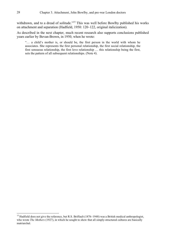withdrawn, and to a dread of solitude."<sup>15</sup> This was well before Bowlby published his works on attachment and separation (Hadfield, 1950: 120–122, original italicization).

As described in the next chapter, much recent research also supports conclusions published years earlier by Bevan-Brown, in 1950, when he wrote:

"… a child's mother is, or should be, the first person in the world with whom he associates. She represents the first personal relationship, the first social relationship, the first sensuous relationship, the first love relationship … this relationship being the first, sets the pattern of all subsequent relationships. (Note 4).

1

<sup>&</sup>lt;sup>15</sup> Hadfield does not give the reference, but R.S. Briffault (1876–1948) was a British medical anthropologist, who wrote *The Mothers* (1927), in which he sought to show that all simply-structured cultures are basically matriarchal.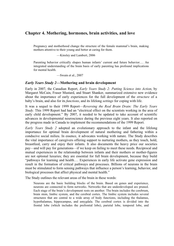# **Chapter 4. Mothering, hormones, brain activities, and love**

Pregnancy and motherhood change the structure of the female mammal's brain, making mothers attentive to their young and better at caring for them.

—Kinsley and Lambert, 2006

Parenting behavior critically shapes human infants' current and future behavior.… An integrated understanding of the brain basis of early parenting has profound implications for mental health.

—Swain et al., 2007

#### *Early Years Study 2***—Mothering and brain development**

Early in 2007, the Canadian Report, *Early Years Study 2: Putting Science into Action*, by Margaret McCain, Fraser Mustard, and Stuart Shanker, summarized extensive new evidence about the importance of early experiences for the full development of the *structure* of a baby's brain, and also for its *functions*, and its lifelong *settings* for coping with life.

It was a sequel to their 1999 Report—*Reversing the Real Brain Drain: The Early Years Study*. This 1999 Report had had an "electrical effect on the scientists working in the area of early child development." By 2007, it needed to be updated to take account of scientific advances in developmental neuroscience during the previous eight years. It also reported on the progress made in Canada to implement the recommendations of the 1999 Report.

*Early Years Study 2* adopted an evolutionary approach to the infant and the lifelong importance for optimal brain development of natural mothering and fathering within a conducive social milieu. In essence, it advocates working with nature. The Study describes the vital importance of caregivers offering support to nurturing mothers, as they touch, hold, breastfeed, carry and enjoy their infants. It also documents the heavy price our societies pay—and will pay for generations—if we keep on failing to meet these needs. Reciprocal and mutual experiences in the relationship between infants and their mothers or mother-figures are not optional luxuries; they are essential for full brain development, because they build "pathways for learning and health.… Experiences in early life activate gene expression and result in the formation of critical pathways and processes. Billions of neurons in the brain must be stimulated to form sensing pathways that influence a person's learning, behavior, and biological processes that affect physical and mental health."

The Study outlines the relevant areas of the brain in these words:

Neurons are the basic building blocks of the brain. Based on genes and experience, neurons are connected to form networks. Networks that are underdeveloped are pruned. Each stage of the brain's development rests on another. The brain includes the cerebrum, brain stem, limbic system, and the cerebral cortex. The limbic system includes several structures that are central to a wide array of body functions, including the thalamus, hypothalamus, hippocampus, and amygdala. The cerebral cortex is divided into the frontal lobe (which includes the prefrontal lobe), parietal lobe, temporal lobe, and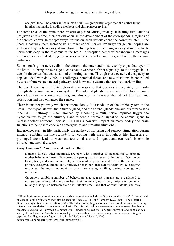occipital lobe. The cortex in the human brain is significantly larger than the cortex found in other mammals, including monkeys and chimpanzees  $(p.18)$ .<sup>16</sup>

For some areas of the brain there are critical periods during infancy. If healthy stimulation is not given at this time, then deficits occur in the development of the corresponding regions of the cerebral cortex. In the 'pathways' for vision, such deficits cannot be corrected later. In the hearing pathway there seems to be a similar critical period. Pathways for general coping are influenced by early sensory stimulation, including touch. Incoming sensory stimuli activate nerve cells deep in the thalamus of the brain—a reception center where incoming messages are processed so that alerting responses can be interpreted and integrated with other neural pathways.

Some signals go to nerve cells in the cortex—the outer and most recently expanded layer of the brain—to bring the message to conscious awareness. Other signals go to the amygdala—a deep brain center that acts as a kind of sorting station. Through these centers, the capacity to cope and deal with daily life, its challenges, potential threats and new situations, is controlled by a set of interrelated neural pathways and hormonal systems, that are 'set' early in life.

The best known is the fight-flight-or-freeze response that operates immediately, primarily through the autonomic nervous system. The adrenal glands release into the bloodstream a shot of adrenaline (norepinephrine), and this rapidly increases the rate of the heart and respiration and also enhances the senses.

There is another pathway which acts more slowly. It is made up of the limbic system in the brain—the hypothalamus, the pituitary gland, and the adrenal glands; the authors refer to it as "the LHPA pathway." When aroused by incoming stimuli, nerve impulses trigger the hypothalamus to get the pituitary gland to send a hormonal signal to the adrenal gland to release another hormone—cortisol. This has a powerful impact on many bodily and brain functions to help them cope with emergencies and stressful situations.

Experiences early in life, particularly the quality of nurturing and sensory stimulation during infancy, establish lifetime *set-points* for coping with stress throughout life. Excessive or prolonged stress leads to wear and tear on tissues and organs, and can result in chronic physical and mental disease.

*Early Years Study 2* summarized evidence that:

Humans, like all other mammals, are born with a number of mechanisms to promote mother-baby attachment. New-borns are perceptually attuned to the human face, voice, touch, taste, and even movements, with a marked preference shown to the mother, or primary caregiver. Infants have reflexive behaviours that automatically evoke caregiver responses, the most important of which are crying, smiling, gazing, cooing, and imitation.

Caregivers exhibit a number of behaviours that suggest humans are pre-adapted to nurture our infants. Mothers can hear their infant crying in very noisy environments, reliably distinguish between their own infant's smell and that of other infants, and they

 $\overline{a}$ 

<sup>&</sup>lt;sup>16</sup> These brain areas, present in all mammals (but not reptiles) include the 'the mammalian brain'. Diagrams and an account of their functions may also be seen in: Kingsley, C.H. and Lambert, K.G. (2006). The Maternal Brain. *Scientific American*, Jan 2006: 58-65. The rather forbidding anatomical names of these structures, being international, are derived from Greek and Latin. Thus, from Greek: *neuron*—nerve; *thalamus*—a chamber or receptacle; *amygdala*—amygdale, almond; *hypo*—under or below; *epi*—on, near, above, in addition; *nephros* kidney. From Latin: *cortex*—bark or outer layer; *limbus*—border; *renal*—kidney; *pituitosus*—secreting, to separate. For diagrams see figures 1.1 to 1.4 in McCain and Mustard, 2007 action.web.ca/home/crru/rsrcs\_crru\_full.shtml?x=98547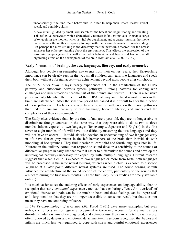unconsciously fine-tune their behaviours in order to help their infant master verbal, social, and cognitive skills.

A new infant, guided by smell, will search for the breast and begin rooting and suckling. This reflexive behaviour, which dramatically reduces infant crying, also triggers a surge of oxytocin in the mother, which is vital for attachment, and a gastro-intestinal hormone that enhances the mother's capacity to cope with the caloric demands of breast-feeding. But perhaps the most striking is the discovery that the newborn's 'search' for the breast enhances her olfactory learning about the environment. This effects the expression of the serotonin receptor genes that will affect adult behaviour and health and has an overall organizing effect on the development of the brain (McCain et al., 2007: 47–49).

#### **Early formation of brain pathways, languages, literacy, and early memories**

Although few people can remember any events from their earliest years, their far-reaching importance can be clearly seen in the way small children can learn two languages and speak them both without a foreign accent—an achievement beyond most people after childhood.

The *Early Years Study 2* says: "early experiences set up the architecture of the LHPA pathway and autonomic nervous system pathways. Lifelong patterns for coping with challenges and new situations become part of the brain's architecture…. There is a sensitive period in early life when the function of the LHPA pathway and related neural circuits in the brain are established. After the sensitive period has passed it is difficult to alter the function of these pathways…. Early experiences have a powerful influence on the neural pathways that underlie humans' capacity to use language, become literate, and understand the complexities of their environments."

The Study cites evidence that "by the time infants are a year old, they are no longer able to discriminate foreign contrasts in the same way that they were able to do at two to three months. Infants exposed to two languages (for example, Japanese and English) in the first seven to eight months of life will have little difficulty mastering the two languages and they will not have an accent.... Individuals who develop an understanding of two languages early in life have denser grey matter in the left hemisphere of the brain than individuals with monolingual backgrounds. They find it easier to learn third and fourth languages later in life. Neurons in the auditory cortex that respond to sound develop a sensitivity to the sounds of different languages in early life that make it easier to differentiate the sounds and develop the neurological pathways necessary for capability with multiple languages. Current research suggests that when a child is exposed to two languages or more from birth, both languages will be processed in the same neural systems, whereas when a child is exposed to a second language at a later point, different neural systems are used. The sound sensing stimuli influence the architecture of the sound section of the cortex, particularly to the sounds that are heard during the first seven months." (These two *Early Years* studies are freely available online.)

It is much easier to see the enduring effects of early experiences on language ability, than to recognize that early *emotional* experiences, too, can have enduring effects. An 'overload' of emotional distress and pain can be too much to bear, and these feelings can be 'repressed' and 'forgotten,' so that they are no longer accessible to conscious recall, but that does not mean they have no continuing influence.

In *The Psychopathology of Everyday Life*, Freud (1901) gave many examples; but even today, such effects are not regularly recognized or taken into account. Post-traumatic stress disorder in adults is now often diagnosed, and yet—because they can only tell us with a cry, often followed by despair and emotional detachment—it is seldom recognized that babies and infants are much less well-equipped to cope with stress and painful emotional experiences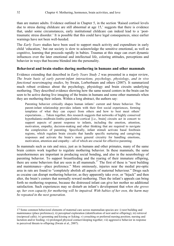than are mature adults. Evidence outlined in Chapter 5, in the section 'Raised cortisol levels due to stress during childcare are still abnormal at age 15,' suggests that there is evidence that, under some circumstances, early institutional childcare can indeed lead to a 'posttraumatic stress disorder.' It is possible that this could have legal consequences, since earlier warnings have not been well-heeded.

The *Early Years* studies have been used to support much activity and expenditure in early child 'education,' but our society is slow to acknowledge the sensitive emotional, as well as cognitive, learning that proceeds rapidly in babies. Traumas at this stage can exert dynamic influences over the later emotional and intellectual life, coloring attitudes, perceptions and behavior in ways that become blended into the personality.

#### **Behavioral and brain studies during mothering in humans and other mammals**

Evidence extending that described in *Early Years Study 2* was presented in a major review, *The brain basis of early parent-infant interactions, psychology, physiology*, *and in vivo functional neuroimaging studies*, by Swain, Lorberbaum and others (2007). It summarized much robust evidence about the psychology, physiology and brain circuits underlying mothering. They described evidence showing how the same neural centers in the brain can be seen to be active during live imaging of the brains in humans and some other mammals when they are mothering their infants. Within a long abstract, the authors say:

Parenting behavior critically shapes human infants' current and future behavior. The parent-infant relationship provides infants with their first social experiences, forming templates of what they can expect from others and how to best meet others' expectations.… Taken together, this research suggests that networks of highly conserved hypothalamic-midbrain-limbic-paralimbic-cortical [i.e., brain] circuits act in concert to support aspects of parent response to infants, including the emotion, attention, motivation, empathy, decision-making and other thinking that are required to navigate the complexities of parenting. Specifically, infant stimuli activate basal forebrain regions, which regulate brain circuits that handle specific nurturing and caregiving responses and activate the brain's more general circuitry for handling emotions, motivation, attention and empathy—all of which are crucial for effective parenting.

In mammals such as rats and mice, just as in humans and other primates, many of the same brain centers work together to regulate mothering behavior. In these mammals, the same neurohormones are important in producing social bonding, and also in the neurobiology of parenting behavior. To support breastfeeding and the rearing of their immature offspring, there are some behaviors that are seen in all mammals.<sup>17</sup> The first of these is "nest building" and maintenance—place preference." More ominously, injuries near the medial pre-optic area in rats are found to "completely abolish all aspects of maternal behaviour." Drugs such as cocaine can disrupt mothering behavior, as they apparently take over, or "hijack" and then alter, the brain's centers that normally reward mothering. Then the infant's appeals can bring forth no mothering response, because the distressed infant can give her mother no additional satisfaction. Such experiences may so disturb an infant's development that *when she grows up, her own capacity for mothering will be impaired. With babies of her own, the harm may be repeated in the next generation*.

 $\overline{a}$ 

<sup>17</sup> Some common behavioral elements of maternal care across mammalian species are: i) nest building and maintenance (place preference); ii) perceptual exploration (identification of nest and/or offspring); iii) retrieval (reciprocal calls); iv) grooming and kissing or licking; v) crouching or preferred nursing position; nursing and lactation and/or feeding; vi) prolonged physical contact/sleeping together; vii) aggressive behavior in response to perceived threats to offspring (Swain et al., 2007).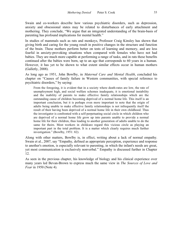Swain and co-workers describe how various psychiatric disorders, such as depression, anxiety and obsessional states may be related to disturbances of early attachment and mothering. They conclude, "We argue that an integrated understanding of the brain-basis of parenting has profound implications for mental health."

In studies of mammals such as rats and monkeys, Professor Craig Kinsley has shown that giving birth and caring for the young result in positive changes in the structure and function of the brain. These mothers perform better on tests of learning and memory, and are less fearful in anxiety-provoking situations when compared with females who have not had babies. They are much more capable at performing a range of tasks, and in rats these benefits continued after the babies were born, up to an age that corresponds to 60 years in a human. However, it has yet to be shown to what extent similar effects occur in human mothers (Galletly, 2008).

As long ago as 1951, John Bowlby, in *Maternal Care and Mental Health*, concluded his chapter on "Causes of family failure in Western communities, with special reference to psychiatric disorders," by saying:

From the foregoing, it is evident that in a society where death-rates are low, the rate of unemployment high, and social welfare schemes inadequate, it is emotional instability and the inability of parents to make effective family relationships which are the outstanding cause of children becoming deprived of a normal home life. This itself is an important conclusion, but it is perhaps even more important to note that the origin of adults being unable to make effective family relationships is not infrequently itself the result of their having been deprived of a normal home life in their own childhood. Thus the investigator is confronted with a self-perpetuating social circle in which children who are deprived of a normal home life grow up into parents unable to provide a normal home life for their children, thus leading to another generation of adults unable to do the same for theirs. Most workers in childcare regard this vicious circle as playing an important part in the total problem. It is a matter which clearly requires much further investigation." (Bowlby, 1951: 82).

Along with other matters, Bowlby is, in effect, writing about a lack of normal empathy. Swain et al., 2007, say "Empathy, defined as appropriate perception, experience and response to another's emotion, is especially relevant to parenting, in which the infant's needs are great, yet most communication is exclusively nonverbal." Empathy is discussed further in Chapter 12.

As seen in the previous chapter, his knowledge of biology and his clinical experience over many years led Bevan-Brown to express much the same view in *The Sources of Love and Fear* in 1950 (Note 4).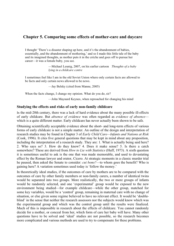# **Chapter 5. Comparing some effects of mother-care and daycare**

I thought 'There's a disaster shaping up here, and it's the abandonment of babies, essentially, and the abandonment of mothering,' and so I made this little tale of the baby and its imagined thoughts, as mother puts it in the crèche and goes off to pursue her career—it was a female baby, you see.

> —Michael Leunig, 2007, on his earlier cartoon *Thoughts of a baby lying in a childcare centre*

I sometimes feel like I am in the old Soviet Union where only certain facts are allowed to be facts and only certain news allowed to be news.

—Jay Belsky (cited from Manne, 2005)

When the facts change, I change my opinion. What do you do, sir?

—John Maynard Keynes, when reproached for changing his mind

#### **Studying the effects and risks of early non-family childcare**

In the mid-20th century, there was a lack of hard evidence about the many possible ill-effects of early childcare. But *absence of evidence* was often regarded as *evidence of absence* which is a quite different matter. Early childcare has never actually been shown to be safe.

Obtaining scientifically acceptable evidence about the short- and long-term effects of various forms of early childcare is not a simple matter. An outline of the design and interpretation of research studies may be found in Chapter 3 of *Early Child Care—Infants and Nations at Risk* (Cook, 1996). It cites five general questions that may be kept in mind about any proposition, including the interpretation of a research study. They are: 1. What is actually being said here? 2. Who says so? 3. How do they know? 4. Does it make sense? 5. Is there a catch somewhere? These are derived from *How to Lie with Statistics* (Huff, 1973). A sixth question it is sometimes useful to ask is the one that was made memorable, and used to devastating effect by the Roman lawyer and orator, Cicero. At strategic moments in a classic murder trial he paused, then asked the Senate to consider: *cui bono?*—to whom goes the benefit? Who is gaining here? A variation sometimes used today is 'follow the money.'

In theoretically ideal studies, if the outcomes of care by mothers are to be compared with the outcomes of care by other family members or non-family carers, a number of identical twins would be separated into two groups. More realistically, the two or more groups of infants would be randomly selected, and one 'experimental' group would be exposed to the new environment being studied—for example childcare—while the other group, matched for some key variables, would be a 'control' group, remaining in maternal care with no change of situation, or else given some regime believed to have no relevant effect. It would be 'doubleblind' in the sense that neither the research assessors nor the subjects would know which was the experimental group and which was the control group until the results were finalized. Much of this is impossible in research about the effects of childcare. You cannot randomly decide for a mother, or conceal from her, which form of care her baby will have. Many other questions have to be solved and 'ideal' studies are not possible, so the research becomes more complicated and various methods are used to try to compensate for these problems.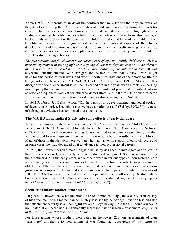Karen (1994) has chronicled in detail the conflicts that were termed the 'daycare wars' as they developed during the 1980s. Early studies of childcare increasingly showed grounds for concern, but this evidence was dismissed by childcare advocates, who highlighted any findings showing benefits, as sometimes occurred when children from disadvantaged backgrounds were placed in the best quality childcare that could be made available. These benefits were often in the cognitive rather than the emotional aspects of the child's development, and cognition is easier to study. Sometimes the results were generalized by childcare advocates, as if they also applied to childcare of lower quality, and/or to children from less disadvantaged homes.

*The fact remains that for children under three years of age, non-family childcare involves a massive experiment in raising infants and young children in daycare centers in the absence of any adults who are related or who have any continuing commitment to them.* It was advocated and implemented with disregard for the implications that Bowlby's work might have for this period of their lives, and when important foundations of the emotional life are being laid (e.g., Nurcombe 1971; Note 9; Cook, 1996: 18; Cook, 1999a). Moreover, this disorganized social experiment is still being carried out in the years when infants are learning more rapidly than at any other time in their lives. The burden of proof that it involved risks or adverse consequences was left for others to demonstrate, and if the results of such research were unwelcome, reasons were found for denying or disregarding them (Note 8).

In 1992 Professor Jay Belsky wrote: "On the basis of this developmental and social ecology of daycare in America, I conclude that we have a nation at risk" (Belsky, 1992: 90). A mass of subsequent evidence has confirmed that conclusion.

#### **The NICHD Longitudinal Study into some effects of early childcare**

To settle a number of these important issues, the National Institute for Child Health and Development (NICHD) in the USA established the Early Child Care Research Network (ECCRN) with more than twenty leading American child development researchers, and they were required to reach agreement on each of their reports before results could be published. Many of those in the Network were women who had written in support of early childcare and in some cases they had depended on it to advance in their professional careers.

In 1991, the Network began a major longitudinal study designed to investigate and follow-up the effects of various types of early care on children's development. Some were cared for by their mothers during the early years, while others were in various types of non-maternal care at various ages and for varying periods of time. From the time the infants were one month old, they and their mothers were studied, and the development and outcomes of the various groups were compared. The method and the successive findings are described in a series of NICHD ECCRN reports, as the children's development has been followed up. Nothing about breastfeeding was recorded in this study. An outline of the study design and two early reports to 1997 were summarized in *Early Child Care* (Cook, 1997).

#### **Security of infant-mother attachment**

Early results showed that when the infant is 15 to 18 months of age, the security or insecurity of his attachment to his mother can be reliably assessed by the Strange Situation test, and also that attachment security is a meaningful variable. Boys having more than 30 hours a week in non-maternal childcare had a significantly increased risk of insecure attachment, *regardless of the quality of the childcare or other factors*.

For those infants whose mothers were rated in the lowest 25% on assessments of their 'sensitivity' in relating to their infants, it was found that, *regardless of the quality of*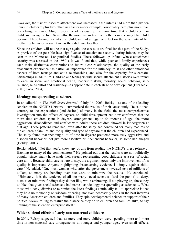*childcare*, the risk of insecure attachment was increased if the infants had more than just ten hours in childcare plus two other risk factors—for example, low-quality care plus more than one change in carer. Also, irrespective of its quality, the more time that a child spent in childcare during the first 36 months, the more insensitive the mother's mothering of her child became. Thus, having her infant in childcare had a negative effect on the sensitivity of her mothering behavior in such time as they did have together.

Since the children will not be that age again, these results are final for this part of the Study. A preview of the possible later significance of attachment security during infancy may be seen in the Minnesota Longitudinal Studies. These followed-up infants whose attachment security was assessed in the 1980's. It was found that, while peer and family experiences each make distinctive contributions to future close relationships, the quality of the early attachment experience has particular importance for the intimacy, trust and other emotional aspects of both teenage and adult relationships, and also for the capacity for successful partnerships in adult life. Children and teenagers with secure attachment histories were found to excel in social and emotional health, leadership skills, morality, social behavior, selfreliance, self-control and resiliency—as appropriate in each stage of development (Breazeale, 2001; Cook, 2004).

#### **Ideology masquerading as science**

In an editorial in *The Wall Street Journal* of July 16, 2003, Belsky—as one of the leading scholars in the NICHD Network—summarized the results of their latest study. He said that, contrary to the expectations (and desires) of many in the field, the most comprehensive investigation into the effects of daycare on child development had now confirmed that the more time children spent in daycare arrangements up to 54 months of age, the more aggression, disobedience and conflict with adults these children showed in kindergarten at that age. These patterns remained, even after the study had controlled for many features of the children's families and the quality and type of daycare that the children had experienced. The study found that spending a lot of time in daycare predicted more truly aggressive and disobedient behavior, not just more assertive or independent behavior, as some had alleged (Belsky, 2003).

Belsky added, "Not that you'd know any of this from reading the NICHD's press release or listening to many of the commentators." He pointed out that the results were not politically popular, since "many have made their careers representing good childcare as a sort of social cure-all.… Because child-care is here to stay, the argument goes, only the improvement of its quality is important. Anyone highlighting disconcerting evidence is simply against childcare." He added, "One must wonder why, after the government invested tens of millions of dollars, so many are bending over backward to minimize the results." He concluded, "Ultimately, it is the tendency of all too many social scientists (and the public) to deny, dismiss or minimize findings they do not like, while embracing, if not playing up, those they do like, that gives social science a bad name—as ideology masquerading as science.… What those who deny, dismiss or minimize the latest findings continually fail to appreciate is that they hold no monopoly on wisdom or caring, nor even necessarily speak in the best interests of many American children and families. They spin developmental science in support of their political views, failing to realize the disservice they do to children and families alike, to say nothing of the scientific enterprise itself."

#### **Wider societal effects of early non-maternal childcare**

In 2001, Belsky suggested that, as more and more children were spending more and more time in non-maternal care arrangements, at younger and younger ages, even small effects,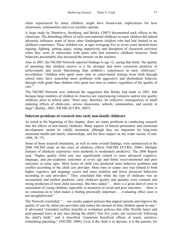when experienced by many children, might have broad-scale implications for how classrooms, communities and even societies operate.

A large study by Dmitrieva, Steinberg, and Belsky (2007) documented such effects in the classroom. The disturbing effects of early non-maternal childcare in some children did indeed adversely influence some of those other kindergarten children who had had limited or no childcare experience. These children too, at ages averaging five to seven years showed more arguing, fighting, getting angry, acting impulsively and disruption of classroom activities when they were in classrooms with peers who had extensive childcare histories. Such behaviors presumably also increased the stresses on the teachers.

Also in 2007, the NICHD Network reported findings to age 12, saying that while "the quality of parenting that children receive is a far stronger and more consistent predictor of achievement and social functioning than children's experiences in early child-care," nevertheless "children who spent more time in center-based settings from birth through school entry have somewhat more problems with aggressive and disobedient behavior through sixth grade than children who spent less time in centers, regardless of the quality of care."

The NICHD Network now endorsed the suggestion that Belsky had made in 2001, that because large numbers of children in America are experiencing extensive and/or low quality childcare prior to school entry "there may, therefore, be collective consequences of small enduring effects of child-care—across classrooms, schools, communities, and society at large" (Belsky, 2001; NICHD ECCRN, 2007).

#### **Inherent problems of research into early non-family childcare**

As noted at the beginning of this chapter, there are many problems in conducting research into the effects of non-family childcare. Many aspects of human personality and emotional development cannot be validly measured, although they are important for long-term emotional health and family relationships, and for their impact on the wider society (Cook, 1996, 58–75).

Some of these research limitations, as well as some overall findings, were summarized in the 2006 NICHD study on the sizes of childcare effects (NICHD ECCRN, 2006). Multiple features of childcare experience were modestly to moderately predictive. The 2006 Report said, "Higher quality child care was significantly related to more advanced cognitive, language, and pre-academic outcomes at every age and better socio-emotional and peer outcomes at some ages. More hours of child care predicted more behavior problems and conflict according to the child care provider. More time in center care was related to both higher cognitive and language scores and more problem and fewer prosocial behaviors according to care providers." They concluded that while the type of childcare was an inconsistent and modest predictor, early childcare quality and quantity were constant and strong predictors of most child outcomes. But they added "… there is a great deal of error in assessment of young children, especially in measures of social and peer outcomes … there is no consensus as to what makes a finding practically important … evaluating effect sizes is not straightforward."

The Network concluded, "… our results support policies that support parents and improve the quality of care by child-care providers and reduce the amount of time children spend in care." It advocated "extended welfare benefits or workplace policies that offer flexible hours and paid parental leave at any time during the child's first five years, not exclusively following the child's birth," and it described "consistent beneficial effects of warm, sensitive, stimulating parenting." (NICHD, 2006). Even if the child is in daycare, it is the parents, for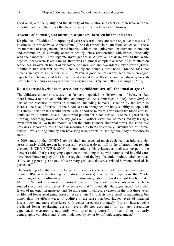good or ill, and the quality and the stability of the relationships that children have with the important adults in their lives that have the most effect on how a child turns out.

#### **Absence of normal 'joint attention sequences' between infant and carer**

Despite the difficulties of interpreting daycare research, there are some objective measures of its effects. In *Motherhood*, Anne Manne (2005) described 'joint attention sequences.' These are moments of engagement, shared interest, with mutual enjoyment, excitement, interaction and communion, as normally occur in healthy, close relationships with babies, especially with their mothers. Three separate investigations in Australian childcare "found that while physical needs were taken care of, there was an almost complete absence of joint attention sequences. In over 30 hours of videotape of caregivers and two infants, taken over eighteen months at two different centres, Berenice Nyland found almost none." Manne adds that Greenspan says of US centers in 2001, "Even in good centres we've seen many an eager, expectant eight-month-old baby give up and stare at the wall as his caregiver stops by his crib briefly but then hurries away to attend to a crying rival" (Nyland, 2003; Greenspan, 2001).

#### **Raised cortisol levels due to stress during childcare are still abnormal at age 15**

The childcare outcomes discussed so far have depended on observations of behavior. But there is now a relevant and objective laboratory test. As summarized in *Early Years Study 2*, part of the response to stress in mammals, including humans, is action by the brain to increase the level of cortisol in the blood so as to strengthen the body's ability to cope with this stress. In nature this would normally be a short-term event, after which the blood cortisol could return to normal levels. The normal pattern for blood cortisol is to be highest in the morning, becoming lower as the day goes on. Cortisol levels can be measured by taking a swab from the saliva in the mouth. When the child is under abnormal stress, the saliva test provides a laboratory result that can measure the effects objectively. Disturbance of normal cortisol levels during infancy can have long-term effects in 'setting' the body's response to stress.

A 2008 study by the NICHD Network cited and accepted much evidence that infants under stress in early childcare can have cortisol levels that do not fall in the afternoon but remain elevated (NICHD ECCRN, 2008). In summarizing this evidence as their starting point, the Network said, "Early caregiving experiences, including those with parents and in child-care, have been shown to play a role in the regulation of the hypothalamic-pituitary-adrenocortical (HPA) axis generally and one of its primary products, the stress-related hormone cortisol, in particular."

The Study reported that over the longer term, early experiences in childcare and with parents predict HPA axis functioning (i.e., stress responses). To test the hypothesis that "early caregiving stressors ultimately result in the down-regulation of basal cortisol levels in later life" the Network examined the cortisol levels of 15-year-old adolescents who had been studied since they were babies. They reported that "individuals who experienced: (a) higher levels of maternal insensitivity and (b) more time in childcare centers in the first three years of life had lower awakening cortisol levels at age 15. Effects were small in magnitude, but nonetheless the effects were: (a) additive in the sense that both higher levels of maternal insensitivity and more experience with center-based care uniquely (but not interactively) predicted lower awakening cortisol levels; (b) not accounted for by later caregiving experiences measured concurrently with awakening cortisol at age 15 or by early demographic variables; and (c) not moderated by sex or by difficult temperament."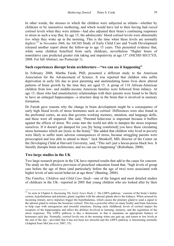In other words, the stresses to which the children were subjected as infants—whether by childcare or by insensitive mothering, and which would have led to their having had *raised* cortisol levels when they were infants—had also adjusted their brain's continuing responses to stress in such a way that, by age 15, the adolescents' blood cortisol levels were abnormally *low* when they woke up in the morning. This is the time when these levels are normally *highest*. 18 In November 2008, the NICHD Study of Early Child Care and Youth Development released another report about the follow-up to age 15 years. This presented evidence that, while some children benefited from early childcare, nevertheless "Higher hours of nonrelative care predicted greater risk taking and impulsivity at age 15" (NICHD SECCYD, 2008. For full Abstract, see Postscript 1).

#### **Such experiences disrupt brain architecture—"we can see it happening"**

In February 2008, Martha Farah, PhD, presented a different study to the American Association for the Advancement of Science. It was reported that children who suffer deprivation in early life due to poor parenting and unstimulating home lives show altered patterns of brain growth by the time they are aged 15. A group of 118 African-American children from low- and middle-income American families were followed from infancy. At age 15, those who had unsatisfactory relationships with their parents were found to be likely to have an enlarged hippocampus*—*a structure deep in the brain that is involved in memory formation.

Dr Farrah gave reasons why the change in brain development might be a consequence of early high blood levels of stress hormones such as cortisol. Differences were also found in the prefrontal cortex, an area that governs working memory, attention, and language skills, and these were all impaired. She said, "Parental behaviour is important because it buffers against the effects of stress. We come into the world not able to dampen the stress response ourselves. If it doesn't get damped for you [by being comforted] you have these circulating stress hormones which are [toxic to the brain]." She added that children who lived in poverty were likely to suffer more adverse consequences of stress, because struggling parents were preoccupied and less able to attend to them." Jack Shonkoff, MD, director of the Center on the Developing Child at Harvard University, said, "This isn't just a hocus-pocus black box. It literally disrupts brain architecture, and we can see it happening" (Robotham, 2008).

#### **Two large studies in the UK**

 $\ddot{ }$ 

Two large research projects in the UK have reported results that add to the cause for concern. The study on the effective provision of preschool education found that, "high levels of group care before the age of three (and particularly before the age of two) were associated with higher levels of anti-social behavior at age three" (Bunting, 2004).

The *Families, Children and Child Care Study—*one of the longest and most detailed studies of childcare in the UK*—*reported in 2005 that young children who are looked after by their

<sup>&</sup>lt;sup>18</sup> As seen in Chapter 4, discussing *The Early Years Study 2*, 'the LHPA pathway,' consists of the brain's limbic system, hypothalamus and pituitary gland, together with the adrenal glands above the kidneys. When aroused by incoming stimuli, nerve impulses trigger the hypothalamus, which causes the pituitary gland to send a signal to the adrenal gland to release the hormone cortisol. This has a powerful effect on many bodily and brain functions to help cope with emergencies and stressful situations. During early childhood, levels of cortisol impact the receptors of the hippocampus and affect the abilities involved in learning, memory, and the regulation of the stress responses. The LHPA pathway is like a thermostat, in that it maintains an appropriate balance of hormones each day. Normally, cortisol levels rise in the morning when one gets up, and return to low levels at the end of the day—provided that it has not been too stressful and the LHPA pathway is functioning normally (Adapted from McCain et al. 2007, 55).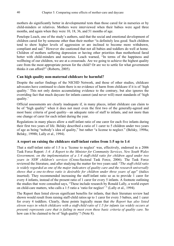mothers do significantly better in developmental tests than those cared for in nurseries or by child-minders or relatives. Mothers were interviewed when their babies were aged three months, and again when they were 10, 18, 36, and 51 months of age.

Penelope Leach, one of the study's authors, said that the social and emotional development of children cared for by someone other than their mother "is definitely less good. Such children tend to show higher levels of aggression or are inclined to become more withdrawn, compliant and sad." However she cautioned that not all babies and toddlers do well at home. Children of mothers suffering depression or having other priorities than motherhood fared better with child-minders and nurseries. Leach warned, "In terms of the happiness and wellbeing of our children, we are at a crossroads. Are we going to achieve the highest quality care from the most appropriate person for the child? Or are we to settle for what government thinks it can afford?" (Roberts, 2005).

#### **Can high quality non-maternal childcare be harmful?**

Despite the earlier findings of the NICHD Network, and those of other studies, childcare advocates have continued to claim there is no evidence of harm from childcare if it is of 'high quality.' This not only denies accumulating evidence to the contrary, but also ignores the overriding fact that much daycare for infants cannot (and never will) meet standards of 'high quality.'

Official assessments are clearly inadequate if, in many places, infant childcare can claim to be of "high quality" when it does not meet even the first two of the generally-agreed and most basic criteria of good quality—an adequate ratio of staff to infants, and not more than one change of carer for each infant during the year.

Regulations in many places allow a staff-infant ratio of one carer for each five infants during their first two years of life. Belsky described a ratio of 1 carer to 5 children under two years of age as being "nobody's idea of quality," but rather "a license to neglect." (Belsky, 1998a; Belsky, 1998b; Lally et al., 1994).

# **A report on raising the childcare staff-infant ratios from 1:5 up to 1:4**

That a staff-infant ratio of 1:5 is a 'license to neglect' was, effectively, endorsed in a 2006 Task Force Report: *1:4: A Report to the Minister for Community Services, New South Wales Government, on the implementation of a 1:4 staff-child ratio for children aged under two years in NSW children's services* (Cross-Sectoral Task Force, 2006). The Task Force reviewed the literature, and after studying the matter for two years said: "*The staff-child ratio is widely regarded as one of the major indicators of quality care and the research universally shows that a one-to-three ratio is desirable for children under three years of age*" (italics inserted). They recommended increasing the staff-infant ratio so as to provide 1 carer for every 4 infants, instead of the present ratio of 1 carer for every 5 infants. A footnote outlining the studies that were consulted says, "These include research by Ronald Lally, a world expert on child-care matters, who calls a 1:5 ratio a 'ratio for neglect' " (Lally et al., 1994).

The Report then listed eleven significant benefits for infants, that their literature review had shown would result from raising staff-child ratios up to 1 carer for every 3 babies, and 1 carer for every 4 toddlers. Clearly, these points logically mean that *the Report has also listed eleven ways in which childcare with a staff-child ratio of 1:5 for infants (as widely occurs at present) represents care that is failing to meet even these basic criteria of quality care.* So how can it be claimed to be of 'high quality'? (Note 8).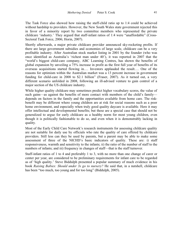The Task Force also showed how raising the staff-child ratio up to 1:4 could be achieved without hardship to providers. However, the New South Wales state government rejected this in favor of a minority report by two committee members who represented the private childcare 'industry.' They argued that staff-infant ratios of 1:4 were "unaffordable" (Cross-Sectoral Task Force, 2006; Horin, 2007).

Shortly afterwards, a major private childcare provider announced sky-rocketing profits. If there are large government subsidies and economies of large scale, childcare can be a very profitable industry. After Australian stock market listing in 2001 by the founder (who was once identified as Australia's 'richest man under 40'), it was reported in 2007 that the "world's biggest child-care company, ABC Learning Centres, has shown the benefits of global expansion by unveiling a 75% increase in profit as the first full year of benefits of its overseas acquisitions started flowing in.… Investors applauded the result.… One of the reasons for optimism within the Australian market was a 13 percent increase in government funding for child-care in 2008 to \$2.1 billion" (Fraser, 2007). As it turned out, a very different scenario unfolded in 2008, following an ill-advised venture to gain control of a major section of the US childcare industry.

While higher quality childcare may sometimes predict higher vocabulary scores, the value of such gains—as against the benefits of more contact with members of the child's family depends on factors in the family and the opportunities available from home care. The riskbenefit may be different where young children are at risk for social reasons such as a poor home environment, and especially when truly good quality daycare is available. Here it may offer intellectual and developmental benefits; but these are a special case that should not be generalized to argue for early childcare as a healthy norm for most young children, even though it is politically fashionable to do so, and even when it is demonstrably lacking in quality.

Most of the Early Child Care Network's research instruments for assessing childcare quality are not suitable for daily use by officials who rate the quality of care offered by childcare providers. Still less can they be used by parents, but a parent may be able to make some assessment of three of the NICHD's basic indicators of quality. These are: i) staff responsiveness, warmth and sensitivity to the infants; ii) the ratio of the number of staff to the numbers of infants; and iii) frequency in changes of staff—that is the staff turnover.

Staff-infant ratios of 1 to 4 and preferably 1 to 3, with no more than one change of carer or center per year, are considered to be preliminary requirements for infant care to be regarded as of 'high quality.' Steve Biddulph presented a popular summary of much evidence in his book *Raising Babies: Should under 3s go to nursery?* He said that, in a nutshell, childcare has been "too much, too young and for too long" (Biddulph, 2005).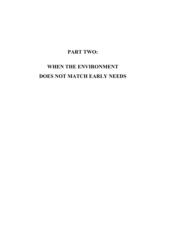# **PART TWO:**

# **WHEN THE ENVIRONMENT DOES NOT MATCH EARLY NEEDS**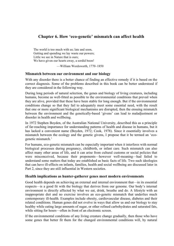# **Chapter 6. How 'eco-genetic' mismatch can affect health**

The world is too much with us; late and soon, Getting and spending we lay waste our powers; Little we see in Nature that is ours; We have given our hearts away, a sordid boon!

—William Wordsworth, 1770–1850

#### **Mismatch between our environment and our biology**

With any disorder there is a better chance of finding an effective remedy if it is based on the correct diagnosis. Some of the problems described in this book can be better understood if they are considered in the following way.

During long periods of natural selection, the genes and biology of living creatures, including humans, become as well-fitted as possible to the environmental conditions that prevail when they are alive, provided that these have been stable for long enough. But if the environmental conditions change so that they fail to adequately meet some essential need, with the result that one or more significant biological mechanisms are disrupted, then the ensuing mismatch between the environment and the genetically-based 'givens' can lead to maladjustment or disorder in health and wellbeing.

In 1972 Stephen Boyden, of the Australian National University, described this as a principle of far-reaching importance for understanding patterns of health and disease in humans, but it has lacked a convenient name (Boyden, 1972; Cook, 1978). Since it essentially involves a mismatch between the ecology and the genetic givens, I propose that it be termed an 'ecogenetic mismatch.'

For humans, eco-genetic mismatch can be especially important when it interferes with normal biological processes during pregnancy, childbirth, or infant care. Such mismatch can also affect many other areas of life, and it can arise from cultural customs or social policies that were misconceived, because their proponents—however well-meaning—had failed to understand some matters that today are established as basic facts of life. Two such ideologies that can have ill-effects on infants, families, health and social wellbeing are discussed later in Part 2, since they are still influential in Western societies.

#### **Health implications as hunter-gatherer genes meet modern environments**

Good health depends on achieving an external and internal environment that—in its essential respects—is a good fit with the biology that derives from our genome. Our body's internal environment is directly affected by what we eat, drink, breathe and do. A lifestyle with an inappropriate diet and no exercise involves an eco-genetic mismatch that underlies much contemporary ill-health. Examples include obesity, cardiovascular disease, diabetes and their related conditions. Human genes did not evolve in ways that allow us and our biology to stay healthy while eating large amounts of sugar, or other refined carbohydrates and saturated fats, while sitting for hours—often in front of an electronic screen.

If the environmental conditions of any living creature change gradually, then those who have some genes that better fit them for the changed environmental conditions will, by natural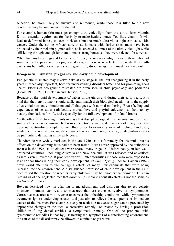selection, be more likely to survive and reproduce, while those less fitted to the new conditions may become unwell or die out.

For example, human skin must get enough ultra-violet light from the sun to form vitamin D—an essential requirement for the body to make healthy bones. Too little vitamin D will lead to deformed bones, as seen in rickets; but too much ultra-violet light can cause skin cancer. Under the strong African sun, those humans with darker skins must have been protected by their melanin pigmentation, as it screened out most of the ultra-violet light while still letting through enough for them to make strong bones, so they were selected for survival.

When humans later migrated to northern Europe, the weaker sunlight favored those who had some genes for paler and less pigmented skin, so these were selected for, while those with dark skins but without such genes were genetically disadvantaged and must have died out.

#### **Eco-genetic mismatch, pregnancy and early child development**

Eco-genetic mismatch may involve risks at any stage in life, but recognizing it in the early years is especially important, both for understanding disorders better and for promoting good health. Effects of eco-genetic mismatch are often seen in child psychiatry and pediatrics (Cook, 1973; 1978; Gluckman and Hanson, 2006).

Because of the rapid development of babies in the uterus and during their early years, it is vital that their environment should sufficiently match their biological needs—as in the supply of essential nutrients, stimulation and all that goes with normal mothering. Breastfeeding and experiences of sensuous satisfaction, mutual love and playful enjoyment all help to lay healthy foundations for life, and especially for the full development of infants' brains.

On the other hand, treating infants in ways that disrupt biological mechanisms can be a major source of eco-genetic mismatch. From conception onwards, deficiencies of many essential trace nutrients—for example, iodine, fluoride or folate—carry risks of lifelong handicaps, while the presence of toxic substances—such as lead, mercury, nicotine, or alcohol—can also be particularly damaging in the early years.

Thalidomide was widely marketed in the late 1950s as a safe remedy for insomnia, but its effects on the developing fetus had not been tested. It was never approved by the authorities for use in the USA, so its citizens were spared many tragedies. Unfortunately, in less wellprotected countries—including Australia and New Zealand—it was released and advertised as safe, even in overdose. It produced various limb deformities in those who were exposed to it at critical times during their early development. In *Silent Spring* Rachael Carson (1962) drew world attention to the damaging effects of many new chemicals that were being released into the environment. A distinguished professor of child development in the USA once raised the question of whether early childcare may be 'another thalidomide.' This can remind us of the neglected fact that *absence of evidence* about ill-effects is not the same as *evidence of absence*.

Boyden described how, in adapting to maladjustments and disorders due to eco-genetic mismatch, humans can resort to measures that are either corrective or symptomatic. Corrective measures aim to reverse or correct the unhealthy conditions, while symptomatic treatments ignore underlying causes, and just aim to relieve the symptoms or immediate causes of the disorder. For example, decay in teeth due to excess sugar can be prevented by appropriate changes in the diet—a corrective remedy—or treated by having a profession skilled in filling dental cavities—a symptomatic remedy. One of the problems with symptomatic remedies is that by just treating the symptoms of a deteriorating environment, the causes of the disorder may be allowed to continue or get worse.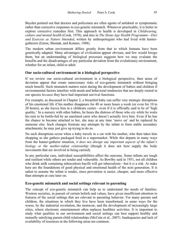Boyden pointed out that doctors and policemen are often agents of antidotal or symptomatic rather than corrective responses to eco-genetic mismatch. Whenever practicable, it is better to explore corrective remedies first. This approach to health is developed in *Childrearing, culture and mental health* (Cook, 1978), and also in *The Stone-Age Health Programme—Diet and Exercise as Nature Intended*, written by anthropologists who had lived with huntergatherers (Eaton, Shostak, and Konner, 1988).

The modern urban environment differs greatly from that to which humans have been genetically adapted. Many advantages of civilization appear obvious, and few would forego them, but an understanding of biological processes suggests how we may evaluate the benefits and the disadvantages of any particular deviation from the evolutionary environment, whether for an infant, child or adult.

#### **Our socio-cultural environment in a biological perspective**

If we review our socio-cultural environment in a biological perspective, then areas of deviation appear that create unnecessary risks of eco-genetic mismatch without bringing much benefit. Such mismatch matters most during the development of babies and children if environmental factors interfere with needs and behavioral tendencies that are deeply rooted in our species *because* they have had important survival functions.

For example, as discussed in Chapter 2, a breastfed baby can suffer very strategic disruptions of his emotional life if his mother disappears for 40 or more hours a week (or even for 10 to 20 hours), as she leaves him in a childcare center—even if it is officially said to be of 'high quality.' In a nursery with other babies, he hears the distress of those who cry while he waits his turn to be bottle-fed by an unrelated carer who doesn't actually love him. Even if he has the chance to become attached to her, she may at any time 'move on' and be replaced by someone else. Such changes frustrate any attempts by the infant to form stable secondary attachments; he may just give up trying to do so.

No such disruptions occur when a baby travels in a car with his mother, who then takes him shopping as she gathers packaged food in a supermarket. While this departs in many ways from the hunter-gatherer situation, *it does not disrupt any important aspects of the infant's biology or the mother-infant relationship* (though it does not here supply the body movements that are involved in being carried).

In any particular case, individual susceptibilities affect the outcome. Some infants are tough and resilient while others are tender and vulnerable. As Bowlby said in 1951, not all children who drink milk containing tuberculosis bacilli will get tuberculosis—but it *is* a risk. At stake here are the foundations of good physical and emotional health of the next generation. It is safest to assume the infant is tender, since prevention is easier, cheaper, and more effective than attempts at cure later on.

#### **Eco-genetic mismatch and social settings relevant to parenting**

The concept of eco-genetic mismatch can help us to understand the needs of families. Western societies, in pursuit of certain beliefs and values, have given insufficient attention to features of the social settings that are relevant to parenting behavior. For many parents and children, the situations in which they live have been transformed, in some ways for the worse, by the industrial revolution, the motorcar, and the development of increasingly large cities, where electronic entertainment often replaces healthier activities. It is important to study what qualities in our environment and social settings can best support healthy and mutually satisfying parent-child relationships (McCain et al., 2007). Inadequacies and lack of availability of resources in the following areas are common: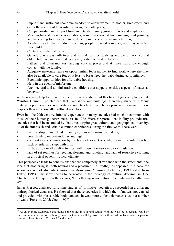- Support and sufficient economic freedom to allow women to mother, breastfeed, and enjoy the rearing of their infants during the early years;
- Companionship and support from an extended family group, friends and neighbors;
- Meaningful and sociable occupations, sometimes around homemaking, and growing and harvesting food, as used to be done by mothers while raising children;
- Availability of other children or young people to assist a mother, and play with her little children;
- Contact with the natural world:
- Outside play areas with trees and natural features; walking and cycle tracks so that older children can travel independently, safe from traffic hazards;
- Fathers, and often mothers, finding work in places and at times that allow enough contact with the family;
- Adequate maternity leave or opportunities for a mother to find work where she may also be available to care for, or at least to breastfeed, her baby during early infancy;
- Economic opportunities for affordable housing;
- Help in the event of misfortune;
- Architectural and administrative conditions that support sensitive aspects of maternal behavior $19$

Affluence may help to improve some of these variables, but this has not generally happened. Winston Churchill pointed out that "We shape our buildings; then they shape us." Many materially poorer and even non-literate societies have made better provision in many of these respects than most so-called affluent societies.

Even into the 20th century, infants' experiences in many societies had much in common with those of their hunter-gatherer ancestors. In 1972, Werner reported that in fifty pre-industrial societies that had been studied by that time, despite great cultural and geographical diversity, all of the infants shared certain common experiences during the first year. These were:

- membership of an extended family system with many caretakers;
- breastfeeding on demand, day and night;
- constant tactile stimulation by the body of a caretaker who carried the infant on her back or side, and slept with him;
- participation in all adult activities, with frequent sensory-motor stimulation;
- lack of set routines for feeding, sleeping and toileting; and lack of restrictive clothing in a tropical or semi-tropical climate.

This perspective leads to conclusions that are completely at variance with the statement: "the idea that mothering is 'both natural and a pleasure' is a 'myth'," as appeared in a book for secondary school students *Children in Australian Families* (Ochiltree, 1990; cited from Duffy, 1995). This view seems to be rooted in the ideology of cultural determinism (see Chapter 10). The question then arises, 'If mothering is not natural, then what—if anything is?'

James Prescott analyzed forty-nine studies of 'primitive' societies, as recorded in a different anthropological database. He showed that those societies in which the infant was not carried and provided with pleasurable body contact showed more violent characteristics in a number of ways (Prescott, 2005; Cook, 1996).

 $\overline{a}$ <sup>19</sup> As an extreme example, a traditional Samoan hut in a natural setting, with no walls but a curtain, could be much more conducive to mothering behavior than a small high-rise flat with no safe outside area for play or meeting others. See also Chapter 12 and Note 11.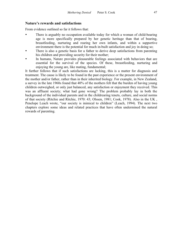#### **Nature's rewards and satisfactions**

From evidence outlined so far it follows that:

- There is arguably no occupation available today for which a woman of child-bearing age is more specifically prepared by her genetic heritage than that of bearing, breastfeeding, nurturing and rearing her own infants, and within a supportive environment there is the potential for much in-built satisfaction and joy in doing so;
- There is also a genetic basis for a father to derive deep satisfactions from parenting his children and providing security for their mother;
- In humans, Nature provides pleasurable feelings associated with behaviors that are essential for the survival of the species. Of these, breastfeeding, nurturing and enjoying the young are, like mating, fundamental;

It further follows that if such satisfactions are lacking, this is a matter for diagnosis and treatment. The cause is likely to be found in the past experience or the present environment of the mother and/or father, rather than in their inherited biology. For example, in New Zealand, a survey in the late 1960s found that 40% of the mothers felt that the burden of having young children outweighed, or only just balanced, any satisfaction or enjoyment they received. This was an affluent society; what had gone wrong? The problem probably lay in both the background of the individual parents and in the childrearing tenets, culture, and social norms of that society (Ritchie and Ritchie, 1970: 43; Olssen, 1981; Cook, 1978). Also in the UK , Penelope Leach wrote, "our society is inimical to children" (Leach, 1994). The next two chapters explore some ideas and related practices that have often undermined the natural rewards of parenting.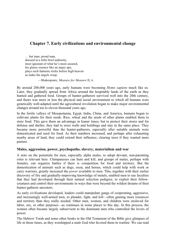# **Chapter 7. Early civilizations and environmental change**

… but man, proud man, dressed in a little brief authority, most ignorant of what he's most assured, his glassy essence like an angry ape, plays such fantastic tricks before high heaven as make the angels weep.

—Shakespeare, *Measure for Measure* II, ii.

By around 200,000 years ago, early humans were becoming *Homo sapiens* much like us. Later, they gradually spread from Africa around the hospitable lands of the earth as they hunted and gathered food. Groups of hunter-gatherers survived well into the 20th century, and theirs was more or less the physical and social environment to which all humans were genetically well-adapted until the agricultural revolution began to make major environmental changes around ten to eleven thousand years ago.

In the fertile valleys of Mesopotamia, Egypt, India, China, and America, humans began to cultivate plants for their seeds. Rice, wheat and the seeds of other plants enabled them to store food. This gave them an advantage in leaner times, but to protect their stores and for defense and shelter, they had to erect walls and buildings and stay in the same place. They became more powerful than the hunter-gatherers, especially after suitable animals were domesticated and used for food. As their numbers increased, and perhaps after exhausting nearby areas of land, they could extend their influence, clearing trees if they wanted more pasture.

#### **Males, aggression, power, psychopaths, slavery, materialism and war**

A note on the potentials for men, especially alpha males, to adopt deviant, non-parenting roles is relevant here. Chimpanzees can hunt and kill, and groups of males, perhaps with females, can organize battles if there is competition for food and territory. But the domestication of animals such as dogs, oxen, and horses, which could help with work or carry warriors, greatly increased the *power* available to men. This, together with their earlier discovery of fire and gradually-improving knowledge of metals, enabled men to use faculties that they had developed through their natural selection pedigree, to exploit their fellowcreatures and control their environments in ways that were beyond the wildest dreams of their hunter-gatherer ancestors.

As early civilizations developed, leaders could manipulate gangs of cooperating, aggressive, and increasingly well-armed men, to plunder, fight, and kill—often gaining more resources and territory than they really needed. Other men, women, and children were enslaved for labor, sex, or other purposes—as continues in some places to this day. In this process, the women often became largely subservient to the dominant men who controlled the levers of power.

The Hebrew Torah and some other books in the Old Testament of the Bible give glimpses of life in those times, as they worshipped a male God who favored them in warfare. We can read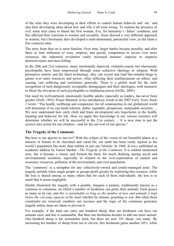of the rules they were developing in their efforts to control human behavior and 'sin,' and also their developing ideas about how and why it all went wrong. To explain the presence of evil, some men came to blame the first woman, Eve, for humanity's 'fallen' condition, and this affected their reactions to women and sexuality. Jesus showed a very different approach to women, but Christianity then developed a male-dominated, patriarchal view, as did Islam a few centuries later.

The story from then on is more familiar. Over time, larger battles became possible, and after three or four millennia of wars, empires, and greedy competition to secure ever more resources, the industrial revolution vastly increased humans' capacity to organize destructiveness and mass killing.

In the 20th and 21st centuries, many emotionally deprived, violently-reared, but charismatic psychopaths have been empowered through some seductive ideology or religion. With persuasive oratory and the latest technology, they can recruit and lead like-minded thugs to garner ever more resources and power, often inflicting their totalitarianism on others, and causing vast suffering and sometimes genocide. There is a global need for the early recognition of such dangerously sociopathic demagogues and their ideologies, with measures to block the elevation of such psychopaths to totalitarian power (Grille, 2005).

Our need for well-nurtured, emotionally healthy adults, especially as leaders, has never been greater (Neill, 1962). Fraser Mustard, in his introductory words in the 2007 *Early Years Study 2* wrote: "The health, wellbeing and competence for all communities in our globalized world will determine if we can build tolerant, stable, equitable, prosperous, sustainable societies.... We now understand how early child and brain development sets trajectories in the health, learning and behavior for life. How we apply this knowledge in our various societies will determine whether we will be successful in the 21st century.… It is now time to put the science into action for our children—and for the survival of our species."

#### **The Tragedy of the Commons**

But how is our species to survive? With the eclipse of the vision of our beautiful planet as a miracle of Nature to be cherished and cared for, our earth has been vastly injured as the world's population has more than trebled in just one lifetime. In 1968, *Science* published an academic address by Garret Hardin—*The Tragedy of the Commons*. It is seldom mentioned now, but it became a classic and formed the basis for much thinking among social and environmental scientists, especially in relation to the over-exploitation of natural and economic resources, pollution of the environment, and over-population.

The 'commons' is a metaphor for any collectively-owned and jointly-managed asset. The tragedy unfolds when single people or groups profit greatly by exploiting this resource, while the loss is shared among so many others that for each of them individually, the loss is so small that it seems negligible.

Hardin illustrated the tragedy with a parable. Imagine a pasture, traditionally known as a common or commons, on which a number of herdsmen can graze their animals. Each grazes as many as he can, and *this is sustainable so long as the number of men and animals is kept below the carrying capacity of the land*, whether by disease, poaching or war. But when these constraints are removed, numbers can increase and the logic of the commons generates tragedy unless steps are taken to prevent it.

For example, if the land can carry one hundred sheep, then ten herdsmen can have ten animals each, and this is sustainable. But then one herdsman decides to add one more animal. One hundred sheep is the sustainable limit, but there are now 101 sheep—too many. By increasing his number of sheep from ten to eleven, this herdsman gains another 10%, while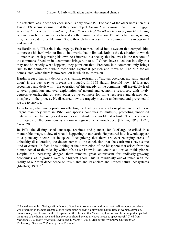the effective loss in feed for each sheep is only about 1%. For each of the other herdsmen this loss of 1% seems so small that they don't object. So *the first herdsman has a much bigger incentive to increase his number of sheep than each of the others has to oppose him*. Being rational, our herdsman decides to add another animal, and so on. The other herdsmen, seeing this, each decide to do likewise. Soon, through free access to the commons, it is overgrazed and ruined.

As Hardin said, "Therein is the tragedy. Each man is locked into a system that compels him to increase his herd without limit—in a world that is limited. Ruin is the destination to which all men rush, each pursuing his own best interest in a society that believes in the freedom of the commons. Freedom in a commons brings ruin to all." Others have noted that initially this may not be exactly what happens; they point out that "Freedom in a commons only brings ruin to the commons," while those who exploit it get rich and move on. The ruin for all comes later, when there is nowhere left in which to 'move on.'

Hardin argued that in a democratic situation, restraint by "mutual coercion, mutually agreed upon" is the best way to prevent the tragedy. In 1968 Hardin foretold how—if it is not recognized and dealt with—the operation of this tragedy of the commons will inevitably lead to over-population and over-exploitation of natural and economic resources, with likely aggressive onslaughts on each other as we compete for finite resources and destroy our biosphere in the process. He discussed how the tragedy must be understood and prevented if we are to survive.

Even today, when many problems affecting the healthy survival of our planet are much more urgent than they were in 1968, our species continues to multiply, promoting unbridled materialism and behaving as if resources are infinite in a world that is finite. The operation of the tragedy of the commons is seldom recognized or acknowledged (Hardin, 1968; 1972; Cook, 2000).

In 1971, the distinguished landscape architect and planner, Ian McHarg, described in a memorable image, a view of what is happening to our earth. He pictured how it would appear to a planetary doctor out in space. Recognizing that there are ever-enlarging areas of unhealthy discoloration, the doctor comes to the conclusion that the earth must have some kind of cancer. In fact, he is looking at the destruction of the biosphere that arises from the human denial of the rules by which life, as we know it, can continue to thrive on this planet. Despite the increasing danger, there remains great enthusiasm for endlessly-growing economies, as if growth were our highest good. This is mindlessly out of touch with the reality of our total dependence on this planet and its ancient and limited natural ecosystems (McHarg,  $1971$ ).<sup>20</sup>

 $\overline{a}$ 

 $20$  A small example of being strikingly out of touch with some major and important realities about our planet was presented in the text beneath a large photograph showing a glowingly happy Iranian woman astronaut, dressed ready for blast-off in the US space shuttle. She said that "space exploration will be an important part of the future of the human race and that everyone should eventually have access to space travel." Cited from *Swinburne: The future by design*. Swinburne 1, March 9, 2008. Melbourne: Swinburne University of Technology. See also *Collapse* by Jared Diamond.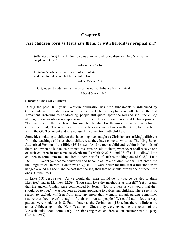# **Chapter 8.**

# **Are children born as Jesus saw them, or with hereditary original sin?**

Suffer (i.e., allow) little children to come unto me, and forbid them not: for of such is the kingdom of God."

—Jesus, Luke 18:16

An infant's 'whole nature is a sort of seed of sin and therefore it cannot but be hateful to God.'

—John Calvin, 1559

In fact, judged by adult social standards the normal baby is a born criminal.

—Edward Glover, 1960

#### **Christianity and children**

During the past 2000 years, Western civilization has been fundamentally influenced by Christianity and the status given to the earlier Hebrew Scriptures as collected in the Old Testament. Referring to childrearing, people still quote 'spare the rod and spoil the child,' although these words do not appear in the Bible. They are based on an old Hebrew proverb: "He that spareth the rod hateth his son: but he that loveth him chasteneth him betimes" (Proverbs 13:24). The word 'spoil' as a verb occurs many times in the Bible, but nearly all are in the Old Testament and it is not used in connection with children.

Some ideas relating to children that have long been taught as Christian are strikingly different from the teachings of Jesus about children, as they have come down to us. The King James Authorised Version of the Bible (1611) says, "And he took a child and set him in the midst of them: and when he had taken him into his arms he said to them, whosoever shall receive one of such children in my name receiveth me." (Mark 9:36–7); and "Suffer (i.e., allow) little children to come unto me, and forbid them not: for of such is the kingdom of God," (Luke 18: 16); "Except ye become converted and become as little children, ye shall not enter into the kingdom of Heaven" (Matthew 18:3); and "It were better for him that a millstone were hanged around his neck, and be cast into the sea, than that he should offend one of these little ones" (Luke 17:2).

In Luke 6:31 Jesus says, "As ye would that men should do to you, do ye also to them likewise," and in Matthew 22:39, "Thou shalt love thy neighbour as thyself." Yet it seems that the ancient Golden Rule commended by Jesus—"Do to others as you would that they should do to you."—was not seen as being applicable to babies and children. There seems no reason to exclude children from this, any more than women, though parents sometimes realize that they haven't thought of their children as 'people.' We could add, "love is very patient, very kind," as in St Paul's letter to the Corinthians (13:4), but there is little more about childrearing in the New Testament. Since they were expecting the return of the Messiah quite soon, some early Christians regarded children as an encumbrance to piety (Bailey, 1959).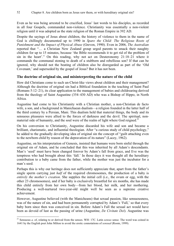Even as he was being arrested to be crucified, Jesus' last words to his disciples, as recorded in all four Gospels, commanded non-violence. Christianity was essentially a non-violent religion until it was adopted as the state religion of the Roman Empire in 392 AD.

Despite the sayings of Jesus about children, the history of violence to them in the name of God is chillingly documented up to 1990 in *Spare the Child: The Religious Roots of Punishment and the Impact of Physical Abuse* (Greven, 1990). Even in 2006, *The Australian* reported that "… a Christian New Zealand group urged parents to smack their naughty children for up to 15 minutes, because 'the Bible recommends it to get rid of the problem of sin in the heart'." On this reading, why not act on Deuteronomy 21:18–21 where it commands the communal stoning to death of a stubborn and rebellious son? If that can be ignored, why should not the beating of children also be disregarded as part of the 'Old Covenant,' and superseded by the gospel of Jesus? But it has not been.

#### **The doctrine of original sin, and misinterpreting the nature of the child**

How did Christians come to such un-Christ-like views about children and their management? Although the doctrine of original sin had a Biblical foundation in the teaching of Saint Paul (Romans 5:12–21), its clear application to the management of babies and childrearing derived from the theology of Saint Augustine (354–430 AD) who was a Bishop of Hippo, in North Africa.

Augustine had come to his Christianity with a Christian mother, a non-Christian de facto wife, a son, and a background in Manichaean dualism—a religion founded in the latter half of the third century by a Persian, Mani. This dualism held that material things, the body and its sensuous pleasures were allied to the forces of darkness and the devil. The spiritual, nonmaterial side of humanity, and the soul were of the realm of light where God reigned.<sup>21</sup>

On his conversion to Christianity, Augustine discarded his wife and son and became a brilliant, charismatic, and influential theologian. After "a curious study of child psychology," he added to the gradually developing idea of original sin the concept of "guilt attaching even to the newborn child by reason of the depravation of its nature" (Lacey, 1962).

Augustine, on his interpretation of Genesis, insisted that humans were born sinful through the original sin of Adam, and he concluded that this was inherited by all Adam's descendants. Man's 'seed' must have been changed forever by Adam's fall from grace, and Eve was the temptress who had brought about this 'fall.' In those days it was thought all the hereditary contribution to a baby came from the father, while the mother was just the incubator for a man's seed.

Perhaps this is why our heritage does not sufficiently appreciate that, apart from the father's single sperm carrying just *half* of the required chromosomes, the production of a baby is *entirely the mother's creation*. She supplies the initial cell (i.e., the ovum or egg, with the other 23 chromosomes), and if her baby is exclusively breastfed for six months, she has made this child entirely from her own body—from her blood, her milk, and her mothering. Producing a well-nurtured two-year-old might well be seen as a supreme creative achievement.

However, Augustine believed (with the Manicheans) that sexual passion, like sensuousness, was of the nature of sin, and had been permanently corrupted by Adam's 'Fall,' so that every baby born since then was conceived in sin. Before Adam's Fall the sexual act would have been as devoid of lust as the passing of urine (Augustine, *De Civitate Dei*). Augustine was

<sup>1</sup> 21 Sensuous *a.* of, relating to or derived from the senses. WH: 17C. Latin *sensus* sense. The word was coined in 1641 by the English poet John Milton to avoid the erotic connotations of *sensual* (Room, 1999).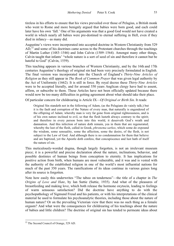tireless in his efforts to ensure that his views prevailed over those of Pelagius, a British monk who went to Rome and more benignly argued that babies were born good, and each could later have his own 'fall.' One of his arguments was that a good God would not have created a world in which nearly all babies were pre-destined to eternal suffering in Hell, even if they died in infancy—as many did.

Augustine's views were incorporated into accepted doctrine in Western Christianity from 529  $AD<sub>1</sub><sup>22</sup>$  and some of his doctrines came across to the Protestant churches through the teachings of Martin Luther (1483–1546) and John Calvin (1509–1564). Amongst many other things, Calvin taught that infants' "whole nature is a sort of seed of sin and therefore it cannot but be hateful to God" (Calvin, 1559).

This teaching appears in various branches of Western Christianity, and by the 16th and 17th centuries Augustine's theology of original sin had been very precisely formulated in English. The final version was incorporated into the Church of England's *Thirty-Nine Articles of Religion* as they still appear in *The Book of Common Prayer* that was given legal authority by the Act of Uniformity (1662). It is still in force. By royal decree these *Thirty-Nine Articles* were to be accepted literally, and for around 350 years Anglican clergy have had to assent, affirm, or subscribe to them. These Articles have not been officially updated because there would now be too many difficulties in getting agreement about what should take their place.

Of particular concern for childrearing is Article IX—*Of Original or Birth Sin*. It reads:

Original Sin standeth not in the following of Adam, (as the Pelagians do vainly talk;) but it is the fault and corruption of the Nature of every man, that naturally is engendered of the offspring of Adam; whereby man is very far gone from original righteousness, and is of his own nature inclined to evil, so that the flesh lusteth always contrary to the spirit; and therefore in every person born into this world, it deserveth God's wrath and damnation. And this infection of nature doth remain, yea in them that are regenerated; whereby the lust of the flesh, called in Greek, *phronema sarkos*, which some do expound the wisdom, some sensuality, some the affection, some the desire, of the flesh, is not subject to the Law of God. And although there is no condemnation for them that believe and are baptized, yet the Apostle doth confess, that concupiscence and lust hath of itself the nature of sin.

This meticulously-worded dogma, though largely forgotten, is not an irrelevant museum piece; it is a powerful and precise declaration about the nature, inclinations, behavior, and possible destinies of human beings from conception to eternity. It has implications for positive action from birth, when humans are most vulnerable, and it was and is vested with the authority of the established religion in one of the world's most influential nations for much of the past 350 years. The ramifications of its ideas continue in various guises long after its source is forgotten.

Note how easily this underwrites "The taboo on tenderness"—the title of a chapter in *The Origins of Love and Hate*, by Ian Suttie (Suttie, 1935). And what of the pleasures of breastfeeding and making love, which both release the hormone oxytocin, leading to feelings of warm sensuous satisfaction? Did the doctrine have anything to do with the psychopathology of Sigmund Freud and his patients, or with his interpretations of the clinical material he used to formulate his psychoanalytic theories, including those about the nature of human nature? Or on the prevailing Victorian view that there was no such thing as a female orgasm? And what were the consequences for childrearing of his teachings about the nature of babies and little children? The doctrine of original sin has tended to permeate ideas about

 $\overline{a}$ 

<sup>&</sup>lt;sup>22</sup> The Second Council of Orange, 529 AD.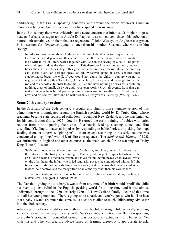childrearing in the English-speaking countries, and around the world wherever Christian churches relying on Augustinian doctrines have spread their message.

In the 18th century there was evidently some acute concern that infant souls might not go to heaven. Perhaps, as suggested in Article IX, baptism was not enough, since "this infection of nature doth remain, yea in them that are regenerated." John Wesley, an Anglican clergyman, in his sermon O*n Obedience*, quoted a letter from his mother, Susanna, who wrote to him saying:

In order to form the minds of children the first thing to be done is to conquer their will…. Heaven or hell depends on this alone. So that the parent who studies to subdue it (self-will) in his children, works together with God in the saving of a soul: The parent who indulges it, does the devil's work.... This therefore I cannot but earnestly repeat break their wills betimes; begin this great work before they can run alone, before they can speak plain, or perhaps speak at all. Whatever pains it cost, conquer their stubbornness; break the will, if you would not damn the child. I conjure you not to neglect, not to delay this. Therefore, (1) Let a child, from a year-old, be taught to fear the rod and to cry softly. In order to do this, (2) Let him have nothing he cries for; absolutely nothing, great or small; else you undo your own work. (3) At all events, from that age, make him do as he is bid, if you whip him ten times running to effect it…. Break his will now, and his soul will live, and he will probably bless you to all eternity (Wesley, 1742).

#### **Some 20th century versions**

In the first half of the 20th century, a secular and slightly more humane version of this admonition was promulgated around the English-speaking world by Dr Truby King, whose teachings became state-sponsored orthodoxy throughout New Zealand, and he was knighted for his contribution (King, 1925; Note 6). He urged the early training of babies with strict routine from birth, ignoring their cries, four-hourly feeding, sleeping alone, and firm discipline. Yielding to maternal impulses by responding to babies' cries, or picking them up, feeding them, or otherwise 'giving-in' to them except according to his strict routine was condemned as 'spoiling,' with risk of dire consequences. The *Mothercraft Manual* of 1928 was influential in England and other countries as the main vehicle for the teachings of Truby King (Note 6). It stated:

Self-control, obedience, the recognition of authority, and, later, respect for elders are all the outcome of the first year's training…. The baby who is picked up or fed whenever he cries soon becomes a veritable tyrant, and gives his mother no peace when awake; while, on the other hand, the infant who is fed regularly, put to sleep and played with at definite times soon finds that appeals bring no response, and so learns that most useful of all lessons, self-control, and the recognition of an authority other than his own wishes….

… the conscientious mother has to be prepared to fight and win all along the line, in matters small and great (Liddiard, 1928).

The fear that 'giving in' to a baby's wants from any time after birth would 'spoil' the child has been a potent belief in the English-speaking world for a long time, and it was almost undisputed through to the 1950s or early 1960s. A New Zealand family doctor of that time told all her young mothers, "There's going to be a battle and you've got to win it." The idea that a baby's wants are much the same as its needs was alien to much childrearing advice far into the 20th century.

Advocates of behavior modification methods in early child-rearing, while generally avoiding violence, seem in some ways to carry on the Wesley-Truby King tradition. By not responding to a baby's cries, as in 'controlled crying,' it is possible to 'extinguish' this behavior. Yet with this and other childrearing advice based on learning theory, it is appropriate to ask: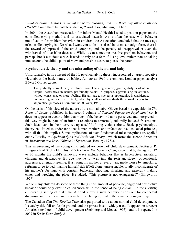'*What emotional lessons is the infant really learning, and are there any other emotional effects*?' Could there be collateral damage? And if so, what might it be?

In 2004, the Australian Association for Infant Mental Health issued a position paper on the controlled crying method and its associated hazards. As is often the case with behavior modification for problem behaviors in children, the Association concluded that the message of controlled crying is: 'Do what I want you to do—or else.' In its most benign form, there is the reward of approval if the child complies, and the penalty of disapproval or even the withdrawal of love if he does not. While it can sometimes resolve problem behaviors and perhaps break a vicious circle, it tends to rely on a fear of losing love, rather than on taking into account the child's point of view and possible desire to please the parent.

#### **Psychoanalytic theory and the misreading of the normal baby**

Unfortunately, in its concept of the Id, psychoanalytic theory incorporated a largely negative view about the basic nature of babies. As late as 1960 the eminent London psychoanalyst Edward Glover wrote:

The perfectly normal baby is almost completely egocentric, greedy, dirty, violent in temper, destructive in habits, profoundly sexual in purpose, aggrandising in attitude, without conscience or moral feeling. His attitude to society is opportunist, inconsiderate, domineering and sadistic. In fact, judged by adult social standards the normal baby is for all practical purposes a born criminal (Glover, 1960).

On the basis of this view of the nature of the normal baby, Glover based his exposition in *The Roots of Crime*, published in his second volume of *Selected Papers on Psychoanalysis*. It does not appear to occur to him that much of the behavior that he perceived and interpreted in this way might be part of an infant's reactions to abnormal, culturally-induced frustrations. Such ideas can, in their turn, set up a self-fulfilling vicious circle. Basic psychoanalytic theory had failed to understand that human mothers and infants evolved as social primates, with all that this implies. Some implications of such fundamental misconceptions are spelled out by Bowlby in *Psychoanalysis and Evolution Theory*—which forms the second Appendix in *Attachment and Loss, Volume 2: Separation* (Bowlby, 1973).

This mis-reading of the young child entered textbooks of child development. Professor R. Illingworth of Sheffield, in his 1957 textbook *The Normal Child*, wrote that by the ages of 12 to 36 months the child's annoying ways include behavior that is hyperactive, irritating, clinging and destructive. By age two he is "well into the resistant stage," oppositional, aggressive, attention-seeking, frustrating his mother at every turn, made worse by smacking, refusing to go to bed, making himself sick if left alone, unreasonable, totally inconsiderate of his mother's feelings, with constant bickering, shouting, shrieking and generally making chaos and wrecking the place. He added, "This picture is not exaggerated" (Illingworth, 1957).

While many children do some of these things, this amount of perverse, angry and destructive behavior could only ever be called 'normal' in the sense of being *common* in the (British) childrearing setting of that time. A child showing such behaviour cries out for competent diagnosis and treatment, and is very far from being normal in the sense of being *healthy*.

The Canadian film *The Terrible Twos* also purported to be about normal child development. Its catchy title fell on fertile ground, and the phrase is still widely used. It appears in a recent American textbook of child development (Steinberg and Meyer, 1995), and it is repeated in 2007 in *Early Years Study 2*.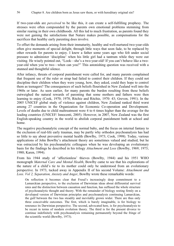If two-year-olds are *perceived* to be like this, it can create a self-fulfilling prophesy. The stresses were often compounded by the parents own emotional problems stemming from similar rearing in their own childhoods. All this led to much frustration, as parents found they were not gaining the satisfactions that Nature makes possible, as compensations for the sacrifices that healthy early parenting does involve.

To offset the demands arising from their immaturity, healthy and well-nurtured two-year-olds often give moments of special delight, through little ways that soon fade, to be replaced by other rewards for parents to enjoy. I knew a father some years ago who felt under social pressure to administer 'discipline' when his little girl had a tantrum while they were out visiting. He wisely pointed out, "Look—she's a two-year-old! If you can't behave like a twoyear-old when you're two—when can you?" This astonishing question was received with a stunned and thoughtful silence.

After infancy, threats of corporal punishment were called for, and many parents complained that frequent use of the ruler or strap had failed to control their children. If they could not discipline their children when they were young, how, they asked, could they hope to control them as teenagers? The consequences of such beliefs flourished in New Zealand well into the 1960s or later. As seen earlier, for many parents the burden resulting from these beliefs outweighed the natural rewards of parenting that some mothers and fathers were then learning to enjoy (Cook, 1970; 1978; Ritchie and Ritchie, 1970: 43; Greven, 1991). In the 2005 UNICEF global study of violence against children, New Zealand ranked third worst among 27 countries in the Organization for Economic Co-operation and Development. Levels of deaths due to child maltreatment were 4 to 6 times higher than the average for the leading countries (UNICEF/ Innocenti, 2005). However, in 2007, New Zealand was the first English-speaking country in the world to abolish corporal punishment both at school and home.

The negative psychoanalytic concept of the normal baby, and the focus on internal fantasy to the exclusion of real-life early traumas, may be partly why orthodox psychoanalysis has had so little to say about preventive mental health (Bowlby, 1973; Cook, 1998). Today, various applications of John Bowlby's attachment theory are sometimes valued and studied, but he was ostracized by his psychoanalytic colleagues when he was developing an evolutionary basis for the findings he described in his trilogy *Attachment and Loss* (Bowlby, 1969; 1973; 1980; Karen, 1994).

From his 1944 study of 'affectionless' thieves (Bowlby, 1944) and his 1951 WHO monograph *Maternal Care and Mental Health*, Bowlby came to see that his explorations of the nature of a child's tie to its mother could only be understood from an evolutionary perspective. In 1973, tucked away in Appendix II of his second Volume: *Attachment and Loss. Vol 2, Separation, Anxiety and Anger*, Bowlby wrote these remarkable words:

On reflection it becomes clear that Freud's increasingly deep commitment to a Lamarckian perspective, to the exclusion of Darwinian ideas about differential survival rates and the distinction between causation and function, has suffused the whole structure of psychoanalytic thought and theory. With the remainder of biology resting firmly on a developed version of Darwinian principles and psychoanalysis continuing Lamarckian, the gulf between the two has steadily and inevitably grown wider. There are thus only three conceivable outcomes. The first, which is barely imaginable, is for biology to renounce its Darwinian perspective. The second, advocated here, is for psychoanalysis to be recast in terms of modern evolution theory. The third is for the present divorce to continue indefinitely with psychoanalysis remaining permanently beyond the fringe of the scientific world (Bowlby, 1973).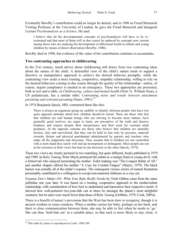Eventually Bowlby's contribution could no longer be denied, and in 1980 as Freud Memorial Visiting Professor at the University of London, he gave the Freud Memorial and Inaugural Lecture *Psychoanalysis as a Science*. He said:

I believe that all the developmental concepts of psychoanalysis will have to be reexamined and that most of them will in due course be replaced by concepts now current among those who are studying the development of affectional bonds in infants and young children by means of direct observation (Bowlby, 1980).

Bowlby died in 1990, but evidence of the value of his contribution continues to accumulate.

#### **Two contrasting approaches to childrearing**

In the 21st century, much advice about childrearing still draws from two contrasting ideas about the nature of the child. A distrustful view of the child's nature tends to support a directive or manipulative approach to achieve the desired behavior promptly, while the contrasting view seeks a more trusting, cooperative, empathic relationship, willing to rely on the desired behaviors coming in due course through the quality of the relationship—unless, of course, urgent compliance is needed in an emergency. These two approaches are presented, both in text and a table, in *Childrearing, culture and mental health* (Note 5). William Sears, a US pediatrician, has a similar table: *Contrasting styles and results between attachment parenting and restraint parenting* (Sears, 1991).<sup>23</sup>

In 1974 Benjamin Spock, MD, contrasted them like this:

There is always an argument going on, audibly or silently, between people who have two quite opposite attitudes about how children should be raised. There are those who feel that children are real human beings who are striving to become more mature, have generally good motives, are eager to learn, are perceptive of the truth and deserve kindness and respect despite their inexperience and their need for constant adult guidance. At the opposite extreme are those who believe that children are naturally lawless, lazy and uncivilized; that they can be held in line only by pressure, material rewards, threats and physical punishment administered by parents and teachers who make all the judgments and decisions. They assume that if children are not controlled with a stern hand they surely will end up incompetent or delinquent. Most people are not at the extremes in their views but lean in one direction or the other (Spock, 1974).

These two views are clearly pictured in two matching, but quite different, books published in 1979 and 1980. In *Baby Taming*, Peter Mayle portrayed the infant as a malign fiend or young devil, with a forked tail who enjoyed tormenting his mother. Toilet training was "The Longest Battle of All," and another chapter offered his mother "A Cure for Combat Fatigue" (Mayle, 1979). The black humor was actually all at the infant's expense. The consequent vicious circles of mutual frustration presumably contributed to a willingness to accept non-maternal childcare as a way out.

*Pyjamas Don't Matter (Or: What Your Baby Really Needs)* by Trish Gibben came from the same publisher one year later. It was based on a trusting, cooperative approach to the mother-infant relationship, with consideration of how best to understand and harmonize their respective needs. It showed how well-nurtured two-year-olds can at times be amongst the planet's most delightful creatures; but its sales were much fewer than those of *Baby Taming* (Gribben, 1979; Cook, 2005a).

There is a benefit of nature's provisions that the West has been slow to recognize, though it is ancient wisdom in some countries. When a mother carries her baby, perhaps on her back, and there is close communication between them, she may be able to feel when he needs to 'go.' She can then 'hold him out' in a suitable place, so that each is more likely to stay clean. A

 $\overline{a}$ 

 $2<sup>23</sup>$  This table by Sears is reproduced in Cook. 1996:189.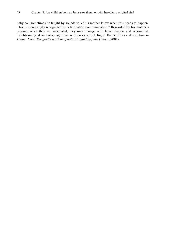baby can sometimes be taught by sounds to let his mother know when this needs to happen. This is increasingly recognized as "elimination communication." Rewarded by his mother's pleasure when they are successful, they may manage with fewer diapers and accomplish toilet-training at an earlier age than is often expected. Ingrid Bauer offers a description in *Diaper Free! The gentle wisdom of natural infant hygiene* (Bauer, 2001).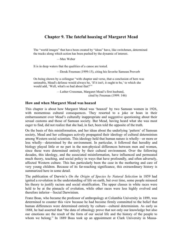# **Chapter 9. The fateful hoaxing of Margaret Mead**

The "world images" that have been created by "ideas" have, like switchmen, determined the tracks along which action has been pushed by the dynamic of interest.

—Max Weber

It is in deep waters that the qualities of a canoe are tested.

—Derek Freeman (1999:15), citing his favorite Samoan Proverb

On being shown by a colleague "with chapter and verse, that a conclusion of hers was untenable, Mead's defense would always be, 'If it isn't, it ought to be,' to which she would add, 'Well, what's so bad about that?'"

> —Luther Cressman, Margaret Mead's first husband, cited by Freeman (1999: 146)

#### **How and when Margaret Mead was hoaxed**

This chapter is about how Margaret Mead was 'hoaxed' by two Samoan women in 1926, with momentous cultural consequences. They resorted to a joke or hoax in their embarrassment over Mead's culturally inappropriate and suggestive questioning about their sexual customs and those of Samoan society. But Mead, having heard what she was most eager to find, did not realize that she had, in fact, been told the opposite of the truth.

On the basis of this misinformation, and her ideas about the underlying 'pattern' of Samoan society, Mead and her colleagues actively propagated their ideology of cultural determinism among Western social scientists. This ideology held that human nature is wholly—or more or less wholly—determined by the environment. In particular, it followed that heredity and biology played little or no part in the non-physical differences between men and women, since these were determined entirely by their cultural environment. Over the following decades, this ideology, and the associated misinformation, have influenced and permeated much theory, teaching, and social policy in ways that have profoundly, and often adversely, affected Western culture. This has particularly been the case in the mothering and care of very young children. Because of its far-reaching significance, this extraordinary history is summarized here in some detail.

The publication of Darwin's *On the Origin of Species by Natural Selection* in 1859 had ignited a revolution in the understanding of life on earth, but over time, some people misused his theory to justify racism and social stratification. The upper classes in white races were held to be at the pinnacle of evolution, while other races were less highly evolved and therefore inferior—Social Darwinism.

Franz Boas, who became the professor of anthropology at Columbia University in 1899, was determined to counter this view because he had become firmly committed to the belief that human differences were determined entirely by culture—cultural determinism. As early as 1888, he had asserted that "the data of ethnology prove that not only our knowledge but also our emotions are the result of the form of our social life and the history of the people to whom we belong." In 1889 Boas took up an appointment at Clark University in Massa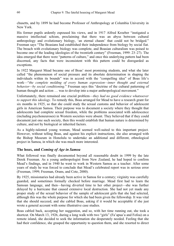chusetts, and by 1899 he had become Professor of Anthropology at Columbia University in New York.

His former pupils ardently espoused his views, and in 1917 Alfred Kroeber "instigated a massive intellectual schism, proclaiming that there was an abyss between cultural anthropology and evolutionary biology, 'an eternal chasm' that could not be bridged." Freeman says "The Boasians had established their independence from biology by social fiat. The breach with evolutionary biology was complete, and Boasian culturalism was poised to become one of the leading ideologies of the twentieth century" (Freeman, 1999: 23–27). The idea emerged that there were "patterns of culture," and once this underlying pattern had been discerned, any facts that were inconsistent with this pattern could be disregarded as exceptions.

In 1922 Margaret Mead became one of Boas' most promising students, and what she later called "the phenomenon of social pressure and its absolute determination in shaping the individuals within its bounds" was in accord with the "compelling idea" of Boas life's work—"*the complete molding of every human expression—inner thought and external behavior—by social conditioning*." Freeman says this "doctrine of the cultural patterning of human thought and action ... was to develop into a major anthropological movement."

Unfortunately, there remained one crucial problem—*they had no good evidence whatsoever to support this ideology*. To remedy this, Boas arranged for Mead to have a research grant for six months in 1925, so that she could study the sexual customs and behavior of adolescent girls in American Samoa. Their purpose was to document a society where they thought that adolescents had complete sexual freedom, while the problems associated with adolescence (including psychoneuroses) in Western societies were absent. They believed that if they could document just one such society, then this would establish that human nature is determined by culture, and not by biological or inherited factors.

As a highly-talented young woman, Mead seemed well-suited to this important project. However, without telling Boas, and against his explicit instructions, she also arranged with the Bishop Museum in Honolulu to undertake an additional and different, ethnological project in Samoa, in which she was much more interested.

#### **The hoax, and** *Coming of Age in Samoa*

What followed was finally documented beyond all reasonable doubt in 1999 by the late Derek Freeman. As a young anthropologist from New Zealand, he had hoped to confirm Mead's findings, and in 1940 he went to work in Western Samoa as a teacher. After some years of study he was forced to conclude that Mead's celebrated report was in serious error (Freeman, 1999; Freeman, Orans, and Cote, 2000).

By 1925, missionaries had already been active in Samoa for a century; virginity was carefully guarded, and sometimes formally checked before marriage. Mead first had to learn the Samoan language, and then—having diverted time to her other project—she was further delayed by a hurricane that caused extensive local destruction. She had not yet made any proper study of the sexual behavior of the sample of adolescent girls that she had selected, although this was the whole purpose for which she had been given the fellowship. It was vital that she should succeed, and she cabled Boas, asking if it would be acceptable if she just wrote a general account with some illustrative case studies.

Boas cabled back, accepting her suggestion, and so, with her time running out, she took a shortcut. On March 13, 1926, during a long walk with two "girls" (Fa'apua'a and Fofoa) on a remote island, she decided to seek the information she desperately needed. Feeling that she had their confidence, she grasped the opportunity to question them, and she resorted to direct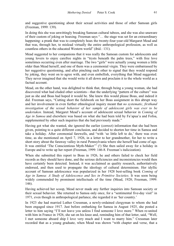and suggestive questioning about their sexual activities and those of other Samoan girls (Freeman, 1999: 139).

In doing this she was unwittingly breaking Samoan cultural taboos, and she was also unaware of their custom of joking or hoaxing. Freeman says "… the stage was set for an extraordinary happening: a prank that was to completely hoax the twenty-four-year-old Margaret Mead and that was, through her, to mislead virtually the entire anthropological profession, as well as countless others in the educated Western world" (ibid.: 131).

Mead suggested to her companions that it was really the Samoan custom for adolescents and young lovers to enjoy carefree nights in "trysts beneath the palm trees," with free love sometimes occurring even after marriage. The two "girls" were actually young women a little older than Mead herself, and one of them was a ceremonial virgin. They were embarrassed by her suggestive questioning, and after pinching each other to signal that they would respond by joking, they went on to agree with, and even embellish, everything that Mead suggested. They never imagined that she would write it all down and proclaim it to the whole world as a factual account.

Mead, on the other hand, was delighted to think that, through being a young woman, she had discovered what had eluded other scientists—that the underlying "pattern of the culture" was just as she and Boas had hoped it would be. She knew this would please Boas, and indeed it did. Freeman says, "Cutting short the fieldwork on her Boas assignment in this abrupt way and her involvement in even further ethnological inquiry meant that *no systematic, firsthand investigation of the sexual behavior of her sample of adolescent girls was ever to be undertaken*. Instead, Margaret Mead's account of adolescent sexual behavior in *Coming of Age in Samoa* and elsewhere was based on what she had been told by Fa'apua'a and Fofoa, supplemented by other such inquiries that she had previously made."

Having got what she wanted, she ignored the earlier (correct) information that she had been given, pointing to a quite different conclusion, and decided to shorten her time in Samoa and take a holiday. After ceremonial farewells, and "with 'so little left to do,' there was even time, as she mentioned on April 7, 1926, in a letter to her grandmother, for her to write a short story about the faraway valley in rural Pennsylvania where she herself had come of age. It was entitled 'The Conscientious Myth-Maker'" (!) She then sailed away for a holiday in Europe and to write up her report (Freeman, 1999: 146-8. Freeman's italicization).

When she submitted this report to Boas in 1926, he and others failed to check her field records as they should have done, and the serious deficiencies and inconsistencies would then have certainly been detected. Instead, it was acclaimed as quality research, authoritatively endorsed, and then used to propagate the ideology of cultural determinism. Her idyllic account of Samoan adolescence was popularized in her 1928 best-selling book *Coming of Age in Samoa: A Study of Adolescence and Sex in Primitive Societies*. It was soon being widely commended by prominent intellectuals of the time (Mead, 1928; Freeman, 1999: 146).

Having achieved her scoop, Mead never made any further inquiries into Samoan society or their sexual behavior. She returned to Samoa only once, for a "sentimental five-day visit" in 1971, even though in anthropological parlance, she regarded it as 'her country.'

In 1923 she had married Luther Cressman, a newly-ordained clergyman to whom she had been engaged since 1917. Just before embarking for Samoa in August 1925, she posted a letter to him saying "I'll not leave you unless I find someone I love more." When re-united with him in France in 1926, she sat on his knee and, reminding him of that letter, said, "Well, I met someone aboard ship I love very much and I want to marry him." Cressman later recorded that as a young graduate, when Mead was shown "with chapter and verse, that a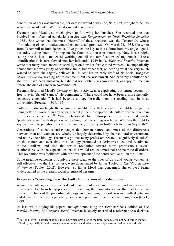conclusion of hers was untenable, her defense would always be, 'If it isn't, it ought to be,' to which she would add, 'Well, what's so bad about that?'

Freeman says Mead was much given to following her hunches. She recorded one that involved her influential conclusions in *Sex and Temperament in Three Primitive Societies* (1935). She wrote that the most "bizarre" of these societies was the Tchambuli, whose "formulation of sex-attitudes contradicts our usual premises." On March 21, 1933, she wrote from Tchambuli to Ruth Benedict, "I've gotten the key to this culture from my angle—got it yesterday during hours of sitting on the floor in a house in mourning. Now it is straight sailing ahead, just a matter of working out all the ramifications of my hunch." These "ramifications" in turn flowed into her influential 1949 book, *Male and Female*. Freeman wrote that many such anecdotes shed light on how her fertile mind worked. He emphatically denied that she was guilty of scientific fraud, but rather that, on hearing what she very much wanted to hear, she eagerly believed it. He sent her an early draft of his book, *Margaret Mead and Samoa*, inviting her to comment, but she was unwell. She privately admitted that she must have been mistaken, but she did not publicly acknowledge it, or reply to Freeman before she died of cancer in November 1978.

Freeman described Mead's *Coming of Age in Samoa* as a captivating but untrue account of free love in 'far-off Samoa.' He commented, "There could not have been a more mentally seductive concoction." It had become a huge bestseller—on the reading lists in most universities (Freeman, 1999: 195).

Cultural relativism taught the seemingly laudable idea that no culture should be judged as being better or worse than any other, since it is the most appropriate culture for the people in the society concerned.<sup>24</sup> When elaborated by philosophers, this idea underwrote 'postmodernism,' with its pervasive teaching that everything is relative. Who has the right to say that one interpretation is better than another, or that 'your truth' is better than 'my truth'?

Generations of social scientists taught that human nature, and most of the differences between men and women, are wholly or largely determined by their cultural environment, and not by their biology. Freeman says that many professors became "cognitively deluded" on the matter, and over time this ideology promoted its derivatives—cultural relativism, multiculturalism, and also the sexual revolution toward more promiscuous sexual relationships, with the expectation that this would reduce emotional and neurotic disorders. This revolution was facilitated with the development of the contraceptive pill in the 1960s.

Some negative outcomes of applying these ideas to the lives of girls and young women, as still effective into the 21st century, were documented by James Tooley in *The Miseducation of Women* (Tooley, 2002). However, so far as Mead was concerned, she enjoyed being widely hailed as the greatest social scientist of her time

# **Freeman's "sweeping clear the faulty foundations of his discipline"**

Among his colleagues, Freeman's detailed anthropological and historical evidence was most unwelcome. Far from being praised for unraveling the momentous error that had led to the unscientific basis of the prevailing ideology and paradigm, his work was met with skepticism and denial; he received a generally hostile reception and much personal denigration (Cook, 1999c).

At last, while tidying his papers, and *after* publishing the 1999 hardback edition of *The Fateful Hoaxing of Margaret Mead*, Freeman belatedly unearthed a reference to a decisive

<sup>1</sup>  $^{24}$  In Cook (1978), I argued that this doctrine, which prevailed at the time, certainly did not hold true in matters of health, especially if, in the management of mothers and infants, a society's customs led to their ill-health.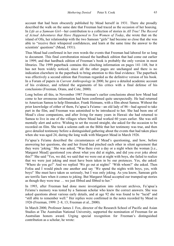account that had been obscurely published by Mead herself in 1931. There she proudly described the walk on the same date that Freeman had traced as the occasion of her hoaxing. In *Life as a Samoan Girl*—her contribution to a collection of stories in *All True! The Record of Actual Adventures that Have Happened to Ten Women of Today*, she wrote that on the island of Ofu, her relationship with the two Samoan "girls" had become so close that she was able to "receive their whispered confidences, and learn at the same time the answer to the scientists' questions" (Mead, 1931).

Thus Mead had confirmed in her own words the events that Freeman had labored for so long to document. This final corroboration missed the hardback edition that had come out earlier in 1999, and that hardback edition of Freeman's book is probably the only version in most libraries. The 1999 paperback contains this clinching information on pages 141–148, but it has not been widely noticed, since all the other pages are unchanged and there is no indication elsewhere in the paperback to bring attention to this final evidence. The paperback was effectively a second edition that Freeman regarded as the definitive version of his book. In a Forum of papers in *Current Anthropology* in 2000, he gave a detailed academic account of his evidence, and refuted the arguments of his critics with a final defense of his conclusions (Freeman, Orans, and Cote, 2000).

Long before all this, in November 1987 Freeman's earlier conclusions about how Mead had come to her erroneous information had been confirmed quite unexpectedly. He had returned to American Samoa to help filmmaker, Frank Heimans, with a film about Samoa. Without the prior knowledge of either of them, Fa'apua'a Fa'amu—an old lady of 86—had agreed to take part in the film, and Freeman was astonished to be introduced to her. She had been one of Mead's close companions, and after living for many years in Hawaii she had returned to Samoa to live in one of the villages where Mead had worked 60 years earlier. She was still mentally alert and active. Wishing to set the record straight, she asked for the occasion to be recorded on film. She took a solemn oath on the Bible that her testimony was true, and then gave detailed testimony before a distinguished gathering about the events that had taken place when she was aged 24, during the long walk with Margaret Mead in March 1926.

Fa'apua'a Fa'amu described the circumstances of Mead's questioning, and how, before answering her questions, she and her friend had pinched each other in silent agreement that they were 'joking.' She was asked, "Was there ever a day or a night when the woman [i.e., Margaret Mead] questioned you about what you did at nights, and did you ever joke about this?" She said "Yes, we did, we said that we were out at night with boys, she failed to realize that we were just joking and must have been taken in by our pretences. Yes, she asked: 'Where do you go?' And we replied 'We go out at nights!' 'With whom?' she asked. Then Fofoa and I would pinch one another and say 'We spend the nights with boys, yes, with boys!' She must have taken us seriously, but I was only joking. As you know, Samoan girls are terrific liars when it comes to joking. But Margaret Mead accepted our trumped-up stories as though they were true … we just fibbed and fibbed to her."

In 1993, after Freeman had done more investigation into relevant archives, Fa'apua'a Fa'amu's memory was tested by a Samoan scholar who knew the correct answers. She was asked questions about various early details, and at age 92 she was found to be "lucid" and "still able to remember well." Her replies were confirmed in the notes recorded by Mead in 1926 (Freeman, 1999: 2–8, 13; Freeman et al., 2000).

In March 2000, Professor James J. Fox, director of the Research School of Pacific and Asian Studies at The Australian National University, supported the nomination of Freeman for an Australian honors award. Urging special recognition for Freeman's distinguished contribution as a scholar, he wrote: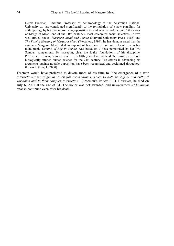Derek Freeman, Emeritus Professor of Anthropology at the Australian National University ... has contributed significantly to the formulation of a new paradigm for anthropology by his uncompromising opposition to, and eventual refutation of, the views of Margaret Mead, one of the 20th century's most celebrated social scientists. In two well-argued books, *Margaret Mead and Samoa* (Harvard University Press, 1983) and *The Fateful Hoaxing of Margaret Mead* (Westview, 1999), he has demonstrated that the evidence Margaret Mead cited in support of her ideas of cultural determinism in her monograph, *Coming of Age in Samoa*, was based on a hoax perpetrated by her two Samoan companions. By sweeping clear the faulty foundations of his discipline, Professor Freeman, who is now in his 84th year, has prepared the basis for a more biologically attuned human science for the 21st century. His efforts in advancing his arguments against notable opposition have been recognized and acclaimed throughout the world (Fox, J., 2000).

Freeman would have preferred to devote more of his time to *"*the emergence of *a new interactionist paradigm in which full recognition is given to both biological and cultural variables and to their complex interaction"* (Freeman's italics: 217). However, he died on July 6, 2001 at the age of 84. The honor was not awarded, and unwarranted *ad hominem* attacks continued even after his death.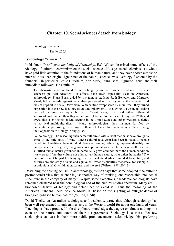# **Chapter 10. Social sciences detach from biology**

Sociology is a mess.

—Theile, 2005

### **Is sociology "a mess"?**

In his book *Consilience: the Unity of Knowledge*, E.O. Wilson described some effects of the ideology of cultural determinism on the social sciences. He says social scientists as a whole have paid little attention to the foundations of human nature, and they have shown almost no interest in its deep origins. Ignorance of the natural sciences was a strategy fashioned by the founders—in particular Emile Durkheim, Karl Marx, Franz Boas, Sigmund Freud, and their immediate followers. He continues:

The theorists were inhibited from probing by another problem endemic to social sciences: political ideology. Its effects have been especially clear in American anthropology. Franz Boas, aided by his famous students Ruth Benedict and Margaret Mead, led a crusade against what they perceived (correctly) to be the eugenics and racism implicit in social Darwinism. With caution swept aside by moral zeal, they turned opposition into the new ideology of cultural relativism.… Believing it a virtue to declare that all cultures are equal but in different ways, Boas and other influential anthropologists nailed their flag of cultural relativism to the mast. During the 1960s and 1970s this scientific belief lent strength in the United States and other Western societies to political multiculturalism…. Many anthropologists, their instincts fortified by humanitarian purpose, grew stronger in their belief in cultural relativism, while stiffening their opposition to biology in any guise.

So, no biology. The reasoning then came full circle with a twist that must have brought a smile to the little gods of irony. Where cultural relativism had been initiated to negate belief in hereditary behavioral differences among ethnic groups—undeniably an unproven and ideologically dangerous conception—it was then turned against the idea of a unified human nature grounded in heredity. A great conundrum of the human condition was created: If neither culture nor a hereditary human nature, what unites humanity? The question cannot be just left hanging, for if ethical standards are molded by culture, and cultures are endlessly diverse and equivalent, what disqualifies theocracy, for example, or colonialism? Or child labor, torture, and slavery? (Wilson 1998: 204–3).

Describing the ensuing schism in anthropology, Wilson says that some adopted "the extreme postmodernist view that science is just another way of thinking, one respectable intellectual subculture in the company of many." Despite some exceptions, "academic sociologists have remained clustered near the nonbiological end of the cultural studies spectrum. Many are … biophobic—fearful of biology and determined to avoid it." Thus the reasoning of the American Standard Social Science Model is "based on the slighting or outright denial of biologically-based human nature" (Wilson, 1998).

David Theile, an Australian sociologist and academic, wrote that, although sociology has been well represented in universities across the Western world for about one hundred years, "sociologists have produced little disciplinary knowledge; they agree on almost nothing, not even on the nature and extent of their disagreements. Sociology is a mess. Yet few sociologists, at least in their more public pronouncements, acknowledge this, preferring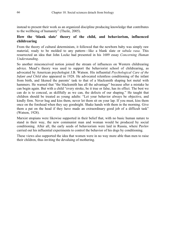instead to present their work as an organized discipline producing knowledge that contributes to the wellbeing of humanity" (Theile, 2005).

# **How the 'blank slate' theory of the child, and behaviorism, influenced childrearing**

From the theory of cultural determinism, it followed that the newborn baby was simply raw material, ready to be molded to any pattern—like a blank slate or *tabula rasa*. This resurrected an idea that John Locke had presented in his 1689 essay *Concerning Human Understanding*.

So another misconceived notion joined the stream of influences on Western childrearing advice. Mead's theory was used to support the behaviorist school of childrearing, as advocated by American psychologist J.B. Watson. His influential *Psychological Care of the Infant and Child* also appeared in 1928. He advocated relentless conditioning of the infant from birth, and likened the parents' task to that of a blacksmith shaping hot metal with hammers. He warned that "the blacksmith has all the advantage" because after a mistake he can begin again. But with a child "every stroke, be it true or false, has its effect. The best we can do is to conceal, as skillfully as we can, the defects of our shaping." He taught that children should be treated as young adults: "Let your behavior always be objective, and kindly firm. Never hug and kiss them, never let them sit on your lap. If you must, kiss them once on the forehead when they say goodnight. Shake hands with them in the morning. Give them a pat on the head if they have made an extraordinary good job of a difficult task" (Watson, 1928).

Marxist utopians were likewise supported in their belief that, with no basic human nature to stand in their way, the new communist man and woman would be produced by social conditioning. After all, the early seeds of behaviorism were laid in Russia, where Pavlov carried out his influential experiments to control the behavior of his dogs by conditioning.

These views also supported the idea that women were in no way more able than men to raise their children, thus inviting the devaluing of mothering.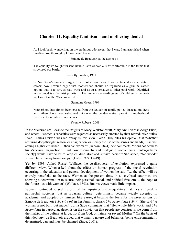# **Chapter 11. Equality feminism—and mothering denied**

As I look back, wondering, on the credulous adolescent that I was, I am astonished when I realize how thoroughly I have been cheated.

—Simone de Beauvoir, at the age of 54

The equality we fought for isn't livable, isn't workable, isn't comfortable in the terms that structured our battle.

—Betty Friedan, 1981

In *The Female Eunuch* I argued that motherhood should not be treated as a substitute career; now I would argue that motherhood should be regarded as a genuine career option, that is to say, as paid work and as an alternative to other paid work. Dignified motherhood is a feminist priority.… The immense rewardingness of children is the bestkept secret in the Western world.

—Germaine Greer, 1999

Motherhood has almost been erased from the lexicon of family policy. Instead, mothers and fathers have been subsumed into one: the gender-neutral parent … motherhood consists of a number of narratives.

—Yvonne Roberts, 2008

In the Victorian era—despite the insights of Mary Wollstonecraft, Mary Ann Evans (George Eliott) and others—women's capacities were regarded as necessarily arrested by their reproductive duties. Even Charles Darwin was led astray by this view. Sarah Hrdy cites his opinion that "whether requiring deep thought, reason, or imagination, or merely the use of the senses and hands, [man will attain] a higher eminence … than can woman" (Darwin, 1874). She comments, "It did not occur to his Victorian imagination ... just how resourceful and strategic a woman [in a hunter-gatherer society] would have to be to keep children alive and survive herself." She added, "No wonder women turned away from biology" (Hrdy, 1999: 18–19).

Yet by 1893, Alfred Russel Wallace, the co-discoverer of evolution, expressed a quite different view. When asked about the effect on human progress of the social revolution occurring in the education and general development of women, he said, "… the effect will be entirely beneficial to the race. Women at the present time, in all civilised countries, are showing a determination to secure their personal, social, and political freedom … the hope of the future lies with women" (Wallace, 1893). But his views made little impact.

Women continued to seek reform of the injustices and inequalities that they suffered in patriarchal societies, but as Boasian cultural determinism became widely accepted in academia, and adopted by thinkers like Sartre, it became the basis for the prescriptions by Simone de Beauvoir (1908–1986) in her feminist classic *The Second Sex* (1949). She said "A woman is not born but made." Lorna Sage comments that "Her whole life's work, and *The Second Sex* in particular, depends on the conviction that people are constructs: we come from the matrix of the culture at large, not from God, or nature, or (even) Mother." On the basis of this ideology, de Beauvoir argued that woman's nature and behavior, being environmentally determined, can and must be changed (Sage, 2001).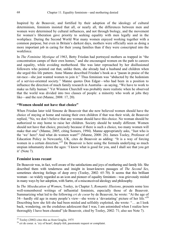Inspired by de Beauvoir, and fortified by their adoption of the ideology of cultural determinism, feminists insisted that all, or nearly all, the differences between men and women were determined by cultural influences, and not through biology, and the movement for women's liberation gave priority to seeking equality with men legally and in the workplace. During the Second World War many women enjoyed working together with a common purpose, but even in Britain's darkest days, mothers were officially seen as doing a more important job in caring for their young families than if they were conscripted into the workforce.

In *The Feminine Mystique* of 1963, Betty Friedan had portrayed mothers as trapped in "the concentration camps of their own homes," and she encouraged women on the path to careers and equality, while avoiding motherhood. She was later reproached by her disillusioned followers who pointed out that, unlike them, she already had a husband and children when she urged this life pattern. Anne Manne described Friedan's book as a "paean in praise of the rat-race—she just wanted women to join it." Thus feminism was "abducted by the hedonism of a service-oriented society." Manne quotes Don Edgar—who had been in a position to influence the direction of much family research in Australia—as saying, "We have to work to make us fully human." Yet Winston Churchill was probably more realistic when he observed that the world was divided into two classes of people: a minority who work at jobs they like—and the rest (Manne, 2008: 17, 20).

# **"Women should not have that choice"**

When Friedan later told Simone de Beauvoir that she now believed women should have the choice of staying at home and raising their own children if that was their wish, de Beauvoir replied, "No, we don't believe that any woman should have this choice. No woman should be authorized to stay home to raise her children. Society should be totally different. Women should not have that choice, precisely because if there is such a choice, too many women will make that one" (Manne, 2005, citing Somers, 1994). Manne appropriately asks, "Just who is the 'we' here? And what do women want?" (Manne, 2008: 26). James Tooley, Professor of Education Policy in Newcastle, UK, cites de Beauvoir as adding: "It is a way of forcing women in a certain direction."<sup>25</sup> De Beauvoir is here using the formula underlying so much utopian inhumanity down the ages: 'I know what is good for you, and I shall see that you get it' (Note 7).

# **Feminist icons recant**

1

De Beauvoir was, in fact, well aware of the satisfactions and joys of mothering and family life. She described them with tenderness and insight in lesser-known passages of *The Second Sex*, sometimes showing feelings of deep envy (Tooley, 2002: 65–70). It seems that this brilliant woman—so widely regarded as an icon and pioneer of equality feminism—was grievously misled in many ways by her adoption, with Sartre, of a misconceived ideology and philosophy.

In *The Miseducation of Women*, Tooley, in Chapter 3, *Romantic Illusions*, presents some less well-remembered writings of influential feminists, especially those of de Beauvoir. Summarizing what led to the following *cri de coeur* by de Beauvoir, he wrote: "At the age of 54—hardly old age in many people's view—she wrote a 'devastating' picture of her life."26 Describing how she felt she had been misled and selfishly exploited, she wrote: "… as I look back, wondering, on the credulous adolescent that I was, I am astonished when I realize how thoroughly I have been cheated" (de Beauvoir, cited by Tooley, 2002: 71; also see Note 7).

 $25$  Tooley (2002) cites this as from Graglia, 1975

<sup>&</sup>lt;sup>26</sup> cri de coeur. n. 'cry of heart'; deeply-felt, passionate request or complaint.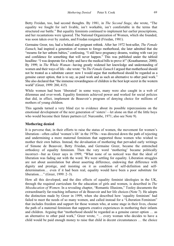Betty Freidan, too, had second thoughts. By 1981, in *The Second Stage*, she wrote, "The equality we fought for isn't livable, isn't workable, isn't comfortable in the terms that structured our battle." But equality feminists continued to implement her earlier prescriptions, and her recantations were ignored. The National Organization of Women, which she founded, was soon taken over by zealots, and Friedan resigned (Friedan, 1981).

Germaine Greer, too, had a belated and poignant rethink. After her 1972 best-seller, *The Female Eunuch*, had inspired a generation of women to forego motherhood, she later admitted that she "mourns for her unborn babies," confessing, "I still have pregnancy dreams, waiting with vast joy and confidence for something that will never happen." This was published under the tabloid headline: "I was desperate for a baby and have the medical bills to prove it!" (Krauthammer, 2000). By 1999, in *The Whole Woman—*having greatly widened her knowledge and understanding of women and their ways of life*—*she wrote: "In *The Female Eunuch* I argued that motherhood should not be treated as a substitute career: now I would argue that motherhood should be regarded as a genuine career option, that is to say, as paid work and as such an alternative to other paid work." She also declared that "the immense rewardingness of children is the best kept secret in the western world" (Greer, 1999: 260, 415).

While women had been 'liberated' in some ways, many were also caught in a web of dilemmas and over-work. Equality feminists achieved power and worked for social policies that did, in effect, implement de Beauvoir's program of denying choice for millions of mothers of young children.

This agenda turned a very blind eye to evidence about its possible repercussions on the emotional development of the next generation of 'sisters'—let alone on that of the little boys who would become their future partners (cf. Nurcombe, 1971; also see Note 9).

# **Mothering denied**

It is perverse that, in their efforts to raise the status of women, the movement for women's liberation—often called 'women's lib' in the 1970s—was directed down the path of rejecting and undermining a more maternal feminism that supported those women who wished to mother their own babies. Instead, the devaluation of mothering that pervaded early writings of Simone de Beauvoir, Betty Friedan, and Germaine Greer, became the entrenched orthodoxy of equality feminism. Then the very word 'mothering' became politically incorrect—but as Greer says in 1999, "What none of us noticed was that the ideal of liberation was fading out with the word. We were settling for equality. Liberation struggles are not about assimilation but about asserting difference, endowing that difference with dignity and prestige, and insisting on it as condition of self-definition and selfdetermination… even if it had been real, equality would have been a poor substitute for liberation.…" (Greer, 1999: 2–3).

How all this developed, and the dire effects of equality feminist ideologies in the UK, through the required curriculum for the education of girls and women, is described in *The Miseducation of Women*. In a revealing chapter, "Romantic Illusions," Tooley documents the extraordinarily far-reaching influence of de Beauvoir and her life choices (Note 7). He adopts the distinction made by Greer in 1999, when she described how 'equality feminism' had failed to meet the needs of so many women, and called instead for a "Liberation Feminism" that includes freedom and support for those women who, at some stage in their lives, choose the path of a maternal feminism that supports creative experiences in mothering their infants and children. Arguing that "motherhood should be regarded as a genuine career option … as an alternative to other paid work," Greer wrote, "… every woman who decides to have a child would be paid enough money to raise that child in decent circumstances … the choice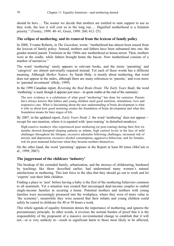should be hers.… The sooner we decide that mothers are entitled to state support to use as they wish, the less it will cost us in the long run.… Dignified motherhood is a feminist priority." (Tooley, 1999: 40–41; Greer, 1999: 260; 412–25).

# **The eclipse of mothering, and its removal from the lexicon of family policy**

In 2008, Yvonne Roberts, in *The Guardian*, wrote: "motherhood has almost been erased from the lexicon of family policy. Instead, mothers and fathers have been subsumed into one: the gender-neutral parent. Feminists in the 1960s saw motherhood as house-arrest. Then, mothers were at the cradle, while fathers brought home the bacon. Now motherhood consists of a number of narratives."

The word 'mothering' rarely appears in relevant books, and the terms 'parenting' and 'caregiver' are almost universally required instead. Yet each of these words has a different meaning. Although *Mother Nature,* by Sarah Hrdy, is mostly about mothering, that word does not appear in the index, although there are many references to 'parents,' and even more to 'parental investment' (Hrdy, 1999).

In the 1999 Canadian report, *Reversing the Real Brain Drain: The Early Years Study*, the word 'mothering' *is* used, though it appears just once—in quote marks at the end of the summary:

The new evidence is a celebration of what good "mothering" has done for centuries. Parents have always known that babies and young children need good nutrition, stimulation, love and responsive care. What is fascinating about the new understanding of brain development is what it tells us about how good nurturing creates the foundation of brain development and what this foundation means for later stages of life.

By 2007, in the updated report, *Early Years Study 2,* the word 'mothering' does not appear except for one mention, where it is equated with 'peer-rearing' in disturbed monkeys:

High-reactive monkeys who experienced poor mothering (or peer-rearing) during their first six months showed disrupted sleeping patterns as infants, high cortisol levels in the face of mild challenges throughout the lifespan, excessive adrenalin following challenges, increased risk of anxiety and depression, excessive alcohol consumption, aggressive behaviour, and for females, risk for poor maternal behaviour when they became mothers themselves.

On the other hand, the word 'parenting' appears in the Report at least 80 times (McCain et al., 1999; 2007).

# **The juggernaut of the childcare 'industry'**

The breakup of the extended family, urbanization, and the stresses of childrearing, burdened by teachings like those described earlier, had undermined many women's natural satisfactions in mothering. This lent force to the idea that they should go out to work and let 'experts' rear their little children.

Finding a place to 'nest' before having a baby is the first of the mothering behaviors common to all mammals. Yet a situation was created that encouraged dual-income couples to outbid single-income families in securing a home. Potential mothers and mothers with young families were increasingly pressured into the workplace, where they were of more value to 'the economy'; meanwhile they were assured that their infants and young children could safely be reared in childcare for 40 or 50 hours a week.

This whole agenda of equality feminism denies the importance of mothering, and ignores the precautionary principle. In other words, it reverses the normal burden of proof that it is the responsibility of the proponent of a massive environmental change to establish that it will not—or is very unlikely to—result in significant harm to those most likely to be affected,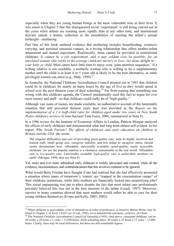especially when they are young human beings at the most vulnerable time in their lives. It was noted in Chapter 5 that this disorganized social 'experiment' is still being carried out in the years when infants are learning more rapidly than at any other time, and institutional daycare entails a drastic reduction in the possibilities of meeting the infant's primal birthright—mothering.

Part One of this book outlined evidence that mothering includes breastfeeding, extensive carrying, and personal sensuous contact, in a loving relationship that offers mother-infant attunement and mutual enjoyment. Realistically, these cannot be provided in institutional childcare. *It cannot be a job requirement, and it may seldom even be possible, for an unrelated woman who works in the average childcare nursery to love—let alone delight in your baby or child*. Most carers have little time to enjoy even 'joint attention sequences.' If a willing relative is not available, a motherly woman who is willing to be a supplementary mother until the child is at least 4 or 5 years old is likely to be the best alternative, as some privileged women can attest (e.g., Hrdy, 1999).<sup>27</sup>

In Australia, the National Childcare Accreditation Council pointed out in 1993 that children could be in childcare for nearly as many hours by the age of five as they would spend in school over the next thirteen years of their schooling.<sup>28</sup> Far from sensing that something was wrong with this childcare agenda, the Council unashamedly used this fact to argue for ever more money and staff—so that childcare could really be of "high quality."

Although vast sums of money are made available, an authoritative account of the lamentable situation that still prevailed thirteen years later was provided in the *Report on the implementation of a 1:4 staff-child ratio for children aged under two years in New South Wales children's services* (Cross-Sectoral Task Force, 2006, summarized in Note 8).

In a 1996 review for the Institute of Economic Affairs in London, Patricia Morgan analyzed the effects of early childcare and demonstrated what had long been almost self-evident. In her report, *Who Needs Parents? The effects of childcare and early education on children in Britain and the USA, s*he wrote:

The singular difficulties and cost of providing good quality care, with its highly involved and trained staff, small group size, caregiver stability, and low infant to caregiver ratios, should surely demonstrate how 'affordable, universally available, good-quality, easily accessible childcare' (to use the popular mantra) is a chimaera, unrealisable in the real world. Affordable care is *low-quality* care. Universally available *high-quality* care is achievable nowhere on earth" (Morgan, 1996; also see Note 8).

Yet, more and ever more subsidized early childcare is widely advocated and created, while all the evidence, inconsistencies, and contraindications that this involves continue to be ignored.

What would Betty Friedan have thought if she had realized that she had effectively promoted a situation where many of tomorrow's 'sisters' are "trapped in the concentration camps" of their childcare institutions, while their mothers are financially locked into unsatisfying jobs? This social engineering was put in place despite the fact that most infant care professionals privately believed this was not in the best interests of the infant (Leach, 1997). Moreover, surveys in many countries showed that most mothers would rather be able to care for their young children themselves (Evans and Kelly, 2001; 2002).

 $\overline{a}$ 

<sup>&</sup>lt;sup>27</sup> When childcare is unavoidable, a list of alternatives in order of preference, as listed by Burton White, may be found in Chapter 2, of *Early Child Care* (Cook, 1996). www.naturalchild.com/peter\_cook/ecc\_ch1.html 28 The National Childcare Accreditation Council [of Australia] (1993), cited above, calculated childcare: can be

<sup>50</sup> weeks x 50 hours x 5 years = 12,500 hours, while schooling takes: 40 weeks x 25 hours x 13 years = 13,000 hours. Clearly, there may be local differences, but these are still remarkable figures.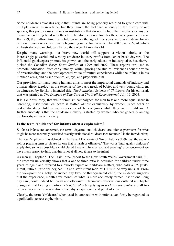Some childcare advocates argue that infants are being properly returned to group care with multiple carers, as in a tribe; but they ignore the fact that, uniquely in the history of our species, this policy raises infants in institutions that do not include their mothers or anyone having an enduring bond with the child, let alone any real love for these very young children. By 1999, 9.8 million American children under the age of five years were in childcare for 40 or more hours a week, with many beginning in the first year, and by 2007 over 25% of babies in Australia were in childcare before they were 12 months old.

Despite many warnings, our brave new world still supports a vicious circle, as the increasingly powerful and wealthy childcare industry profits from center-based daycare. The influential gatekeepers promote its growth, and the early education industry, also, has cherrypicked the Canadian *Early Years Studies* of 1999 and 2007. These reports are used to promote 'education' from early infancy, while ignoring the studies' evidence about the value of breastfeeding, and the developmental value of mutual experiences while the infant is in his mother's arms, and as she suckles, enjoys, and plays with him.

Our provision for many young humans aims to meet the impersonal demands of industry and a materialistic ideology at the expense of the basic needs of babies and very young children, as witnessed by Belsky's intended title, *The Politicized Science of Childcare*, for his editorial, that was printed as *The Dangers of Day Care* in *The Wall Street Journal,* July 16, 2003.

It is a curious irony, that while feminism campaigned for men to take a more equal share in parenting, institutional childcare is staffed almost exclusively by women, since fears of pedophilia deny children any experience of father-figures while they are in childcare. A further anomaly is that the childcare industry is staffed by women who are generally among the lowest-paid in our society.

### **Is the term 'childcare' for infants often a euphemism?**

So far as infants are concerned, the terms 'daycare' and 'childcare' are often euphemisms for what might be more accurately described as early institutional childcare (see footnote 2 in the Introduction).

The noun 'euphemism' is defined in The Cassell Dictionary of Word Histories (1999) as "the use of a soft or pleasing term or phrase for one that is harsh or offensive." The words 'high quality childcare' imply that, so far as possible, a child placed there will have a 'soft and pleasing' experience—but we have much reason to think that this is not at all how it feels to the infant.

As seen in Chapter 5, The Task Force Report to the New South Wales Government said, "… the research universally shows that a one-to-three ratio is desirable for children under three years of age," and referred to a "world expert on childcare matters, who calls a 1:5 [staffinfant] ratio a 'ratio for neglect.'" Yet a staff-infant ratio of 1:5 is in no way unusual. From the viewpoint of a baby, or indeed any two- or three-year-old child, the evidence suggests that the experience, month after month, of what is more accurately termed institutional long day care, could indeed be 'harsh and offensive.' Harsman's observations outlined in Chapter 3 suggest that Leunig's cartoon *Thoughts of a baby lying in a child care centre* are all too often an accurate representation of a baby's experience and point of view.

Clearly, the term 'childcare,' when used in connection with infants, can fairly be regarded as a politically correct euphemism.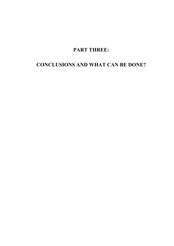# **PART THREE:**

# **CONCLUSIONS AND WHAT CAN BE DONE?**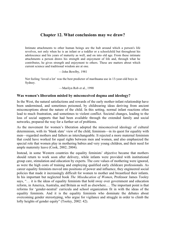# **Chapter 12. What conclusions may we draw?**

Intimate attachments to other human beings are the hub around which a person's life revolves, not only when he is an infant or a toddler or a schoolchild but throughout his adolescence and his years of maturity as well, and on into old age. From these intimate attachments a person draws his strength and enjoyment of life and, through what he contributes, he gives strength and enjoyment to others. These are matters about which current science and traditional wisdom are at one.

—John Bowlby, 1981

Not feeling 'loved a lot' was the best predictor of marihuana use in 13-year-old boys in Sydney.

—Marilyn Rob et al., 1990

### **Was women's liberation misled by misconceived dogma and ideology?**

In the West, the natural satisfactions and rewards of the early mother-infant relationship have been undermined, and sometimes poisoned, by childrearing ideas deriving from ancient misconceptions about the nature of the child. In this setting, normal infant reactions often lead to much frustration, and sometimes to violent conflict. Societal changes, leading to the loss of social supports that had been available through the extended family and social networks, prepared the way for a further set of problems.

As the movement for women's liberation adopted the misconceived ideology of cultural determinism, with its 'blank slate' view of the child, feminism—in its quest for equality with men—regarded mothers and fathers as interchangeable. It rejected a more maternal feminism that could have worked for equal rights between men and women, and also emphasized the special role that women play in mothering babies and very young children, and their need for ample maternity leave (Cook, 2002; 2004).

Instead, in some Western countries the equality feminists' objective became that mothers should return to work soon after delivery, while infants were provided with institutional group care, stimulation and education by experts. The core values of mothering were ignored, as were the high costs of training and employing qualified early childcare professionals. As career equality feminists moved into positions of power and influence, they engineered social policies that made it increasingly difficult for women to mother and breastfeed their infants. In his important but neglected book *The Miseducation of Women*, Professor James Tooley says, "… it is the ideas of equality feminists that hold sway over government and education reform, in America, Australia, and Britain as well as elsewhere.… The important point is that reforms for 'gender-neutral' curricula and school organization fit in with the ideas of the equality feminists. And it is the equality feminists who dominate the debates about overcoming gender stereotyping, who argue for vigilance and struggle in order to climb the lofty heights of gender equity" (Tooley, 2002: 42).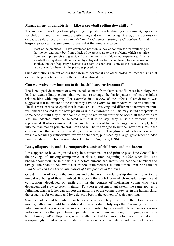# **Management of childbirth—"Like a snowball rolling downhill …"**

The successful working of our physiology depends on a facilitating environment, especially for childbirth and for initiating breastfeeding and early mothering. Strategic disruptions can cascade, as described by Haire in 1972 in *The Cultural Warping of Childbirth*. Of maternity hospital practices that sometimes prevailed at that time, she wrote:

Most of the practices … have developed not from a lack of concern for the wellbeing of the mother and baby but from a lack of awareness as to the problems which can arise from each progressive digression from the normal childbearing experience. Like a snowball rolling downhill, as one unphysiological practice is employed, for one reason or another, another frequently becomes necessary to counteract some of the disadvantages, large or small, inherent in the previous procedure.

Such disruptions can cut across the fabric of hormonal and other biological mechanisms that evolved to promote healthy mother-infant relationships.

### **Can we evolve new humans to fit the childcare environment?**

The ideological detachment of some social sciences from their scientific bases in biology can lead to extraordinary claims that we can re-arrange the basic patterns of mother-infant relationships with impunity. For example, in a review of the effects of childcare, it was suggested that the nature of the infant may have to evolve to suit modern childcare conditions: "In this version it is accepted that humans are still evolving and different attachment patterns will emerge adapted to the new pressures in the environment." This may sound acceptable to some people, until they think about it enough to realize that for this to occur, all those who are less well-adapted must be selected out—that is to say, they must die without having reproduced. It also assumes that fundamental aspects of human biology that are deeply built into the mammalian-primate brain, can and will be re-arranged to suit the "new pressures in the environment" that are being created by childcare policies. This glimpse into a brave new world was in a seemingly authoritative review of childcare, published by a large, government-funded family studies institution in Australia (Ochiltree, 1994; Cook, 1996).

### **Love, alloparents, and the comparative costs of childcare and mothercare**

Love appears to have originated early in our mammalian and primate past. Jane Goodall had the privilege of studying chimpanzees at close quarters beginning in 1960, when little was known about their life in the wild and before humans had greatly reduced their numbers and ravaged their habitat. She wrote a short book with pictures, suitable for children. She called it *With Love: Ten Heart-warming Stories of Chimpanzees in the Wild*.

One definition of love is the emotions and behaviors in a relationship that contribute to the mutual wellbeing of those involved. It appears that such love—which includes empathy and compassion—developed on earth only in the context of mothering young who were dependent and slow to reach maturity. To a lesser but important extent, the same applies to fathering, when a father can support the nurturing of the young. Likewise, in the human child, the capacities for empathy and love develop best in the context of such parenting.

Since a mother and her infant can better survive with help from the father, love between mother, father, and child has additional survival value. Hrdy says that "In many species … infant survival depends on the mother being assisted by others—the father and/or various individuals other than parents—alloparents.… Among humans living in foraging societies, a helpful mate, and/or alloparents, were usually essential for a mother to rear an infant at all. In a surprisingly broad range of creatures, indispensable alloparents provide many of the same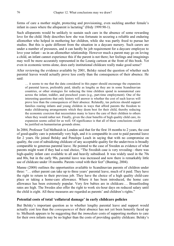forms of care a mother might, protecting and provisioning, even suckling another female's infant in cases where the alloparent is lactating" (Hrdy 1999:90-1).

Such alloparents would be unlikely to sustain such care in the absence of some rewarding love for the child. Hrdy describes how she was fortunate in securing a reliable and enduring allomother who helped in mothering her children, while she was partly freed to pursue her studies. But this is quite different from the situation in a daycare nursery. Such carers are under a number of pressures, and it can hardly be job requirement for a daycare employee to love your infant—as in an allomother relationship. However much a parent may go on loving a child, an infant cannot experience this if the parent is not there; her feelings and imaginings may well be more accurately represented in the Leunig cartoon at the front of this book. Yet even in economic terms alone, does early institutional childcare really make good sense?

After reviewing the evidence available by 2001, Belsky raised the question of whether such parental leaves would actually prove less costly than the consequences of their absence. He said:

… it seems to me that the data considered in this paper should encourage the expansion of parental leaves, preferably paid, ideally as lengthy as they are in some Scandinavian countries, or other strategies for reducing the time children spend in nonmaternal care across the infant, toddler, and preschool years (e.g., part-time employment). One of the interesting questions that only history will answer is whether the cost of such leaves will prove less than the consequences of their absence. Relatedly, tax policies should support families rearing infants and young children in ways that afford parents the freedom to make childrearing arrangements which they deem best for their child, thereby reducing the economic coercion that necessitates many to leave the care of their children to others when they would rather not. Finally, given the clear benefits of high quality child care, its expansion seems called for as well. Of significance is that all of these conclusions could be justified on humanitarian grounds alone.

In 2004, Professor Ted Melhuish in London said that for the first 18 months to 2 years, the cost of good-quality care is potentially very high, and it is comparable in cost to paid parental leave for 2 years. He joined Belsky and Penelope Leach in saying that with no compromise on quality, the cost of subsidizing childcare of any acceptable quality for the under-twos is broadly comparable to generous parental leave. He pointed to the case of Sweden as evidence of what parents might want if they had a real choice, "The Swedish case is very revealing—there was high-quality infant care available to all and heavily subsidised. It was widely used in the 70s and 80s, but in the early 90s, parental leave was increased and now there is remarkably little use of childcare under 18 months. Parents voted with their feet" (Bunting, 2004).

Manne (2008) outlines the opportunities available to Scandinavian parents of children under three: "… either parent can take up to three years' parental leave, much of it paid. They have the right to return to their previous job. They have the choice of a high quality child-care place or taking a home-care allowance. Where it has been introduced, the home care allowance has been extremely popular. Very few babies are in childcare…. Breastfeeding rates are high. The Swedes also offer the right to work six-hour days on reduced salary until the child is eight. All these measures are regarded as parents' and children's rights."

### **Potential costs of total 'collateral damage' in early childcare policies**

But Belsky's important question as to whether lengthy parental leave and support would actually cost less than the *consequences* of their absence has not yet been honestly faced up to. Melhuish appears to be suggesting that the *immediate* costs of supporting mothers to care for their own infants may be no higher than the costs of providing quality childcare. Belsky's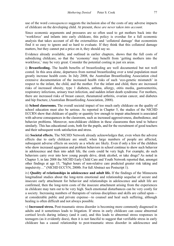use of the word *consequences* suggests the inclusion also of the costs of any adverse impacts of childcare on the developing child. At present, *these are never taken into account*.

Since economic arguments and pressures are so often used to get mothers back into the 'workforce' and infants into early childcare, this policy is overdue for a full economic analysis that takes account of all the externalities and 'collateral damage' that economists find it so easy to ignore and so hard to evaluate. If they think that this collateral damage matters, but they cannot put a price on it, they should say so.

Evidence already available, and outlined in earlier chapters, shows that the full costs of subsidizing childcare, so that the 'economy' may benefit from 'getting mothers into the workforce,' may be very great. Consider the potential costing in just six areas.

i) **Breastfeeding.** The health benefits of breastfeeding are well documented but not well costed. In this area alone, departures from normal breastfeeding over a total population must greatly increase health costs. In July 2008, the Australian Breastfeeding Association cited extensive documentation of the increased health risks of such 'eco-genetic mismatch' in respect to the infant, the child, and the mother. For the infant and child, there are increased risks of increased obesity, type 1 diabetes, asthma, allergy, otitis media, gastroenteritis, respiratory infections, urinary tract infection, and sudden infant death syndrome. For mothers, there are increased risks of breast cancer, rheumatoid arthritis, ovarian cancer, and diabetes and hip fracture, (Australian Breastfeeding Association, 2008).

ii) **School classrooms.** The overall societal impact of too much early childcare on the quality of school education must also be serious. As reported in Chapter 5, the studies of the NICHD ECCRN show that childcare of quality or quantity low enough to impair attachment is associated with adverse consequences in the classroom, such as increased aggressiveness, disobedience, and behavior problems. Moreover, non-childcare children in these classrooms then tend to behave similarly. This has educational costs, both for the pupils, and for the recruitment of good teachers and their subsequent work satisfaction and stress.

iii) **Societal effects.** The NICHD Network already acknowledges that, even when the adverse effects due to early childcare are small, when large numbers of people are affected, subsequent adverse effects on society as a whole are likely. Even if only a few of the children who show increased aggression and problem behaviors in school continue to show such behavior in adolescence and then into adult life, the costs could be very high. For example, do such behaviors carry over into how young people drive, drink alcohol, or take drugs? As noted in Chapter 5, in late 2008 the NICHD Early Child Care and Youth Network reported that, amongst other findings at age 15, "higher hours of non-relative care predicted greater risk taking and impulsivity…" (NICHD ECCYN, 2008b. For full Abstract see Postscript 1).

iv) **Quality of relationships in adolescence and adult life.** If the findings of the Minnesota longitudinal studies about the long-term emotional and relationship sequelae of secure and insecure early attachment for behavior and relationships in adolescence and adult life are confirmed, then the long-term costs of the insecure attachment arising from the experiences in childcare may turn out to be very high. Such emotional disturbances can be very costly for a society. Increasing numbers of therapists of various disciplines and skills are called upon at considerable public and private expense—to counsel and heal such suffering, although healing is often difficult and not always possible.

v) **Increased stress.** Post-traumatic stress disorder is becoming more commonly diagnosed in adults and it sometimes leads to litigation. If stress in early childcare can cause abnormal cortisol levels during infancy (and it can), and this leads to abnormal stress responses in teenagers (as it evidently does), then it is not fanciful to suggest that verifiable stress in early childcare has a causal relationship to post-traumatic stress disorder in adolescence and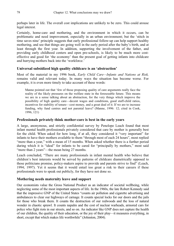perhaps later in life. The overall cost implications are unlikely to be zero. This could arouse legal interest.

Certainly, home-care and mothering, and the environment in which it occurs, can be problematic and need improvement, especially in an urban environment; but the 'stitch in time saves nine' principle suggests that early professional follow-up can help support healthy mothering, and see that things are going well in the early period after the baby's birth, and at least through the first year. In addition, supporting the involvement of the father, and providing early childhood centers and open pre-schools, is likely to be much more costeffective and good for 'the economy' than the present goal of getting infants into childcare and hurrying mothers back into the 'workforce.'

### **Universal subsidized high quality childcare is an 'abstraction'**

Most of the material in my 1996 book, *Early Child Care—Infants and Nations at Risk,*  remains valid and relevant today. In many ways the situation has become worse. For example, it is even more timely to take account of these words:

Manne pointed out that 'few of those proposing quality of care arguments really face the reality of the likely pressures on the welfare state in the foreseeable future. This means we are in a sense talking about an abstraction, for the very things which improve the possibility of high quality care—decent wages and conditions, good staff-child ratios, incentives for stability of tenure—cost money, and a great deal of it. If we are to increase funding, why fund centres and not parental leave? (Manne, 1996: 12; cited in Cook, 1996, 121)

### **Professionals privately think mother-care is best in the early years**

A large, anonymous, and strictly confidential survey by Penelope Leach found that most infant mental health professionals privately considered that care by mother is generally best for the child. When asked for how long, if at all, they considered it "very important" for infants to have their mothers available to them "through most of each 24 hours", most replied "more than a year," with a mean of 15 months. When asked whether there is a further period during which it is "ideal" for infants to be cared for "principally by mothers," most said "more than 2 years"—the mean being 27 months.

Leach concluded, "There are many professionals in infant mental health who believe that children's best interests would be served by patterns of childcare diametrically opposed to those politicians promise, policy-makers aspire to provide and parents strive to find" (Leach, 1994; 1997). Yet it seems that it would entail too great a risk to their careers if these professionals were to speak out publicly, for they have not done so.

### **Mothering needs maternity leave and support**

Our economists value the Gross National Product as an indicator of societal wellbeing, while neglecting some of the most important aspects of life. In the 1960s, the late Robert Kennedy said that the impressive GNP of the United States "counts air pollution and cigarette advertising and ambulances to clear our highways of carnage. It counts special locks for our doors and the jails for those who break them. It counts the destruction of our redwoods and the loss of natural wonder in chaotic sprawl. It counts napalm and the cost of nuclear warheads, armored cars for police who fight riots in our streets, and so on. An indicator like GNP does not capture the health of our children, the quality of their education, or the joy of their play—it measures everything, in short, except that which makes life worthwhile" (Johnston, 2004).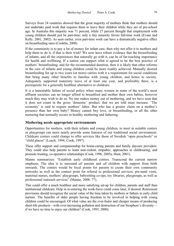Surveys from 24 countries showed that the great majority of mothers think that mothers should not undertake paid work that requires them to leave their children while they are of pre-school age. In Australia this majority was 71 percent, while 27 percent thought that employment with young children should just be part-time; only a tiny minority favors full-time work (Evans and Kelly, 2001; 2002). As seen earlier, even part-time work can have a dramatically negative effect on breastfeeding rates (Cooklin, 2008).

If the community is to pay a lot of money for infant care, then why not offer it to mothers and help them to do it, if that is their wish? We now have robust evidence that the breastfeeding of infants, and all the experiences that naturally go with it, can be of far-reaching importance for health and wellbeing. If a nation can support what is agreed to be the best practice of mothers' breastfeeding, and for the recommended duration, then it is likely that other reforms in the care of infants and young children could be more readily achieved. Mutually desired breastfeeding for up to two years (or more) carries with it a requirement for social conditions that bring many other benefits to families with young children, and hence to society. Adequately supported maternity leave of at least one year, and preferably three, is a prerequisite for a generally healthier alternative to childcare.

It is a lamentable failure of social policy when many women in some of the world's most affluent societies can no longer afford to breastfeed and mother their own babies, however much they may wish to do so. No one makes money out of mothering, and we have seen that it does not count in the gross 'domestic' product, that we are told must increase. 'The economy' is said to require mothers' labor. But who has a greater claim on a mother's presence than her own baby? Money cannot buy love, or breastfeeding, or all the other nurturing that normally occurs in healthy mothering and fathering.

# **Mothering needs appropriate environments**

Opportunities for mothers, with their infants and young children, to meet in suitable centers or playgroups can more nearly provide some features of our traditional social environment. Childcare centers could change to offer services like those of Swedish "open preschools" or "child places" (Leach, 1994; Cook, 1997).

These offer support and companionship for home-caring parents and family daycare providers. They could also help parents to learn non-violent, empathic, approaches to childrearing, and promote trusting, co-operative relationships (Cook, 1996; 2005a; Hunt, 2001).

Manne summarizes: "Establish early childhood centres. Transcend the current narrow emphasis. The idea is to surround *all* parents and *all* children with support from birth onwards. The centres would be focal points for parents to create their own community networks as well as the contact point for referral to professional services: pre-natal visits, maternal nurses, mothers' playgroups, babysitting co-ops, toy libraries, playgroups, as well as professional outreach services" (Manne, 2008: 77).

This could offer a much healthier and more satisfying set-up for children, parents and staff than institutional childcare. Help in re-entering the work-force could come later, if desired. Retirement provisions should recognize the social value of the time taken by mothers or fathers in early child nurture. The benefits of older people having freedom to be involved in helping with young children could be encouraged. Of what value are the ever-faster and cheaper means of producing short-life products—with ever-increasing pollution and destruction of our biosphere's diversity if we have no time to enjoy our children? (Cook, 1995; 2000).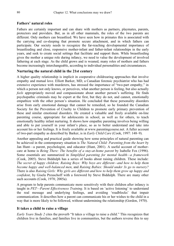### **Fathers' natural roles**

Fathers are certainly important and can share with mothers as partners, playmates, parents, protectors and providers. But, as in all other mammals, the roles of the two parents are different. Only mothers can breastfeed. We have seen how in primates this is associated with the carrying and co-sleeping that promote secure attachment, and in which fathers can participate. Our society needs to recognize the far-reaching developmental importance of breastfeeding and close, responsive mother-infant and father-infant relationships in the early years, and seek to create social settings that facilitate and support them. While breastfeeding gives the mother a unique role during infancy, we need to value the development of involved fathering at each stage. As the child grows and is weaned, many roles of mothers and fathers become increasingly interchangeable, according to individual personalities and circumstances.

### **Nurturing the natural child in the 21st century**

A higher quality relationship is implicit in cooperative childrearing approaches that involve empathy and mutual love. Elliott Barker, MD, a Canadian forensic psychiatrist who has had extensive experience with murderers, has stressed the importance of "two-part empathy," in which a person not only knows, or perceives, what another person is feeling, but also actually *feels* appropriately moved and compassionate about another person's suffering. He finds psychopathic criminals may be expert at the first, but they do not, and cannot, emotionally empathize with the other person's situation. He concluded that these personality disorders arise from early emotional damage that cannot be remedied, so he founded the Canadian Society for the Prevention of Cruelty to Children to promote early primary prevention of these and similar emotional disorders. He created a valuable and freely available on-line parenting course, appropriate for adolescents in school, as well as for others, to teach emotionally healthy infant nurturing. It shows how empathic parenting involves being willing and able to put yourself in your infant's place, so as to better understand and take into account his or her feelings. It is freely available at www.parentingcourse.net. A fuller account of two-part empathy as described by Barker, is in *Early Child Care* (Cook, 1997: 148–9).

Another appealing and practical guide showing how some principles of natural parenting can be achieved in the contemporary situation is *The Natural Child: Parenting from the heart b*y Jan Hunt—a parent, psychologist, and educator (Hunt, 2001). A useful account of mothercare at home is *Being There: The benefits of a stay-at-home parent* by Isabelle Fox (1996). Some essentials are summarized in *Simplified parenting for mental health—a framework* (Cook, 2005). Steve Biddulph has a series of books about raising children. These include: *The secret of happy children; Raising Boys: Why boys are different—and how to help them become happy and well-balanced men*, and *Raising Babies: Should under 3s go to nursery?*  There is also *Raising Girls: Why girls are different and how to help them grow up happy and confident*, by Gisela Preuschoff with a foreword by Steve Biddulph. There are many other such accounts (Cook, 1978; 2005a).

A program to help parents communicate more sensitively with their children after infancy is taught in *PET—Parent Effectiveness Training*. It is based on 'active listening' to understand the real message and underlying feelings, and avoiding 'roadblocks' that impair communication. It describes how a parent can communicate his or her wishes to the child in a way that is more likely to be followed, without undermining the relationship (Gordon, 1970).

### **It takes a child to raise a village**

*Early Years Study 2* cites the proverb "It takes a village to raise a child." This recognizes that children live in families, and families live in communities, but the authors reverse this to say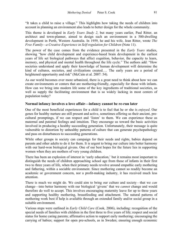"It takes a child to raise a village." This highlights how taking the needs of children into account in planning an environment also leads to better design for the whole community.

This theme is developed in *Early Years Study 2*, but many years earlier, Paul Ritter, an architect and town-planner, aimed to design such an environment in a 500-dwelling development in Perth, Western Australia. In 1959, he and his wife, Jean Ritter, wrote *The Free Family—a Creative Experience in Self-regulation for Children* (Note 11).

The power of the case comes from the evidence presented in the *Early Years* studies, showing "how child development and experience-based brain development in the earliest years of life set biological pathways that affect cognition, behavior, the capacity to learn, memory, and physical and mental health throughout the life cycle." The authors add: "How societies understand and apply their knowledge of human development will determine the kind of cultures, societies, and civilizations created.... The early years are a period of heightened opportunity and risk" (McCain et al. 2007: 54).

As our world becomes ever more urbanized, there is a great need to think about how we can create environments or centers that are mothering-friendly, especially for those with infants. How can we bring into modern life some of the key ingredients of traditional societies, as well as supply the facilitating environment that is so widely lacking in most centers of population today?

# **Normal infancy involves a love affair—infancy cannot be re-run later**

One of the most beneficial experiences for a child is to feel that he or she is *enjoyed*. Our genes for healthy nurture are still present and active, sometimes offering us their ancient, precultural promptings, if we can respect and 'listen' to them. We can experience these as maternal and paternal feelings and intuition. They encourage us toward the basic activities involved in producing a healthy succeeding generation. Unfortunately, their message is quite vulnerable to distortion by unhealthy patterns of culture that can generate psychopathology and pass on disturbances to succeeding generations.

While other groups in society can campaign for their needs and rights, babies depend on parents and other adults to do it for them. It is urgent to bring our culture into better harmony with our hard-won biological givens. One of our best hopes for the future lies in supporting women when they are mothers of very young children.

There has been an explosion of interest in 'early education,' but it remains most important to distinguish the needs of children approaching school age from those of infants in their first two to three years of life, when their primary needs revolve around empathic early mothering and fathering, within a sociable environment. Since mothering cannot so readily become an academic or government concern, nor a profit-making industry, it has received much less attention.

There is much we might do. We could aim to bring our culture and society—that we *can* change—into better harmony with our biological 'givens' that we *cannot* change and would therefore do well to accept. This involves encouraging maternity leave for up to three years and supporting healthy mothering, breastfeeding and attachment. The natural patterns of mothering work best if help is available through an extended family and/or social group in a suitable environment.

Various steps were outlined in *Early Child Care* (Cook, 2006), including: recognition of the special needs of families with children in the first three to five years of life; respect and social status for home caring parents; affirmative action to support early mothering; encouraging the carrying of babies; support for open pre-schools, as in Sweden; ensuring enough economic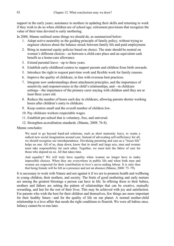support in the early years; assistance to mothers in updating their skills and returning to work if they wish to do so when children are of school age; retirement provisions that recognize the value of their time devoted to early mothering.

In 2008, Manne outlined some things we should do, as summarized below:

- 1. Adopt active neutrality as the guiding principle of family policy, without trying to engineer choices about the balance struck between family life and paid employment.
- 2. Bring in maternal equity policies based on choice. The state should be neutral on women's different choices—as between a child-care place and an equivalent cash benefit as a home-care allowance.
- 3. Extend parental leave—up to three years.
- 4. Establish early-childhood centres to support parents and children from birth onwards.
- 5. Introduce the right to request part-time work and flexible work for family reasons.
- 6. Improve the quality of childcare, in line with overseas best practices.
- 7. Integrate new understandings about attachment principles, and the importance of sensitivity and responsiveness in the child's relationships, and—in childcare settings—the importance of the primary carer staying with children until they are at least three years old.
- 8. Reduce the number of hours each day in childcare, allowing parents shorter working hours after children's entry to childcare.
- 9. Keep centres small and the overall number of children low.
- 10. Pay childcare workers respectable wages.
- 11. Establish pre-school that is voluntary, free, and universal.
- 12. Strengthen accreditation standards. (Manne, 2008: 76-8).

### Manne concludes:

We need to go beyond band-aid solutions, such as short maternity leave, to create a radical new social imagination around care. Instead of advocating self-sufficiency for all, we should recognise our interdependence. Devaluing parenting and care as a "lesser life" helps no one. All of us, deep down, know that in small and large acts, men and women must take responsibility for each other. Together, we must knit the fabric of care for those who depend on us. All that takes time.

And equality? We will truly have equality when women no longer have to make impossible choices. When they are everywhere in public life and when both men and women are respected for their contribution to love's never-ending labour. It is only then that being female will be felt as a presence and not an absence (Manne, 2008: 75–79).

It is necessary to work with Nature and not against it if we are to promote health and wellbeing in young children, their mothers, and society. The fruits of good mothering and early nurture are among the greatest blessings a person can have in life. In offering these to their babies, mothers and fathers are setting the pattern of relationships that can be creative, mutually rewarding, and last for the rest of their lives. This may be achieved with joy and satisfaction. For parents who wish the best for their children and themselves, few things are more important for their healthy future—and for the quality of life on our planet. A normal mother-child relationship is a love affair that needs the right conditions to flourish. We were all babies once. Infancy cannot be re-run later.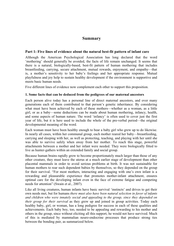# **Summary**

# **Part 1: Five lines of evidence about the natural best-fit pattern of infant care**

Although the American Psychological Association has long declared that the word 'mothering' should generally be avoided, the facts of life remain unchanged. It seems that there is a natural, biologically-based, best-fit pattern of human mothering that includes breastfeeding, carrying, secure attachment, mutual rewards, enjoyment, and empathy—that is, a mother's sensitivity to her baby's feelings and her appropriate response. Mutual playfulness and joy help to sustain healthy development if the environment is supportive and meets basic human needs.

Five different lines of evidence now complement each other to support this proposition.

# **1. Some facts that can be deduced from the pedigrees of our maternal ancestors**

Each person alive today has a personal line of direct maternal ancestors, and over many generations each of them contributed to that person's genetic inheritance. By considering what must have been achieved by each of these mothers—whether as a woman, as a little girl, or as a baby—some deductions can be made about human mothering, infancy, health, and some aspects of human nature. The word 'infancy' is often used to cover just the first year of life, but it is here used to include the whole of the pre-verbal period—the original developmental meaning of the word.

Each woman must have been healthy enough to bear a baby girl who grew up to do likewise. In nearly all cases, within her communal group, each mother reared her baby—breastfeeding, carrying and sleeping with her, as well as protecting, teaching, and playing with her until she was able to survive safely when away from her mother. To reach this stage, powerful attachments between a mother and her infant were needed. They were biologically fitted to live as hunter-gathers within an extended family and social group.

Because human brains rapidly grow to become proportionately much larger than those of any other creature, they must leave the uterus at a much earlier stage of development than other placental mammals in order to avoid serious problems at birth. It was not sustainable for human mothers to rear such dependent babies by themselves, so they depended on the group for their survival. "For most mothers, interacting and engaging with one's own infant is a rewarding and pleasurable experience that promotes mother-infant attachment, ensures optimal care for the developing infant even in the face of extreme fatigue and competing needs for attention" (Swain et al., 2007).

Like all living creatures, human infants have basic survival 'instincts' and drives to get their own needs met, but for humans *there must also have been natural selection in favor of infants and children who were innately social and appealing to the group, since they depended on their group for their survival* as they grew up and joined in group activities. Today each healthy baby, girl, or woman, has a long pedigree for success in each of these qualities and achievements. Each baby boy, too, needed to be appealing and rewarding to his mother and others in the group, since without eliciting all this support, he would not have survived. Much of this is mediated by mammalian neuro-endocrine processes that produce strong ties between the bonding pair, as summarized below.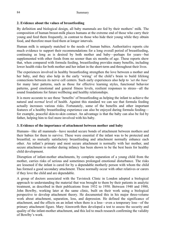# **2. Evidence about the values of breastfeeding**

By definition and biological design, all baby mammals are fed by their mothers' milk. The composition of human breast-milk places humans at the extreme end of those who carry their young and feed them frequently, in contrast to those who hide their young while they obtain food, and therefore must feed them at longer intervals.

Human milk is uniquely matched to the needs of human babies. Authoritative reports cite much evidence to support their recommendations for a long overall period of breastfeeding, continuing as long as is desired by both mother and baby—perhaps for years—but supplemented with other foods from no sooner than six months of age. These reports show that, when compared with formula feeding, breastfeeding provides many benefits, including lower health risks for both mother and her infant in the short-term and throughout their lives.

The experiences involved in healthy breastfeeding strengthen the love between a mother and her baby, and they also help in the early 'wiring' of the child's brain to build lifelong connections between its nerve cell centers. Such early experiences also help to *'set the base'* for many later patterns, such as those for effective learning styles, functional behavior patterns, good emotional and general fitness levels, resilient responses to stress—all the sound foundations for future wellbeing and healthy relationships.

It is more accurate to see these 'benefits' of breastfeeding as helping the infant to achieve the natural and *normal* level of health. Against this standard we can see that formula feeding actually increases various risks. Fortunately, some of the benefits and other important features of a healthy breastfeeding experience can also be enjoyed during formula feeding for example, peaceful skin-to-skin contact. An advantage is that the baby can also be fed by father, helping him to feel more involved with his baby.

### **3. Evidence of the importance of attachment between mother and baby**

Humans*—*like all mammals*—*have needed secure bonds of attachment between mothers and their babies for them to survive. These were essential if the infant was to be protected and breastfed; so mutually satisfactory breastfeeding and attachment normally enhance each other. An infant's primary and most secure attachment is normally with her mother, and secure attachment to mother during infancy has been shown to be the best basis for healthy child development.

Disruption of infant-mother attachments, by complete separation of a young child from the mother, carries risks of serious and sometimes prolonged emotional disturbance. The risks are lessened if the infant is cared for by a dependable motherly person with whom the child has formed a good secondary attachment. These normally occur with other relatives or carers if they love the child and are dependable.

A group of doctors associated with the Tavistock Clinic in London adopted a biological approach to understanding the material that was brought to them by their patients in analytic treatment, as described in their publications from 1932 to 1950. Between 1940 and 1980, John Bowlby, working later at the same clinic, built on their work using a biological perspective to develop attachment theory. He documented this in his major three-volume work about attachment, separation, loss, and depression. He defined the significance of attachment, and the effects on an infant when there is a loss—even a temporary loss—of the primary attachment figure. Mary Ainsworth then developed a test to assess the security and quality of the infant-mother attachment, and this led to much research confirming the validity of Bowlby's work.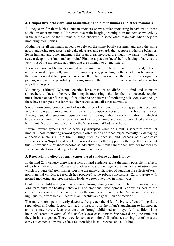### **4. Comparative behavioral and brain-imaging studies in humans and other mammals**

As they care for their babies, human mothers show similar mothering behaviors to those studied in other mammals. Moreover, live brain-imaging techniques in mothers show activity in the same areas of their brains as those observed in some other mammals when they are mothering their babies.

Mothering in all mammals appears to rely on the same bodily systems, and uses the same neuro-endocrine processes to give the pleasures and rewards that support mothering behavior. So in humans and other mammals the brain areas involved are much the same—the limbic system deep in the 'mammalian brain.' Finding a place to 'nest' before having a baby is the very first of the mothering activities that are common to all mammals.

These systems and behaviors underlying mammalian mothering have been tested, refined, and have worked perfectly well for millions of years, providing mothers and their babies with the rewards needed to reproduce successfully. There was neither the need to re-design this pattern, nor even the possibility of doing so—whether to fit a misconceived ideology, or for any other purpose.

Yet many 'affluent' Western societies have made it so difficult to find and maintain somewhere to 'nest'—the very first step in mothering—that for them to succeed, couples must shorten or sacrifice many of the other basic patterns of mothering behavior, even though these have been possible for most other societies and all other mammals.

Since two-income couples can bid up the price of a home, most young parents need two incomes from paid employment if they are to compete successfully in the housing market. Through 'social engineering,' equality feminism brought about a social situation in which it became ever more difficult for a woman to afford a home and also to breastfeed and enjoy her infant. More and more women in the West cannot afford to do both.

Natural reward systems can be seriously disrupted when an infant is separated from her mother. These mothering reward systems can also be abolished experimentally by damaging a specific nucleus in the brain. Drugs such as cocaine, and perhaps other addictive substances, can 'hijack' and block the reward systems that support mothering. It appears that this is how such substances become so addictive; the infant cannot then give her mother any further satisfactions, and neglect and abuse may follow.

### **5. Research into effects of early center-based childcare during infancy**

In the mid-20th century there was a lack of hard evidence about the many possible ill-effects of early childcare. But *absence of evidence* was often regarded as *evidence of absence* which is a quite different matter. Despite the many difficulties of studying the effects of early non-maternal childcare, research has produced some robust conclusions. Early nurture with normal mothering and breastfeeding leads to better outcomes in many ways.

Center-based childcare by unrelated carers during infancy carries a number of immediate and long-term risks for healthy behavioral and emotional development. Various aspects of the childcare experience affect risk, such as the quality and quantity, but 'universally available, high quality, affordable childcare' is an unachievable goal—'an abstraction.'

The more hours spent in early daycare, the greater the risk of adverse effects. Long daily separations and other factors can lead to insecurity in the infant's attachment to his mother, and this may have effects that continue through childhood and beyond. In addition, long hours of separation *diminish the mother's own sensitivity to her child* during the time that they do have together. There is evidence that emotional disturbances arising out of insecure early attachments adversely affect relationships in adolescence and adult life.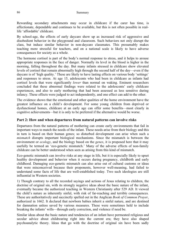Rewarding secondary attachments may occur in childcare if the carer has time, is affectionate, dependable and continues to be available, but this is not often possible in reallife 'affordable' childcare.

By school-age, the effects of early daycare show up as increased risk of aggressive and disobedient behavior in the playground and classroom. Such behaviors not only disrupt the class, but induce similar behavior in non-daycare classmates. This presumably makes teaching more stressful for teachers, and on a national scale is likely to have adverse consequences for society as a whole.

The hormone cortisol is part of the body's normal response to stress, and it helps to arouse appropriate responses in the face of danger. Normally its level in the blood is higher in the morning, falling throughout the day. But many infants stressed in childcare show elevated levels of cortisol that remain abnormally high through the second half of the day—even if the daycare is of 'high quality.' These are likely to have lasting effects on various body 'settings' and responses to stress. At age 15, adolescents who had been in childcare as infants had cortisol levels that were significantly *lower* than normal on waking. Eminent researchers concluded that these abnormal findings were related to the adolescents' early childcare experiences, and also to early mothering that had been assessed as less sensitive during infancy. These effects were judged to act independently, and one effect can add to the other.

The evidence shows that the emotional and other qualities of the home environment have the greatest influence on a child's development. For some young children from deprived or dysfunctional homes, childcare at an early age can offer some benefits—most clearly in cognitive achievements—but it is only to be preferred if the alternative would be worse.

# **Part 2: How and when departures from natural patterns can involve risks**

Departures from the natural patterns of mothering can create early environments that fail in important ways to match the needs of the infant. These needs arise from their biology and this in turn is based on their human genes; so disturbed development can arise when such a *mismatch* disrupts important biological mechanisms. Since the mismatch is between the environment or *ecology*, and the biology based on the *genes*, it is proposed here that it may usefully be termed an 'eco-genetic mismatch.' Many of the adverse effects of non-family childcare can be better understood when seen as arising from this kind of mismatch.

Eco-genetic mismatch can involve risks at any stage in life, but it is especially likely to upset healthy development and behavior when it occurs during pregnancy, childbirth and early childhood. Damaging eco-genetic mismatch can also arise out of cultural customs or ideas that were misconceived because their proponents, however well-meaning, had failed to understand some facts of life that are well-established today. Two such ideologies are still influential in Western societies.

1) Though contrary to all the recorded sayings and actions of Jesus relating to children, the doctrine of original sin, with its strongly negative ideas about the basic nature of the infant, eventually became the authorized teaching in Western Christianity after 529 AD. It viewed the child's nature as inherently sinful, with risk of far-reaching and terrible consequences. These are authoritatively and succinctly spelled out in the Anglican *Book of Common Prayer*, authorized in 1662. It declared that newborn babies inherit a sinful nature, and are destined for damnation unless saved by various measures. These were sometimes held to include breaking the infants' wills—through early correction, and violence if need be.

Similar ideas about the basic nature and tendencies of an infant have permeated religious and secular advice about childrearing right into the current era; they have also shaped psychoanalytic theory. Ideas that go with the doctrine of original sin have been sadly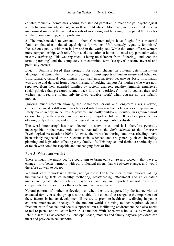counterproductive, sometimes leading to disturbed parent-child relationships, psychological and behavioral maladjustment, as well as child abuse. Moreover, as this cultural process undermined many of the natural rewards of mothering and fathering, it prepared the way for another, compounding, set of problems.

2) The much-needed movement to 'liberate' women might have fought for a maternal feminism that also included equal rights for women. Unfortunately 'equality feminism,' focused on equality with men in law and in the workplace. While this often offered women more companionship, with relief from social isolation at home, it denied any particular value in early *mothering*. This was regarded as being no different from 'fathering,' and soon the terms 'parenting' and the completely non-committal term 'caregiver' became favored and politically correct.

Equality feminists based their program for social change on cultural determinism—an ideology that denied the influence of biology in most aspects of human nature and behavior. Unfortunately, cultural determinism was itself misconceived because its basic information was untrue and derived from a hoax. Instead of seeking support for mothers who were now separated from their extended families by societal changes, equality feminists engineered social policies that pressured women back into the 'workforce'—mostly against their real wishes—as if rearing infants only involves valuable 'work' when you are not the infant's mother.

Ignoring much research showing the sometimes serious and long-term risks involved, childcare advocates still sometimes talk as if infants—even from a few weeks of age—can be safely reared in daycare centres. A powerful and costly childcare 'industry' has grown almost exponentially, with a vested interest in early, long-day childcare. It is often presented as offering early education, and in some cases it has very large public subsidies.

The word 'mothering' has been deemed to show 'bias' and it is therefore generally unacceptable in the many publications that follow the *Style Manual* of the American Psychological Association (2005). Likewise, the words 'mothering' and 'breastfeeding,' have been widely neglected in the relevant social sciences, and are generally absent in policy planning and legislation affecting early family life. This neglect and denial are seriously out of touch with some inescapable and unchanging facts of life.

# **Part 3: What can we do?**

There is much we might do. We could aim to bring our culture and society—that we *can* change—into better harmony with our biological givens that we *cannot* change, and would therefore do well to accept.

We must learn to work with Nature, not against it. For human health, this involves valuing the unchanging facts of healthy mothering, breastfeeding, attachment and an empathic understanding of babies' feelings. Playfulness and joy are important natural rewards to compensate for the sacrifices that can be involved in mothering.

Natural patterns of mothering develop best when they are supported by the father, with an extended family or social group also available. It is essential to recognize the importance of these factors in human development if we are to promote health and wellbeing in young children, mothers and society. In the modern world a nursing mother requires adequate freedom, with financial and social support within a facilitating environment. She also needs to feel respected and valued in her role as a mother. With 'open pre-schools' as in Sweden, or 'child places," as advocated by Penelope Leach, mothers and family daycare providers can meet and provide social supports.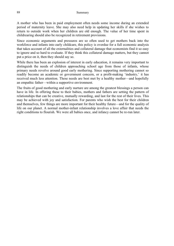A mother who has been in paid employment often needs some income during an extended period of maternity leave. She may also need help in updating her skills if she wishes to return to outside work when her children are old enough. The value of her time spent in childrearing should also be recognized in retirement provisions.

Since economic arguments and pressures are so often used to get mothers back into the workforce and infants into early childcare, this policy is overdue for a full economic analysis that takes account of all the externalities and collateral damage that economists find it so easy to ignore and so hard to evaluate. If they think this collateral damage matters, but they cannot put a price on it, then they should say so.

While there has been an explosion of interest in early education, it remains very important to distinguish the needs of children approaching school age from those of infants, whose primary needs revolve around good early mothering. Since supporting mothering cannot so readily become an academic or government concern, or a profit-making 'industry,' it has received much less attention. These needs are best met by a healthy mother—and hopefully an empathic father—within a supportive environment.

The fruits of good mothering and early nurture are among the greatest blessings a person can have in life. In offering these to their babies, mothers and fathers are setting the pattern of relationships that can be creative, mutually rewarding, and last for the rest of their lives. This may be achieved with joy and satisfaction. For parents who wish the best for their children and themselves, few things are more important for their healthy future—and for the quality of life on our planet. A normal mother-infant relationship involves a love affair that needs the right conditions to flourish. We were all babies once, and infancy cannot be re-run later.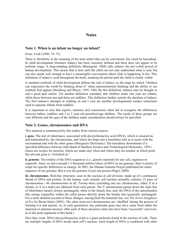# **Notes**

# **Note 1. When is an infant no longer an infant?**

From: Cook (1996: 74–75).

There is flexibility in the meaning of the term infant that can be convenient, but could be hazardous. In child development literature infancy has been variously defined and there does not appear to be uniform usage. A long-standing definition (Rheingold, 1968) calls infancy the pre-verbal period of human development. This means that it lasts until the child can not only understand what is said, but can also speak well enough to have a meaningful conversation about what is happening to her. This definition of infant is used throughout the book, meaning the period until the child is clearly verbal.

A standard textbook of child development defines the end of infancy as the stage by which "children can experience the world by thinking about it" when representational thinking and the ability to use symbols first appear (Steinberg and Meyer, 1995: 140). By this definition, infancy may be thought to end a good deal earlier. Yet another definition considers that children under one year are infants, while those between one and three are toddlers. This definition further curtails the duration of infancy The first tentative attempts at walking on one's own are another developmental marker sometimes used to separate infants from toddlers.

It is important to note that reports, statistics and conclusions often fail to recognise the differences between babies, toddlers and 3 to 5 year-old preschool-age children. The needs of these groups are very different and the ages of the children under consideration should always be specified.

### **Note 2. Genes, chromosomes and DNA**

This material is summarized by this author from various sources.

**i. gene**. The unit of inheritance, associated with deoxyribonucleic acid (DNA), which is situated on, and transmitted by, the chromosome, and which develops into a hereditary trait as it reacts with the environment and with the other genes (Macquarie Dictionary). The hereditary determinant of a specified difference between individuals (Chambers Science and Technological Dictionary, 1991). Genes are recipes for proteins, which are made only when and where they are needed, at which point the relevant gene is "switched on."

**ii. genome**. The totality of the DNA sequences (i.e., genetic material) for any cell, organism or organelle. Since we have around 3.3 thousand million letters of DNA in our genome, there is plenty of scope for specific differences to emerge. In 2001, the Human Genome Project published the entire sequence of our genome. But it was the genome of just one person (Pagel, 2008).

**iii. chromosomes**. Rod-like structures, seen in the nucleus at cell division, made up of a continuous thread of DNA and protein. In the human, each somatic cell nucleus normally contains 23 pairs of chromosomes—46 chromosomes in all. Twenty-three (including one sex chromosome, either X in a female, or Y in a male) are inherited from each parent. The Y chromosome passes down the male line of inheritance (nearly always unchanged), while in the female line, only the DNA of the mitochondria (the energy organelles within the cells) passes directly down the female line (generally unchanged). For a more detailed account of these changes, tracing back the maternal line, see *The Seven Daughters of Eve* by Bryan Sykes (2001). The other (non-sex) chromosomes are 'shuffled' during the process of forming ova and sperms, so, in each generation, any particular gene may have come from either the maternal or paternal ancestor. (But each of these ancestors must also have been 'successful' survivors, as in the main argument of this book.)

How they work: DNA (deoxyribonucleic acid) is a giant molecule found in the nucleus of cells. There are multiple lengths of DNA inside each cell's nucleus. Each length of DNA is combined with other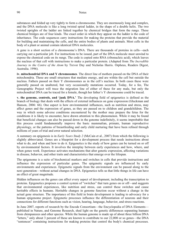substances and folded up very tightly to form a chromosome. They are enormously long and complex, and the DNA molecule is like a long twisted spiral ladder, in the shape of a double helix. The two twisted uprights of the ladder are linked together by chemical bridges that form the rungs. These chemical bridges are of four kinds. The exact order in which they appear on the ladder is the code of inheritance. The code sequences carry instructions for making the proteins that provide the material for building and maintaining the cells, and the entire bodies of plants and animals. Most cells in the body of a plant or animal contain identical DNA molecules.

A gene is a short section of a chromosome's DNA. There are thousands of proteins in cells—each carrying out a particular job. For instructions to be issued, part of the DNA molecule must unwind to expose the chemical code on its rungs. The code is copied onto RNA (ribonucleic acid), which leaves the nucleus of that cell with instructions to make a particular protein. (Adapted from *The Incredible Journey to the Centre of the Atom* by Trevor Day and Nicholas Harris. Orpheus, Readers Digest, Australia. 1996).

**iv. mitochondrial DNA and Y chromosomes**. The direct line of mothers passed on the DNA of their mitochondria. These are small structures that mediate energy, and are within the cell but outside the nucleus. Fathers passed on their Y chromosomes as in the cell's nucleus. In both cases these were generally passed on unaltered, but very occasionally mutations occurred. Today, for a fee, The Genographic Project will trace the migration line of either of these for any male, but only the mitochondrial DNA can be traced for a female, though her father's Y chromosome could be traced.

**v. the genome, controls, and 'junk DNA.'** The developing field of epigenetics is defined as the branch of biology that deals with the effects of external influences on gene expression (Gluckman and Hanson, 2006: 66). One aspect is how environmental influences, such as nutrition and stress, may affect genes and the expression of genes, as they are passed on to children and grandchildren. The way in which some adverse conditions encountered by the mother may prepare the fetus for the conditions it is likely to encounter, have drawn attention to this phenomenon. While it may be found that beneficial changes can also be passed down in the genome indefinitely, it seems improbable that this process could fundamentally improve the basic mammalian, primate, human reproductive physiology, or the patterns of breastfeeding and early child nurturing that have been refined through millions of years of trial and error natural selection.

A summary on epigenesis is in *Early Years Study 2* (McCain et al., 2007) from which the following is slightly abbreviated. Genes are a blueprint for a development process that needs instructions about what to do, and when and how to do it. Epigenetics is the study of how genes can be turned on or off by environmental factors. It involves the interplay between early experiences and how, where, and when genes work. Experience activates mechanisms that alter genetic expression, affecting variations in disease, behavior, and other traits and characteristics that emerge over the lifespan.

The epigenome is a suite of biochemical markers and switches in cells that provide instructions and influence the expression of particular genes. The epigenetic signals are influenced by early environments and experiences. Epigenetic signals from the environment can be passed along to the next generation—without actual changes in DNA. Epigenetics tells us that little things in life can have an effect of great magnitude.

Hidden influences on the genes can affect every aspect of development, including the transcription to proteins. Epigenetics proposes a control system of "switches" that turn genes on or off—and suggests that environmental experiences, like nutrition and stress, can control these switches and cause heritable effects in humans. Heritable changes in genome function occur without a change in the actual gene structure. The importance of this field in brain development is leading to advocacy for a human epigenome project. Epigenetic processes influence the differentiation of neurons and their connections for different functions such as vision, hearing, language, behavior, and stress reactions.

In June 2007, reports of research by the Encode Consortium—the Encyclopedia of DNA Elements published in Nature, and Genome Research, shed light on the genetic differences separating humans from chimpanzees and other species. While the human genome is made up of about three billion DNA "letters," only about 3 percent of these are known to contribute to our 22,000 or so genes—the DNA "sentences" containing instructions for making proteins that control the body's chemical processes.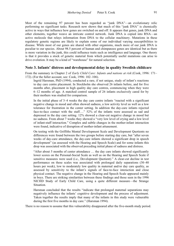Most of the remaining 97 percent has been regarded as "junk DNA"—an evolutionary relic performing no significant tasks. Research now shows that much of this "junk DNA" is chemically active in ways that influence how genes are switched on and off. It appears that genes, junk DNA and other elements, together weave an intricate control network. Junk DNA is copied into RNA—an active molecule that relays information from DNA to the cellular machinery. Mutations in these regulatory genetic regions are likely to explain some of our individual varying susceptibilities to disease. While most of our genes are shared with other organisms, much more of our junk DNA is peculiar to our species. About 98.5 percent of human and chimpanzee genes are identical but as there is more variation in the junk, this could influence traits such as intelligence and language. One theory is that it provides a stock of genetic material from which potentially useful mutations can arise to drive evolution. It may be a kind of "warehouse" for natural selection.

### **Note 3. Infants' distress and developmental delay in quality Swedish childcare**

From the summary in Chapter 2 of *Early Child Care: Infants and nations at risk* (Cook, 1996: 171– 172). (For the fuller account, see: Cook, 1996: 102–106).

Ingrid Harsman, PhD (1994), conducted a rare, if not unique, study of infant's reactions to day care centre placement. In Stockholm she observed 26 infants before, and for five months after, placement in high quality day care centres, commencing when they were 6–12 months of age. A matched control sample of 26 infants exclusively cared for by their mothers was studied for comparison.

In the initial phase of 3–4 weeks the day care centre infants "reacted with a significant negative change in mood and often showed sadness, a low activity level as well as a low tolerance for frustration in the center setting. In addition the day-care infants rejected face-to-face contact with the staff...." 52% of the infants were assessed as sad and depressed in the day care setting. 12% showed a clear-cut negative change in mood but no sadness. From about 7 weeks they showed a "very low level of crying and a low level of infant-staff interaction." Complex and subtle changes in the mother-infant interaction were found, indicative of disruption of mother-infant attunement.

On testing with the Griffiths Mental Development Scale and Development Quotients no differences were found between the two groups before starting day care, but "after seven weeks of day-care attendance, the day-care infants showed a significant drop in speech development" (as assessed with the Hearing and Speech Scale) and for some infants this drop was associated with the observed preceding initial phase of sadness and distress.

"After about 5 months of center attendance … the day care infants showed significantly lower scores on the Personal-Social Scale as well as on the Hearing and Speech Scale if sensitive measures were used (i.e., Development Quotient)." A clear-cut decline in test performance on these scales was associated with prolonged daily separations (30–40 hours per week), low to moderately low quality in maternal and/or day care quality, as assessed by sensitivity to the infant's signals of face-to-face interaction and close physical contact. The negative change in the Hearing and Speech Scale appeared mainly in boys. There are striking similarities between these findings and those seen in the 1996 NICHD Study of Early Child Care, using a quite different measure—the Strange Situation.

Harsman concluded that the results "indicate that prolonged maternal separations may negatively influence the infants' cognitive development and the process of adjustment. Taken together the results imply that many of the infants in this study were vulnerable during the first five months in day care." (Harsman 1994).

There is no reason to assume that this vulnerability disappeared after the five-month study period.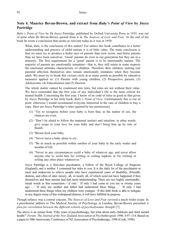# **Note 4. Maurice Bevan-Brown, and extract from** *Baby's Point of View* **by Joyce Partridge**

*Baby's Point of View* by Dr Joyce Partridge, published by Oxford University Press in 1935, was out of print when Dr Bevan-Brown quoted from it in *The Sources of Love and Fear*. At the end of his book he wrote a conclusion that seems as relevant today as it was in 1950.

What, then, is the conclusion of this matter? For unless this book contributes to a better understanding and practice of child nurture it is of little value. The main conclusion is that we must try to produce a better race of parents than now exists, and better parents than we have been ourselves. 'Good' parents do exist in our generation but they are in a minority. The first requirement for a 'good' parent is to be emotionally mature. The majority of parents are emotionally immature—that is, they still retain in some respects the emotional attitudes characteristic of children. Therefore their children, lacking real parental affection themselves also remain emotionally immature when they become adult. We must try to break this vicious circle at as many points as possible by educative measures applied to: (1) Parents with young children, (2) Prospective parents, (3) Adolescents, (4) Educationists and (5) Doctors.

The whole matter cannot be condensed into rules, but rules are not without their value. We have contended that the first year of any individual's life is the most critical for mental health. Concerning the first year, I know of no code of rules as good as that given by Joyce Partridge in her little book, *Baby's Point of View*. Unfortunately this is out of print: otherwise I would recommend everyone interested in the care of children to buy a copy. Here are Joyce Partridge's rules (quoted by her permission):

- (1) "Try to recognise before your baby is born that, in the matter of sex, the chances are even.
- (2) "Don't be afraid to follow the maternal instinct and intuition: in other words, give scope to your love for your baby and don't bring him up by rule of thumb.
- (3) "Breast-feed your baby.
- (4) "Never leave a baby alone to cry.
- (5) "Be as much as possible within earshot of your baby in the early weeks and months of life.
- (6) "Never in any circumstances scold a baby of whatever age, and never allow anyone else to scold him for wetting or soiling napkins or for wetting or soiling any other place whatsoever."

Joyce Partridge is a first-class psychiatrist, a Fellow of the Royal College of Surgeons (England), and a mother. I commend her rules to you. It is the daily lot of the psychiatrist to meet and endeavour to relieve people who have experienced years of disability, ill-health, distress, and often of utter misery, all, or nearly all, of which need not have happened if they themselves and their parents had had more understanding. There are two highly emotionallytoned words in this connection—'*if only*.' 'If only I had come to you ten or twenty years ago….' 'If only my mother and father had understood these things.…' 'If only I had understood these things when my children were younger.' If this little book is able to mitigate in any degree some of this widespread distress, it will have fulfilled its purpose.

Though infancy was a central concern, *The Sources of Love and Fear* covered a much wider scope. In a presidential address to The Medical Society of Psychology in London, Bevan-Brown presented *A plea for correlation between the different schools of psychodynamic thought* [7].

The above is an extract from 'Fifty years of psychotherapy, but what about early childcare and child mental health?' *Forum: The Journal of the New Zealand Association of Psychotherapists* 1998, 4:97–114. Based on a paper to 50th Anniversary Conference of NZ Association of Psychotherapy, 1998 (Cook, 1998).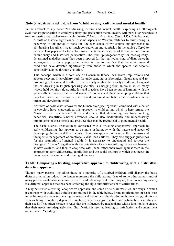### **Note 5. Abstract and Table from 'Childrearing, culture and mental health'**

In the abstract of my paper "Childrearing, culture and mental health: exploring an ethologicalevolutionary perspective in child psychiatry and preventive mental health, with particular reference to two contrasting approaches to early childrearing" *Med. J. Aust. Spec. Supp.*, 1978, 2:3–14, I said:

A shift of historic significance in some aspects of Western attitudes to childrearing is occurring. In this period of transition, the coexistence of two contrasting approaches to childrearing has given rise to much contradiction and confusion in the advice offered to parents. This paper seeks to explore some mental health aspects of this situation from an evolutionary and historical perspective. The term "phylogenetically" or "ecologicallydetermined maladjustment" has been proposed for that particular kind of disturbance in an organism, or in a population, which is due to the fact that the environmental conditions have deviated significantly from those to which the species has become genetically adapted through evolution.

This concept, which is a corollary of Darwinian theory, has health implications and appears relevant in psychiatry both for understanding psychological disturbance and for promoting better mental health. It is particularly applicable in early childhood. I suggest that childrearing in English-speaking societies is emerging from an era in which many widely-held beliefs, values, attitudes, and practices have been so out of harmony with the genetically influenced nature and needs of mothers and their developing children that they have contributed to conflict, stress, and emotional and behavioral disturbance in the infant and developing child.

Attitudes of basic distrust towards the human biological "givens," combined with a belief in coercion, have characterized this approach to childrearing, which is here termed the "basic distrust orientation." It is undesirable that developing countries, seeking beneficial, scientifically-based advances, should also inadvertently and unnecessarily import some of these tenets and practices that may be prejudicial to good mental health.

The basic distrust orientation is contrasted with a "trusting cooperative" approach to early childrearing that appears to be more in harmony with the nature and needs of developing children and their parents. These principles are relevant to the diagnosis and therapeutic management of emotionally disturbed children. They also suggest guidelines for the promotion of mental health. It is necessary to understand and respect the biological "givens," together with the potentials of such in-built regulatory mechanisms as have evolved, and then to cooperate with them, rather than work against them in the approach to early childrearing, family life, and the social settings in which they occur. In many ways this can be, and is being, done now.

### **Table: Comparing a trusting, cooperative approach to childrearing, with a distrustful, directive approach**

Though many parents, including those of a majority of disturbed children, still display the basic distrust orientation today, it no longer represents the childrearing ideas of some other parents and of many professionals who are concerned with child development. Intermingled, to an increasing extent, is a different approach that has been softening the rigid authoritarianism of earlier times.

It may be termed a trusting, cooperative approach, and some of its characteristics, and ways in which it contrasts with traditional attitudes are outlined in the table below. From an orientation of basic trust in the biological givens influencing the needs and behavior of the developing human being, infants are seen as being immature, dependent creatures, who seek gratification and satisfaction according to their needs. They often behave in ways that are influenced by mechanisms whose function is to ensure that their needs are adequately met. Gratification is seen as leading to satisfaction and contentment rather than to "spoiling."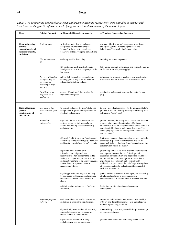### 94 Notes

| Ideas                                                                                          | <b>Point of Contrast</b>                                                                   | A Distrustful Directive Approach                                                                                                                                                                                                                                      | <b>A Trusting, Cooperative Approach</b>                                                                                                                                                                                                                                                                                                                                                                                            |
|------------------------------------------------------------------------------------------------|--------------------------------------------------------------------------------------------|-----------------------------------------------------------------------------------------------------------------------------------------------------------------------------------------------------------------------------------------------------------------------|------------------------------------------------------------------------------------------------------------------------------------------------------------------------------------------------------------------------------------------------------------------------------------------------------------------------------------------------------------------------------------------------------------------------------------|
| <b>Ideas influencing</b><br>parents'<br>perception of, and<br>responsiveness to,<br>the infant | Basic attitude:                                                                            | Attitude of basic distrust and non-<br>acceptance towards the biological<br>"givens" influencing the needs and<br>behaviour of the developing human being                                                                                                             | Attitude of basic trust and acceptance towards the<br>biological "givens" influencing the needs and<br>behaviour of the developing human being                                                                                                                                                                                                                                                                                     |
|                                                                                                | The infant is seen<br>as:                                                                  | (a) being selfish, demanding                                                                                                                                                                                                                                          | (a) being immature, dependent                                                                                                                                                                                                                                                                                                                                                                                                      |
|                                                                                                |                                                                                            | (b) wanting as much gratification and<br>indulgence as he or she can get (probably<br>too much)                                                                                                                                                                       | (b) wanting as much gratification and satisfaction as he<br>or she needs (an adequate supply)                                                                                                                                                                                                                                                                                                                                      |
|                                                                                                | To get gratification<br>the infant may be<br>perceived as<br>behaving in ways<br>that are: | self-willed, demanding, manipulative,<br>cunning (which may confirm belief in<br>inherent potential for badness)                                                                                                                                                      | influenced by possessing mechanisms whose function<br>is to ensure that his or her needs are adequately met                                                                                                                                                                                                                                                                                                                        |
|                                                                                                | Gratification may<br>be perceived as<br>leading to:                                        | danger of "spoiling," if more than the<br>right amount is given                                                                                                                                                                                                       | satisfaction and contentment; spoiling not a danger<br>[60]                                                                                                                                                                                                                                                                                                                                                                        |
| <b>Ideas influencing</b><br>parents'<br>requirements of<br>their infants                       | Emphasis in the<br>basic parental goal<br>is:                                              | to control and direct the child's behavior,<br>and produce a "good" child (who will be<br>obedient and conform)                                                                                                                                                       | to enjoy a good relationship with the child, and help to<br>produce a "whole," healthy person (who is likely to be<br>sufficiently "good" also)                                                                                                                                                                                                                                                                                    |
|                                                                                                | Method of<br>childrearing:                                                                 | (a) mould the child to a predetermined<br>pattern; secure control by regulating<br>habits, and training to accept authority<br>and discipline                                                                                                                         | (a) aim to satisfy the young child's needs, and develop<br>a cooperative, mutually satisfying, affectionate<br>relationship, in which the potentialities of the child and<br>parents unfold, blossom and gradually mature. The<br>developing capacities for self-regulation are respected<br>and encouraged                                                                                                                        |
|                                                                                                |                                                                                            | (b) teach "right from wrong" and demand<br>obedience; extinguish "naughty" behavior<br>and insist on or reinforce "good" behavior                                                                                                                                     | (b) teach avoidance of common dangers and gradually<br>encourage disposition to consider and respect the<br>needs and feelings of others, through experiencing this<br>consideration within the family                                                                                                                                                                                                                             |
|                                                                                                |                                                                                            | (c) child's point of view often<br>misunderstood or ignored, and<br>requirements often disregard the child's<br>feelings and capacities, so that hostility<br>and negativism tend to be aggravated, and<br>unless these are repressed, control<br>requires more force | (c) child's point of view more likely to be understood,<br>and requests consider the child's feelings and<br>capacities, so that hostility and negativism tend to be<br>minimized; the child's feelings are accepted in the<br>expectation that sufficient (self) control will be<br>achieved as appropriate to the child's age; (the options<br>of exercising authority and sufficient force are still<br>available if essential) |
|                                                                                                |                                                                                            | (d) disapproval more frequent, and may<br>be reinforced by threats, punishment and<br>sometimes violence, or inculcation of<br>shame                                                                                                                                  | (d) inconsiderate behavior discouraged, but the quality<br>of relationships tends to make punishment<br>inappropriate and it may be seldom or never required                                                                                                                                                                                                                                                                       |
|                                                                                                |                                                                                            | (e) timing: start training early (perhaps<br>from birth)                                                                                                                                                                                                              | (e) timing: await maturation and encourage<br>development                                                                                                                                                                                                                                                                                                                                                                          |
|                                                                                                | Apparent frequent<br>outcome                                                               | (a) increased risk of conflict, frustration,<br>and stress in unsatisfying relationships                                                                                                                                                                              | (a) mutual satisfaction in interpersonal relationships<br>with joy and delight (sometimes) as a natural reward<br>for health-promoting activities                                                                                                                                                                                                                                                                                  |
|                                                                                                |                                                                                            | (b) sensitivity may be blunted; externally<br>imposed discipline may break down<br>sooner or later in rebelliousness                                                                                                                                                  | (b) sensitivity intact; adequate self-discipline develops<br>as appropriate the age                                                                                                                                                                                                                                                                                                                                                |
|                                                                                                |                                                                                            | (c) emotional maturation at risk;<br>maladjustment and psychopathology                                                                                                                                                                                                | (c) emotional maturation facilitated; mental health                                                                                                                                                                                                                                                                                                                                                                                |

*Table: Two contrasting approaches to early childrearing deriving respectively from attitudes of distrust and trust towards the genetic influences underlying the needs and behaviour of the human infant.*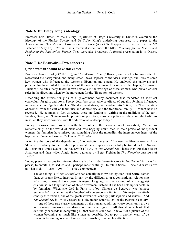Professor Eric Olssen, of the History Department at Otago University in Dunedin, examined the ideology of the Plunket Society and Dr Truby King's underlying purposes, in a paper to the Australian and New Zealand Association of Science (ANZAS). It appeared in two parts in the NZ Listener of May 12, 1979, and the subsequent issue, under the titles: *Breeding for the Empire* and *Producing the Passionless People*. They were also broadcast. A formal presentation is in Olssen, 1981.

### **Note 7. De Beauvoir—Two concerns**

### **i) "No woman should have this choice"**

Professor James Tooley (2002: 76), in *The Miseducation of Women,* outlines his findings after he researched the background, and many lesser-known aspects, of the ideas, writings, and lives of some key women who influenced the women's liberation movement. He analyzed the pathways and policies that have failed to meet many of the needs of women. In a remarkable chapter, "Romantic Illusions," he cites many lesser-known sections in the writings of these women, who played crucial roles in the directions taken by the movement for the 'liberation' of women.

Describing the effects for girls of a government policy document that mandated an identical curriculum for girls and boys, Tooley describes some adverse effects of equality feminist influences in the education of girls in the UK. The document states, with evident satisfaction, that "the liberation of women from the cult of femininity and domesticity and the traditional family … cannot now be reversed." He comments: "Let us repeat: these are feminists—writing in the traditions of the early Freidan, Greer, and Steinem—who provide support for government policy on education; the traditions in which they write coincide with the educational landscape today."

Tooley discusses three problems with these policies: the degradation of domesticity; "a curious romanticizing" of the world of men; and "the nagging doubt that, in their praise of independent women, the feminists have missed out something about the mutuality, the interconnectedness, of the happiness of men and women." (Tooley, 2002: 60).

In tracing the roots of the degradation of domesticity, he says: "The need to liberate women from 'domestic drudgery' to their rightful position at the workplace, can usefully be traced back to Simone de Beauvoir's tirade against the housewife of 1949 in *The Second Sex—*ideas then translated to an American and then wider Anglo-Saxon audience by Betty Freidan in *The Feminine Mystique* of 1963."

Tooley presents reasons for thinking that much of what de Beauvoir wrote in *The Second Sex*, was "to please, to entertain, to seduce and—perhaps most centrally—to retain Sartre.… She did what Sartre told her to do." (Evans, 1996: 70). Tooley commented:

The odd thing is, if *The Second Sex* had actually been written by Jean-Paul Sartre, rather than, as seems likely, inspired in part by the difficulties of a conventional relationship *with* him, it would have been dismissed long ago as the ranting of a misogynist chauvinist, in a long tradition of abuse of women. Instead, it has been held up for acclaim by feminists. When she died in Paris in 1996, Simone de Beauvoir was 'almost universally' proclaimed as the 'mother' of contemporary feminism, 'its major twentieth century theoretician, one of the greatest twentieth century philosophers and writers.' And *The Second Sex* is 'widely regarded as the major feminist text of the twentieth century' … 'one of those rare classic statements on the human condition whose power only grows as its many dimensions are discovered and interrogated.' All this about a book that eventually succeeds in denigrating all that women stand for, in favour of a picture of the woman becoming as much like a man as possible. Or, to put it another way, of de Beauvoir becoming as much like Sartre as possible, to retain his affection.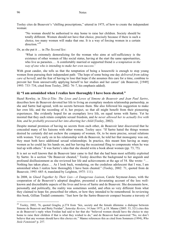#### 96 Notes

Tooley cites de Beauvoir's "chilling prescriptions," uttered in 1975, of how to create the independent woman:

"No woman should be authorised to stay home to raise her children. Society should be totally different. Women should not have that choice, precisely because if there is such a choice, too many women will make that one. It is a way of forcing women in a certain direction."<sup>29</sup>

Or, as she put it … in *The Second Sex*:

'What is extremely demoralizing for the woman who aims at self-sufficiency is the existence of other women of like social status, having at the start the same opportunities, who live as parasites.… A comfortably married or supported friend *is a temptation in the way of one who is intending to make her own success.*'

With great candor, she tells us that the temptation of being a housewife is enough to stop young women from pursuing their independent path: 'The hope of some being one day *delivered from taking care of herself*, and the fear of having to lose that hope if she assumes this care for a time, combine to prevent her from unreservedly applying herself to her studies and her career' (de Beauvoir, [1949] 1993: 733–734, cited from Tooley, 2002: 76–7, his emphasis added).

#### **ii) "I am astonished when I realize how thoroughly I have been cheated."**

Hazel Rowley, in *Tête-à-Tête: The Lives and Loves of Simone de Beauvoir and Jean Paul Sartre*, describes how de Beauvoir devoted her life to living an exemplary modern relationship partnership, as she and Sartre had agreed, with no secrets between them. She also followed his suggestion to make her own life, and the recording of it, her project, so that all might benefit from their pioneering experiences. She evidently hoped for an exemplary love life, on equal terms with Sartre. Yet he insisted that they each retain complete sexual freedom, and *he never allowed her to actually live with him, and he probably pressured her into aborting her child* (Tooley, 2002).

Despite mutual promises of having no secrets from each other, de Beauvoir later discovered that he concealed many of his liaisons with other women. Tooley says: "If Sartre hated the things women desired he certainly did not eschew the company of women. Or, to be more precise, sexual relations with women. Very early on in his relationship with de Beauvoir, he told her that monogamy was out, they must both have additional sexual relationships. In practice, this meant him having as many women as he could lay his hands on, and her having the occasional fling to compensate when he was tied up with others." It was Sartre's idea that she should write a book about women (pp. 73, 75).

It is not so well known that de Beauvoir later came to feel that she had been most selfishly exploited by Sartre. In a section "De Beauvoir cheated," Tooley describes the background to her anguish and profound disillusionment as she reviewed her life and achievements at the age of 54. She wrote: "… Nothing has taken place.… As I look back, wondering, on the credulous adolescent that I was, I am astonished when I realize how thoroughly I have been cheated." (Tooley, 2002: 71, quoted from de Beauvoir, 1993: 685–6, translated by Leighton, 1975: 111).

In 2008, in *Glued Together by Their Lies*—*A Dangerous Liaison*, Carole Seymour-Jones, with the cooperation of de Beauvoir's adopted daughter, presented a devastating account of the less wellknown and discreditable aspects of the lives and loves of Sartre and de Beauvoir. She documents how, personally and politically, the reality was sometimes sordid, and often so very different from what they claimed to hope for, prescribed for others, or how they intended to be remembered. In reviewing this book, Gillian Tindall comments: "Just how far the Sartre-Beauvoir compact became a travesty of

1

 $29$  Tooley, 2002, 76, quoted Graglia, p.274 from 'Sex, society and the female dilemma: a dialogue between Simone de Beauvoir and Betty Freidan", *Saturday Review*, 14 June 1975, p.18. Manne (2005: 33, 321) cites this as de Beauvoir's reply when Freidan had said to her that she "believed women should have the choice to stay home to raise their children if that is what they wished to do," and de Beauvoir had answered "No, we don't believe that any woman should have this choice etc." Manne references this as cited from Sommers (1994), *Who Stole Feminism*? p. 257.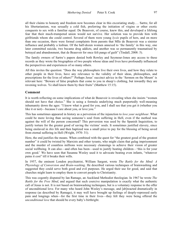all their claims to honesty and freedom now becomes clear in this excoriating study.… Sartre, for all his libertarianism, was sexually a cold fish, preferring the initiation of virgins or other exotic conquests to sex with a familiar equal. De Beauvoir, of course, knew this, and developed a lifelong fear that their much-trumpeted union would not survive. Her solution was to provide him with girlfriends whom she could control. Several of them were young *lycée* pupils of hers, and on more than one occasion, there were formal complaints from parents that Mlle de Beauvoir was a sinister influence and probably a lesbian. Of the half-dozen women annexed to 'the family' in this way, one later committed suicide, two became drug addicts, and another was so permanently traumatised by betrayal and abandonment, that de Beauvoir for once felt pangs of guilt" (Tindall, 2008: 5).

The family owners of Sartre's papers denied both Rowley and Seymour-Jones any access to these records as they wrote the biographies of two people whose ideas and lives have profoundly influenced the perspectives and experiences of so many others.

All this invites the question: "Does the way philosophers live their own lives, and how they relate to other people in their lives, have any relevance to the validity of their ideas, philosophies, and prescriptions for the lives of others?" Perhaps Jesus' succinct advice in the 'Sermon on the Mount' is relevant here: "Beware of false prophets that come to you in sheep's clothing, but inwardly they are ravening wolves. Ye shall know them by their fruits" (Matthew 15:15).

#### **Comment**

It is worth reflecting on some implications of what de Beauvoir is revealing when she insists "women should not have that choice." She is using a formula underlying much purportedly well-meaning inhumanity down the ages: "I know what is good for you, and I shall see that you get it (whether you like it or not)—because I care about you, or love you."

This has sometimes appeared in history as a perversion of the injunction to *love your neighbour*. What could be more loving than saving someone's soul from suffering in Hell, even if the method was against the will of the person concerned? This perversion was used by the Spanish Inquisition, to justify torture for the greater good of saving the victims' souls. It sometimes justified slavery, since being enslaved in *this* life and then baptized was a small price to pay for the blessing of being saved from eternal suffering in Hell (Wright, 1970: 31).

Here, the end justifies the means. When combined with the quest for "the greatest good of the greatest number" it could be twisted by Marxists and other tyrants, who might claim that gulag imprisonment and the murder of countless millions were necessary cleansings to achieve their vision of greater social wellbeing. It can also—and often has been—used to justify beating children—'this is for your own good.' We have seen that Susanna Wesley used it to advocate beating even infants, "whatever pains it cost" till it breaks their wills.

In 1957, the eminent London psychiatrist, William Sargent, wrote *The Battle for the Mind: A Physiology of Conversion and Brain-washing*. He described various techniques of brainwashing and suggested they could serve both good and evil purposes. He urged their use for good, and said that churches might learn to employ them to convert people to Christianity.

This was cogently disputed by Ian Ramage, an Auckland Methodist theologian. In 1967 he wrote *The Battle for the Free Mind*, and argued that such coercive manipulation is exactly what the authentic call of Jesus is not. It is not based on brainwashing techniques, but is a voluntary response to the offer of unconditional love. For many who heard John Wesley's message, and [ab]reacted dramatically in response (as described by Ramage), it may well have brought up feelings of deeply-repressed early pain and longings when—for the first time in their lives—they felt they were being offered the *unconditional love* that should be every baby's birthright.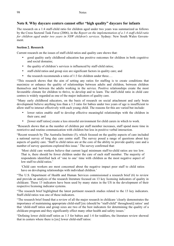# **Note 8. Why daycare centers cannot offer "high quality" daycare for infants**

The research on a 1:4 staff-child ratio for children aged under two years was summarized as follows by the Cross Sectoral Task Force (2006), in the *Report on the implementation of a 1:4 staff-child ratio for children aged under two years in NSW children's services.* Sydney: New South Wales Government.

### **Section 2. Research**

Current research on the issues of staff-child ratios and quality care shows that:

- good quality early childhood education has positive outcomes for children in both cognitive and social domains;
- the quality of children's services is influenced by staff-child ratios;
- staff-child ratios and group size are significant factors in quality care; and
- the research recommends a ratio of 1:3 for children under three...

"This research shows that the aim of setting any ratios for staffing is to create conditions that maximize or enhance the quality of relationships between adults and children, between children themselves and between the adults working in the service. Positive relationships create the most favourable climate for children to thrive, to develop and to learn. The staff-child ratio in child care centres is widely regarded as one of the major indicators of quality care.

"Many early childhood educators, on the basis of research on social attachment and early brain development believe anything less than a 1:3 ratio for babies under two years of age is insufficient to allow staff to interact effectively with each young child. The reasons for this are varied but include:

- lower ratios enable staff to develop effective meaningful relationships with the children in their care; and
- [lower staff ratios] create a less stressful environment for child carers in which to work.

"Research shows that as the number of children per staff member increases, staff spend more time in restrictive and routine communication with children but less in positive verbal interaction.

"Recent research by The Australia Institute (5), which focused on the quality aspects of care included a national survey of long day care centre staff. The survey posed a range of questions about key aspects of quality care. 'Staff to child ratios are at the core of the ability to provide quality care and a number of survey questions explored this issue.' The survey confirmed that:

'Most child care workers believe that current legal minimum staff-to-child ratios are too low. That is, there should be fewer children under the care of each staff member. The majority of respondents identified lack of 'one to one' time with children as the most negative aspect of low staff-to-child ratios.'

'Child care workers are most concerned about the negative impact poor staff to child ratios have on developing relationships with individual children.'

"The U.S. Department of Health and Human Services commissioned a research brief (6) to review and provide an analysis of the research literature focused on 13 key licensing indicators of quality in childcare. These 13 indicators have been used by many states in the US in the development of their respective licensing indicator systems.

"The research brief highlighted the latest pertinent research studies related to the 13 key indicators. Staff-child ratios was one of these indicators.

"The research brief found that a review of all the major research in childcare 'clearly demonstrates the importance of maintaining appropriate child-staff [sic (should be "staff-child" throughout)] ratios' and that 'child-staff ratios and group sizes are two of the best indicators for determining the quality of a childcare program and they significantly effect many other health and safety issues.'

"Defining lower child-staff ratios as 1:3 for babies and 1:4 for toddlers, the literature review showed that in centers where there is [sic] lower child-staff ratios: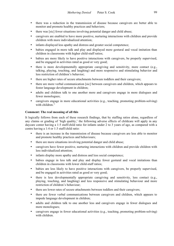- there was a reduction in the transmission of disease because caregivers are better able to monitor and promote healthy practices and behaviors;
- there was [sic] fewer situations involving potential danger and child abuse;
- caregivers are enabled to have more positive, nurturing interactions with children and provide children with more individualized attention;
- infants displayed less apathy and distress and greater social competence;
- babies engaged in more talk and play and displayed more gestural and vocal imitation than children in classrooms with higher child-staff ratios;
- babies are more likely to have positive interactions with caregivers, be properly supervised, and be engaged in activities rated as good or very good;
- there is more developmentally appropriate caregiving and sensitivity, more contact (e.g., talking, playing, touching, and laughing) and more responsive and stimulating behavior and less restriction of children's behavior;
- there are higher rates of secure attachments between toddlers and their caregivers;
- there are more verbal communication [sic] between caregivers and children, which appears to foster language development in children;
- adults and children talk to one another more and caregivers engage in more dialogues and fewer monologues;
- caregivers engage in more educational activities (e.g., teaching, promoting problem-solving) with children."

#### **Comment: The real meaning of all this**

It logically follows from each of these research findings, that by staffing ratios alone, regardless of any claims or grading of 'high quality,' the following adverse effects of childcare will apply in any daycare center having a 1:5 staff/child ratio for infants under 2 to 3 years of age, as compared with a centre having a 1:4 or 1:3 staff/child ratio:

- there is an increase in the transmission of disease because caregivers are less able to monitor and promote healthy practices and behaviours;
- there are more situations involving potential danger and child abuse;
- caregivers have fewer positive, nurturing interactions with children and provide children with less individualized attention;
- infants display more apathy and distress and less social competence;
- babies engage in less talk and play and display fewer gestural and vocal imitations than children in classrooms with lower child-staff ratios;
- babies are less likely to have positive interactions with caregivers, be properly supervised, and be engaged in activities rated as good or very good;
- there is less developmentally appropriate caregiving and sensitivity, less contact (e.g., playing, touching, and laughing) and less responsive and stimulating behaviour and more restriction of children's behaviour;
- there are lower rates of secure attachments between toddlers and their caregivers;
- there are fewer verbal communications between caregivers and children, which appears to impede language development in children;
- adults and children talk to one another less and caregivers engage in fewer dialogues and more monologues;
- caregivers engage in fewer educational activities (e.g., teaching, promoting problem-solving) with children.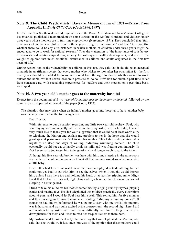## **Note 9. The Child Psychiatrists' Daycare Memorandum of 1971—Extract from Appendix II,** *Early Child Care* **(Cook 1996, 1997)**

In 1971 the New South Wales child psychiatrists of the Royal Australian and New Zealand College of Psychiatrists published a memorandum on some aspects of the welfare of infants and children under three years whose mothers are in full-time employment (Nurcombe, 1971). They concluded that "fulltime work of mothers of children under three years of age is undesirable," and that "it is doubtful whether there could be any circumstances in which mothers of children under three years might be encouraged to go to work for national reasons." They drew attention to "the importance of satisfactory experiences and relationships during infancy for subsequent healthy development, and also to the weight of opinion that much emotional disturbance in children and adults originates in the first few years of life."

Urging recognition of the vulnerability of children at this age, they said that it should be an accepted principle in an affluent society that every mother who wishes to look after her own infant for the first three years should be enabled to do so, and should have the right to choose whether or not to work outside the home, without severe economic pressure to do so. Provision for suitable part-time relief from constant care, with socializing experiences for toddlers and their mothers on a part-time basis was urged.

#### **Note 10. A two-year-old's mother goes to the maternity hospital**

Extract from the beginning of *A two-year-old's mother goes to the maternity hospital,* followed by the Summary as it appeared at the end of the paper (Cook, 1962).

The situation that may arise when an infant's mother goes into hospital to have another baby was recently described in the following letter:

Dear Doctor,

With reference to our discussion regarding my little two-year-old nephew, Paul, who was staying with me recently whilst his mother (my sister) was in hospital, I would very much like to thank you for your suggestion that it would be at least worth a try to telephone the Matron and explain my problem to her in the hope that she would grant special permission for Paul to see his mother. This I did in desperation after nights of no sleep and days of wailing, "Mummy wumming home?" The child eventually would not eat or hardly drink his milk and was fretting continuously. In fact I even had a job to get him to let go of my hand long enough to go to the toilet.

Although his five-year-old brother was here with him, and sleeping in the same room also with us, I could not impress on him at all that mummy would soon be home with a little baby.

His brother had lots to interest him on the farm and played outside all day, but we could not get Paul to go with him to see the calves which I thought would interest him, unless I was there too and holding his hand, or at least he gripping mine. Might I add that he had his own cot, high chair and toys here, so that it was not a case of sleeping in a strange bed.

I tried to take his mind off his mother sometimes by singing nursery rhymes, playing games and making toys. His dad telephoned the children practically every other night about 6 p.m., and I would let Paul hear him speak. This settled him for five minutes and then once again he would commence wailing, "Mummy wumming home?" Of course he had known beforehand he was going to stay with me whilst his mummy was in hospital and was quite excited at the prospect until the second night here. I did not mention to my sister that I was having difficulty with him fretting. She used to draw pictures for them and I used to read her frequent letters to them both.

My husband and I took Paul only, the same day that we telephoned the Matron, who said that she would try it just once, but was of the opinion that these mothers could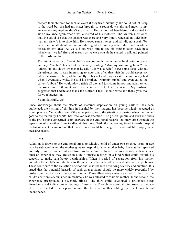prepare their children for such an event if they tried. Naturally she could not let us up to the ward but she had my sister brought to a room downstairs and much to my amazement my nephew didn't say a word. He just looked bewildered and wanted to sit on my knee again after a while instead of his mother's. The Matron mentioned that she could see that the tension was there and very kindly wheeled an older baby than my sister's in to show him. He showed some interest and still did not speak. We were there in all about half an hour during which time my sister talked to him whilst he sat on my knee. As we did not wish him to see his mother taken back in a wheelchair, we left first and as soon as we were outside he started to talk and pointed to the birds and trees.

That night he was a different child, even coming home in the car he'd point to prams and say, "bubba." Instead of perpetually wailing, "Mummy wumming home?" he jumped up and down whenever he said it. It was a relief to get some sleep without disturbance and it was interesting to note that after that visit he would never cry when he woke up but just lie quietly in his cot and play or ask to come in my bed when I eventually woke. He told his brother, "Mummy bubba" and even called the calves "bubba." He would play outside all day and just come in now and again to tell me something. I thought you may be interested to hear the results. My husband suggested that I write and thank the Matron, I feel I should write and thank you, too, for your suggestion.

Yours faithfully, etc.

Since knowledge about the effects of maternal deprivation on young children has been publicized, the visiting of children in hospital by their parents has become widely accepted as sound practice. Yet application of the same principles to the situation occurring when the mother goes to the maternity hospital has received less attention. The general public and even members of the professions concerned seem unaware of the emotional hazards that may arise through the separation of a mother from toddler at this time. With the increasing trend towards hospital confinements it is important that these risks should be recognised and suitable prophylactic measures taken.

#### **Summary:**

Attention is drawn to the emotional stress to which a child of under two or three years of age may be subjected when the mother goes to hospital to have another baby. He may be separated not only from his mother but also from his father and siblings if he goes to stay with relatives. Such an experience may arouse in a child intense feelings of a kind which could disturb his capacity to make satisfactory relationships. When a period of separation from his mother precedes the child's introduction to the new baby he is faced with a double set of problems. These contribute to the causation of emotional disturbances of varying severity and duration. It is urged that the potential hazards of such arrangements should be more widely recognised by professional workers and the general public. Three illustrative cases are cited. In the first, the child's acute anxiety subsided immediately he was allowed to visit his mother. In the second, the experience precipitated a psychotic illness. The third child developed a prolonged sleep disturbance and indications of feelings of insecurity. Though he eventually improved, at the age of six he reacted to a separation and the birth of another sibling by developing faecal incontinence.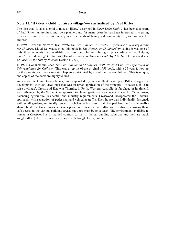## **Note 11. 'It takes a child to raise a village'—as actualized by Paul Ritter**

The idea that 'It takes a child to raise a village,' described in *Early Years Study 2*, has been a concern of Paul Ritter, an architect and town-planner, and for many years he has been interested in creating urban environments that more nearly meet the needs of family and community life, and are safe for children.

In 1959, Ritter and his wife, Jean, wrote *The Free Family—A Creative Experience in Self-regulation for Children*. Lloyd De Mause cited this book in *The History of Childhood* by saying it was one of only three accounts then available that described children "brought up according to the 'helping mode' of childrearing" (1974: 54). [The other two were *The Free Child* by A.S. Neill (1952), and *The Children on the Hill* by Michael Deakin (1972).]

In 1975, Gollancz published *The Free Family and Feedback 1949–1974: A Creative Experiment in Self-regulation for Children*. This was a reprint of the original 1959 book, with a 25-year follow-up by the parents, and then came six chapters contributed by six of their seven children. This is unique, and copies of the book are highly valued.

As an architect and town-planner, and supported by an excellent developer, Ritter designed a development with 500 dwellings that was an urban application of the principle—'it takes a child to raise a village'. Crestwood Estate at Thornlie, in Perth, Western Australia, is far ahead of its time. It was influenced by the Garden City approach to planning—initially a concept of a self-sufficient town, balancing agriculture, residential and industry requirements. Crestwood incorporated the Radburn approach, with separation of pedestrian and vehicular traffic. Each house was individually designed, with small gardens, minimally fenced. Each has safe access to all the parkland, and communallyshared facilities. Underpasses achieve separation from vehicular traffic for pedestrians, allowing them safe access to the various parkland areas, but dogs must be on a leash. The environment available to homes in Crestwood is in marked contrast to that in the surrounding suburbia, and they are much sought-after. (The difference can be seen with Google Earth, online.)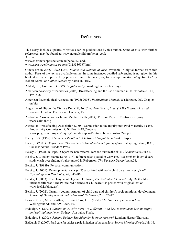## **References**

This essay includes updates of various earlier publications by this author. Some of this, with further references, may be found at: www.naturalchild.org/peter\_cook Also on:

www.members.optusnet.com.au/pcook62, and, www.newsweekly.com.au/books/0813336937.html

Others are in *Early Child Care: Infants and Nations at Risk*, available in digital format from this author. Parts of the text are available online. In some instances detailed referencing is not given in this book if a major topic is fully presented and referenced, as, for example in *Becoming Attached* by Robert Karen, or *Mother Nature* by Sarah B. Hrdy.

Adderly, B., Gordon, J. (1999). *Brighter Baby*. Washington: Lifeline Eagle.

- American Academy of Pediatrics (2005). Breastfeeding and the use of human milk. *Pediatrics*, 115, 496–506.
- American Psychological Association (1995; 2005). *Publications Manual*. Washington, DC. Chapter on bias.
- Augustine of Hippo. De Civitate Dei XIV, 26. Cited from Watts, A.W. (1958) *Nature, Man and Woman*. London: Thames and Hudson, 138.
- Australian Association for Infant Mental Health (2004). Position Paper 1 Controlled Crying. www.aaimhi.org
- Australian Breastfeeding Association (2008). Submission to the Inquiry into Paid Maternity Leave, Productivity Commission, GPO Box 1428,Canberra.

www.pc.gov.au/projects/inquiry/parentalsupport/initialsubmissions/sub249.pdf

- Bailey, D.S. (1959). *The Sexual Relation in Christian Thought*. New York: Harper.
- Bauer, I. (2001). *Diaper Free! The gentle wisdom of natural infant hygiene.* Saltspring Island, B.C., Canada: Natural Wisdom Press.
- Belsky, J. (1998). In Hope, D. Spare the non-maternal care and nurture the child. *The Australian*, June 4.
- Belsky, J. Cited by Manne (2005:216), referenced as quoted in Garrison, 'Researchers in child-care study clash over findings'; also quoted in Robertson, *The Daycare Deception*, p.56.
- Belsky, J. (1998b). Personal communication.
- Belsky, J. (2001). Developmental risks (still) associated with early child care. *Journal of Child Psychology and Psychiatry*, 42, 845–860.
- Belsky, J. (2003). The Dangers of Daycare. Editorial, *The Wall Street Journal*, July 16. (Belsky's intended title was "The Politicized Science of Childcare," as posted with original text on www.iscfsi.bbk.ac.uk).
- Belsky, J. (2002). Quantity counts: Amount of child care and children's socioemotional development. *Journal of Developmental and Behavioral Pediatrics*, 23, 167–170.
- Bevan-Brown, M. with Allan, R.S. and Cook, E. F. (1950). *The Sources of Love and Fear*. Wellington: AH and AW Reed, 10.
- Biddulph, S. (2003). *Raising Boys: Why Boys Are Different—And how to help them become happy and well-balanced men*. Sydney, Australia: Finch.
- Biddulph, S. (2005). *Raising Babies: Should under 3s go to nursery?* London: Harper Thorsons.

Biddulph, S. (2007). Paid care for babies a pale imitation of parental love. *Sydney Morning Herald*, July 16.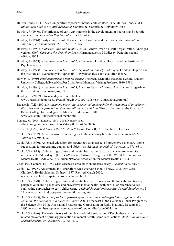- Blurton Jones, N. (1972). Comparative aspects of mother child contact. In N. Blurton Jones (Ed.), *Ethological Studies of Child Behaviour*. Cambridge: Cambridge University Press.
- Bowlby, J. (1940). The influence of early environment in the development of neurosis and neurotic character. *Int. Journal of Psychoanalysis*, XXI, 1–25.
- Bowlby, J. (1944). Forty-four juvenile thieves: their characters and their home life. *International Journal of Psychoanalysis*, 25, 19–52, 107–127.
- Bowlby, J. (1951). *Maternal Care and Mental Health.* Geneva: World Health Organization. Abridged version, *Child Care and the Growth of Love*. Harmondsworth, Middlesex: Penguin, second edition, 1965.
- Bowlby, J. (1969). *Attachment and Loss. Vol 1, Attachment*. London: Hogarth and the Institute of Psychoanalysis.
- Bowlby, J. (1973). *Attachment and Loss. Vol 2, Separation, Anxiety and Anger*. London: Hogarth and the Institute of Psychoanalysis. Appendix II: Psychoanalysis and evolution theory.
- Bowlby, J. (1980). *Psychoanalysis as a natural science*. The Freud Memorial Inaugural Lecture. London: University College, delivered October 21, as Freud Memorial Visiting Professor 1980–1981.
- Bowlby, J. (1981). *Attachment and Loss. Vol 3, Loss: Sadness and Depression*. London: Hogarth and the Institute of Psychoanalysis, 371.
- Bowlby, R. (2007). Stress in daycare. Available at www.jbaassoc.demon.co.uk/watch/bowlby%2007%20stress%20in%20daycare.pdf
- Breazeale, T.E. (2001). *Attachment parenting: a practical approach for the reduction of attachment disorders and the promotion of emotionally secure children*. Thesis submitted to the faculty of Bethel College for the degree of Master of Education, 2001. www.visi.com/~jlb/thesis/attachment.html
- Bunting, M. (2004). London. July 8, 2004. Nursery tales. education.guardian.co.uk/schools/story/0,,1256424,00.html
- Calvin, J. (1559). *Institutes of the Christian Religion*. Book II, Ch.1, Section 8. Geneva.
- Cook, P.S. (1962). A two-year-old's mother goes to the maternity hospital. *New Zealand Medical Journal* 61, 605–608.
- Cook, P.S. (1970). Antenatal education for parenthood as an aspect of preventive psychiatry: some suggestions for programme content and objectives. *Medical Journal of Australia*, 1, 676–681.
- Cook, P.S. (1975). Childrearing, culture and mental health: the basic distrust syndrome and its influences. In Pilowsksy I. (Ed.), *Cultures in Collision*: Congress of the World Federation for Mental Health. Adelaide: Australian National Association for Mental Health (1973).
- Cook, P.S., Coombs, J. (1975). Obsolescence is obsolete in an inflated society. *The Australian*, May 6.
- Cook P.S. (1977). Attachment and separation: what everyone should know. Royal Far West Children's Health Scheme, Sydney, 1977. Revised March 2000. www.naturalchild.org/peter\_cook/attachment.html
- Cook, P.S. (1978). Childrearing, culture and mental health: exploring an ethological-evolutionary perspective in child psychiatry and preventive mental health, with particular reference to two contrasting approaches to early childrearing. *Medical Journal of Australia, Special Supplement,* 3– 14. www.naturalchild.org/peter\_cook/childrearing.html
- Cook, P.S. (1995), *Wear-out products, prosperity and environmental degradation: effects on the economy, the consumer and the environment.* A talk broadcast in the Ockham's Razor Program by the Science Unit of the Australian Broadcasting Corporation on Radio National, December 9, 1995. www.members.optusnet.com.au/pcook62/index\_files/page0004.htm
- Cook, P.S. (1996). The early history of the New Zealand Association of Psychotherapists and the related movement of primary prevention in mental health: some recollections. *Australian and New Zealand Journal of Psychiatry* 30, 405–409.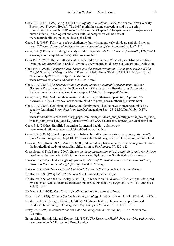- Cook, P.S. (1996, 1997). *Early Child Care: Infants and nations at risk*. Melbourne: News Weekly Books (now Freedom Books). The 1997 reprint has some corrections and a postscript, summarizing the next NICHD report to 36 months. Chapter 1, The species-normal experience for human infants—a biological and cross-cultural perspective can be seen at www.naturalchild.org/peter\_cook/ecc\_ch1.html
- Cook, P.S. (1998). Fifty years of psychotherapy, but what about early childcare and child mental health? *Forum: Journal of the New Zealand Association of Psychotherapists,* 4, 97–114.
- Cook, P.S. (1999a). Rethinking the early childcare agenda. *Medical Journal of Australia,* 170, 29–31. www.mja.com.au/public/issues/jan4/cook/cook.html
- Cook P.S. (1999b). Home truths absent in early childcare debate: We need parent-friendly options. Opinion. *The Australian,* March 24. Sydney. www.naturalchild.org/peter\_cook/home\_truths.html
- Cook P.S. (1999c). *Margaret Mead, Samoa and the sexual revolution—A summary-review of The Fateful Hoaxing of Margaret Mead* (Freeman, 1999). News Weekly, 2564, 12–14 (part 1) and News Weekly 2565, 17–18 (part 2). Melbourne. www.newsweekly.com.au/books/0813336937.html
- Cook, P.S. (2000). *The Tragedy of the Commons versus a sustainable environment.* Talk for *Ockham's Razor* recorded by the Science Unit of the Australian Broadcasting Corporation, Sydney. www.members.optusnet.com.au/pcook62/index\_files/page0006.htm
- Cook, P.S. (2002). Make mothers matter: childcare is just that—not parenting. Opinion. *The Australian*, July 24, Sydney. www.naturalchild.org/peter\_cook/mothering\_matters.html
- Cook, P.S. (2004). Feminism, childcare, and family mental health: have women been misled by equality feminism? *byronchild* (now *Kindred* magazine) Sept: 28–31.Mullumbimby, NSW, Australia.

www.kindredmedia.com.au/library\_page1/feminism\_childcare\_and\_family\_mental\_health\_have\_ women been misled by equality feminism/89/1 and www.naturalchild.org/peter cook/feminism.html

- Cook, P.S. (2005a). Simplified parenting for mental health—a framework www.naturalchild.org/peter\_cook/simplified\_parenting.html
- Cook, P.S. (2005b). Equal opportunity for babies: breastfeeding as a strategic priority. *Byronchild*  (now *Kindred* magazine), Sept 18–19. www.naturalchild.org/peter\_cook/equal\_opportunity.html
- Cooklin, A.R., Donath S.M., Amir, L. (2008). Maternal employment and breastfeeding: results from the longitudinal study of Australian children. *Acta Paediatrica*, 97, 620–623.
- Cross Sectoral Task Force (2006). *Report on the implementation of a 1:4 staff-child ratio for children aged under two years in NSW children's services*. Sydney: New South Wales Government.
- Darwin, C. (1859). *On the Origin of Species by Means of Natural Selection or the Preservation of Favoured Races in the Struggle for Life*. London: Murray.
- Darwin, C. (1874). *The Descent of Man and Selection in Relation to Sex*. London: Murray.
- De Beauvoir, S. [1949] 1953 *The Second Sex*. London: Jonathan Cape.
- De Beauvoir, S., as cited by Tooley (2002: 71), in his section, *De Beauvoir Cheated*, and referenced by Tooley as 'Quoted from de Beauvoir, pp.685-6, translated by Leighton, 1975, 111 (emphasis added), 550.'
- De Mause, L. (1974). *The History of Childhood*. London, Souvenir Press.
- Dicks, H.V. (1939). *Clinical Studies in Psychopathology*. London: Edward Arnold, (2nd ed., 1947), 1.
- Dmitrieva, J. Steinberg, L, Belsky, J. (2007). Child-care history, classroom composition and children's functioning in kindergarten. *Psychological Science*, 18, 12, 1032–1040.
- Duffy, M. (1995). Is childcare bad for kids? *The Independent Monthly*, 88, 36–42. Melbourne, Australia.
- Eaton, S.B., Shostak, M., and Konner, M. (1988). *The Stone-Age Health Program: Diet and exercise as nature intended*. Harper and Row: London.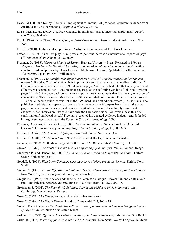- Evans, M.D.R., and Kelley, J. (2001). Employment for mothers of pre-school children: evidence from Australia and 23 other nations. *People and Place*, 9, 28–40.
- Evans, M.D.R., and Kelley, J. (2002). Changes in public attitudes to maternal employment. *People and Place*, 10, 42–57.
- Fox, I. (1996). *Being There: The benefits of a stay-at-home parent*. Barron's Educational Service: New York.
- Fox, J.J. (2000). Testimonial supporting an Australian Honours award for Derek Freeman.
- Fraser, A. (2007). It's child's play: ABC posts a 75 per cent increase as international expansion pays off. *The Australian,* Aug 28, 21. Sydney.
- Freeman, D. (1983). *Margaret Mead and Samoa*. Harvard University Press. Reissued in 1996 as *Margaret Mead and the Heretic: The making and unmaking of an anthropological myth.* with a new foreword and preface by Derek Freeman. Melbourne: Penguin; (published for the launch of *The Heretic*, a play by David Williamson.
- Freeman, D. (1999). *The Fateful Hoaxing of Margaret Mead: A historical analysis of her Samoan research.* Boulder, Colo. Westview. It is important to note that, whereas the hardback edition of this book was published earlier in 1999, it was the *paperback*, published later that same year—and effectively a second edition—that Freeman regarded as the definitive version of this book. Within pages 141–146, the paperback contains two important new paragraphs that total nearly one page of new material. These describe Mead's own 1931 account that corroborated Freeman's conclusions. This final clinching evidence was not in the 1999 hardback first edition, where p.148 is blank. The publisher used this blank space to accommodate the new material. Apart from this, all the other page numbers remain the same, and nowhere is attention drawn to these highly significant changes. Most libraries are likely to have only the hardback first edition, which lacks this final confirmation from Mead herself. Freeman presented his updated evidence in detail, and defended his argument against critics, in the Forum in *Current Anthropology*, 2000.
- Freeman, D., Orans, M., and Cote, J. (2000). Was coming of age in Samoa based on "A fateful hoaxing?" Forum on theory in anthropology. *Current Anthropology*, 41, 609–623.
- Friedan, B. (1963). *The Feminine Mystique*. New York: W.W. Norton and Co.
- Friedan, B. (1981). *The Second Stage*. New York: Summit Books, Simon and Schuster.
- Galletly, C. (2008). Motherhood is good for the brain. *The Weekend Australian* July 5–6, 15.
- Glover, E. (1960). *The Roots of Crime*: *selected papers on psychoanalysis*, Vol. 2. London: Imago.
- Gluckman P., and Hanson, M. (2006). *Mismatch: why our world no longer fits our bodies*. Oxford: Oxford University Press.
- Goodall, J. (1994). *With Love: Ten heartwarming stories of chimpanzees in the wild.* Zurich: North-South.
- Gordon, T. (1970). *Parent Effectiveness Training: The tested new way to raise responsible children*. New York: Wyden. www.gordontraining.com/store.html
- Graglia F.C. (1975). Sex, society and the female dilemma: a dialogue between Simone de Beauvoir and Betty Friedan. *Saturday Review*, June 14, 18. Cited from Tooley, 2002: 76.
- Greenspan S. (2001). *The Four-thirds Solution: Solving the childcare crisis in America today.* Cambridge, Massachusetts: Perseus.
- Greer G. (1972). *The Female Eunuch.* New York: Bantam Books.
- Greer G. (1999). *The Whole Woman*. London: Transworld, 2–3, 260, 415.
- Greven, P. (1991). *Spare the Child: The religious roots of punishment and the psychological impact of Physical Abuse*. New York: Alfred Knopf.
- Gribben, T. (1979). *Pyjamas Don't Matter (or what your baby really needs)*. Melbourne: Sun Books.
- Grille, R. (2005). *Parenting for a Peaceful World*. Alexandria, New South Wales: Longueville Media.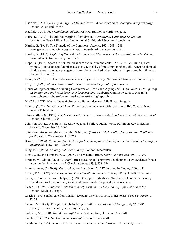- Hadfield, J.A. (1950). *Psychology and Mental Health: A contribution to developmental psychology*. London: Allen and Unwin.
- Hadfield, J.A. (1962). *Childhood and Adolescence*. Harmondsworth: Penguin.
- Haire, D. (1972). The cultural warping of childbirth. *International Childbirth Education Association News*, Milwaukee: International Childbirth Education Association.
- Hardin, G. (1968). The Tragedy of the Commons. *Science*, 162, 1243–1248. www.garretthardinsociety.org/articles/art\_tragedy\_of\_the\_commons.html
- Hardin, G. (1972). *Exploring New Ethics for Survival: The voyage of the spaceship Beagle*. Viking Press. Also Baltimore: Penguin, 1972.
- Hope, D. (1998). Spare the non-maternal care and nurture the child. *The Australian*, June 4, 1998. Sydney. (Ten years ago feminists accused Jay Belsky of inducing "mother guilt" when he claimed childcare could damage youngsters. Here, Belsky replied when Deborah Hope asked him if he had changed his mind.)
- Horin, A. (2007). Taskforce advice on child-care rejected. Sydney. *The Sydney Morning Herald*, Jan 1, p.3.
- Hrdy, S. (1999). *Mother Nature: Natural selection and the female of the species*.
- House of Representatives Standing Committee on Health and Ageing (2007). *The Best Start: report of the inquiry into the health benefits of breastfeeding*. Canberra. Commonwealth of Australia. www.aph.gov.au/house/committee/haa/breastfeeding/report.htm
- Huff, D. (1973). *How to Lie with Statistics*. Harmondsworth, Middlesex: Penguin.
- Hunt, J. (2001). *The Natural Child: Parenting from the heart*. Gabriola Island, BC, Canada: New Society Publishers
- Illingworth, R.S. (1957). *The Normal Child: Some problems of the first five years and their treatment*. London: Churchill, 234.
- Johnston, D.J. (2004). Statistics, Knowledge and Policy. OECD World Forum on Key Indicators. Palermo, November 12, 2004.
- Joint Commission on Mental Health of Children. (1969). *Crisis in Child Mental Health: Challenge for the 1970s.* Washington, DC: 264.
- Karen, R. (1994). *Becoming Attached: Unfolding the mystery of the infant-mother bond and its impact on later life.* New York: Warner.
- King, F.T. (1925). *Feeding and Care of Baby*. London: Macmillan.
- Kinsley, H., and Lambert, K.G. (2006). The Maternal Brain. *Scientific American,* 294, 72–79.
- Kramer, M., Aboud, M. et al. (2008). Breastfeeding and cognitive development: new evidence from a large, randomized trial. *Arch Gen Psychiatry*, 65[5], 578–584
- Krauthammer, C. (2000). *The Washington Post*, May 12, A47 (as cited by Tooley, 2000: 51).
- Lacey, T.A. (1962). Saint Augustine, *Encyclopedia Britannica*. Chicago: Encyclopedia Britannica.
- Lally, R., Torres, Y., and Phelps, P. (1994). Caring for Infants and Toddlers in Groups: Necessary considerations for emotional, social and cognitive development. *Zero to Three*.
- Leach, P. (1994). *Children First: What society must do—and is not doing—for children today*. London: Michael Joseph.
- Leach, P. (1997). Infant care from infants' viewpoint: the views of some professionals. *Early Dev Parent,* 6, 47–58.
- Leunig, M. (1995). Thoughts of a baby lying in childcare. Cartoon in *The Age*, July 25, 1995. users.cyberone.com.au/myers/leunig-baby.jpg
- Liddiard, M. (1928). *The Mothercraft Manual* (6th edition). London: Churchill.
- Liedloff, J. (1975). *The Continuum Concept*. London: Duckworth.
- Leighton, J. (1975). *Simone de Beauvoir on Woman*. London: Associated University Press.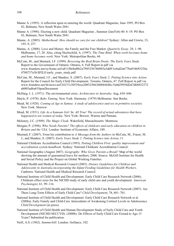- Manne A. (1995). A reflection upon re-entering the world. Quadrant Magazine, June 1995, PO Box 82, Balmain, New South Wales 2041.
- Manne A. (1996). Electing a new child. Quadrant Magazine , Summer (Jan/Feb) 40: 8–19. PO Box 82, Balmain, New South Wales 2041.
- Manne, A. (2005). *Motherhood: How should we care for our children?* Sydney: Allen and Unwin, 33, 195–9, 257.
- Manne, A. (2008). Love and Money: the Family and the Free Market. *Quarterly Essay*. 29, 1–90. Melbourne, 17, 20. Also, citing Hochschild, A. (1997). *The Time Bind: When work becomes home and home becomes work*. New York: Metropolitan Books, 44.
- McCain, M., and Mustard, J.F. (1999). *Reversing the Real Brain Drain: The Early Years Study.* Report to the Government of Ontario: Ontario, 6. Full Report in pdf via www.founders.net/ey/home.nsf/a811f0e8afbb2a7985256786003a3dd9/1e4ad2a677be034685256a 4700737a3b/\$FILE/early\_years\_study.pdf
- McCain, M., Mustard, J.F., and Shanker, S. (2007). *Early Years Study 2: Putting Science into Action.* Report for the Council for Early Child Development. Toronto, Ontario, 47. Full Report in pdf via www.founders.net/fn/news.nsf/24157c30539cee20852566360044448c/5e0d29958d2d7d04852572 ab005ad6a6!OpenDocument
- McHarg, I. L. (1971). The environmental crisis. *Architecture in Australia.* Aug, 638–646.
- Mayle, P. (1978). *Baby Taming*. New York: Harmony. (1979) Melbourne: Sun Books.
- Mead, M. (1928). *Coming of Age in Samoa: A study of adolescence and sex in primitive societies.* New York: Morrow.
- Mead, M. (1931). *Life As a Samoan Girl*. In: *All True! The record of actual adventures that have happened to ten women of today*. New York: Brewer, Warren and Putnam.
- Moloney, J.C. (1949). *The Magic Cloak*. Wakefield, Massachusetts: Montrose.
- Morgan, P. (1996). *Who Needs Parents? The effects of childcare and early education on children in Britain and the USA.* London: Institute of Economic Affairs, 109.
- Mustard, F. (2007). From his contribution to *A Message from the Authors* in McCain, M., Fraser, M. J., and Shanker, S. (2007). *Early Years Study 2: Putting Science into Action*, 11.
- National Childcare Accreditation Council (1993). *Putting Children First: quality improvement and accreditation system handbook.* Sydney: National Childcare Accreditation Council.
- National Geographic (August 2007). *Geography: Who Gives Parents a Break?* Map of the world showing the amount of guaranteed leave for mothers, 2006. Source: McGill Institute for Health and Social Policy and the Project on Global Working Families.
- National Health and Medical Research Council (2003). *Dietary Guidelines for Children and Adolescents in Australia incorporating the Infant Feeding Guidelines for Health Workers.* Canberra: National Health and Medical Research Council.
- National Institute of Child Health and Development: Early Child Care Research Network (2006). Childcare effect sizes for the NICHD study of early child care and youth development*. American Psychologist,* 61, 99–116.
- National Institute of Child Health and Development: Early Child Care Research Network (2007). Are There Long-Term Effects of Early Child Care? *Child Development*, 78, 681–701.
- National Institute of Child Health and Development: Early Child Care Research Network et al. (2008a). Early Family and Child-Care Antecedents of Awakening Cortisol Levels in Adolescence. *Child Development* (in press).
- National Institute of Child Health and Human Development Study of Early Child Care and Youth Development (NICHD SECCYD). (2008b). Do Effects of Early Child Care Extend to Age 15 Years? Submitted for publication.
- Neill, A.S. (1962). *Summerhill*. London: Gollancz, 102.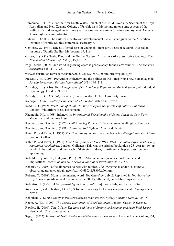- Nurcombe, B. (1971). For the New South Wales Branch of the Child Psychiatry Section of the Royal Australian and New Zealand College of Psychiatrists. Memorandum on some aspects of the welfare of children aged under three years whose mothers are in full-time employment. *Medical Journal of Australia,* 446–448.
- Nyland, B. (2003). The child-care centre as a developmental niche. Paper given to the Australian Institute of Family Studies conference, February 8.
- Ochiltree, G. (1994). Effects of child care on young children: forty years of research. Australian Institute of Family Studies, Melbourne, 69, 116.
- Olssen, E. (1981). Truby King and the Plunket Society. An analysis of a prescriptive ideology. *The New Zealand Journal of History*, 15(1), 1–23.
- Pagel, Mark. (2008). Our world is growing apart as people adapt to their environment. *The Weekend Australian* Feb 16–17, 23.
- www.theaustralian.news.com.au/story/0,,23221327-7583,00.html?from=public\_rss
- Prescott, J.W. (2005). Prevention or therapy and the politics of trust: Inspiring a new human agenda. *Psychotherapy and Politics International,* 3(3), 194–211.
- Partridge, E.J. (1936). *The Management of Early Infancy.* Paper to the Medical Society of Individual Psychology, London. Nov 12.
- Partridge, E.J. (1937). *Baby's Point of View*. London: Oxford University Press.
- Ramage, I. (1967). *Battle for the Free Mind*. London: Allen and Unwin.
- Read, G.D. (1942). *Revelation of childbirth: the principles and practice of natural childbirth*. London: Whitefriars Press, Heinemann.
- Rheingold, H.L. (1968). Infancy. In: *International Encyclopedia of Social Sciences*. New York: Macmillan and the Free Press.
- Ritchie, J., and Ritchie, J. (1970). *Child-rearing Patterns in New Zealand*. Wellington: Reed. 48.
- Ritchie, J., and Ritchie, J. (1981). *Spare the Rod.* Sydney: Allen and Unwin.
- Ritter, P., and Ritter, J. (1959). *The Free Family: a creative experiment in self-regulation for children*. London: Gollancz.
- Ritter, P., and Ritter, J. (1975). *Free Family and Feedback 1949–1974: a creative experiment in selfregulation for children*. London: Gollancz. (This was the original book, plus a 25–year follow-up in which the authors, and then each of their six children, contributes a chapter, describe their upbringing.
- Rob, M., Reynolds, I., Finlayson, P.F. (1990). Adolescent marijuana use: risk factors and implications. *Australian and New Zealand Journal of Psychiatry*, 24, 47–56.
- Roberts, Y. (2005). Official: babies do best with mother. *The Observer*, (London) October 2. observer.guardian.co.uk/uk\_news/story/0,6903,1583072,00.html
- Roberts, Y. (2008). Mum is the missing word. *The Guardian*, July 2. Reprinted in *The Australian*, July 3. www.guardian.co.uk/commentisfree/2008/jul/02/familyandrelationships.women
- Robertson, J. (1953). *A two-year-old goes to hospital* [film]. For details, see Karen, 1994.
- Robertson, J., and Robertson, J. (1973) Substitute mothering for the unaccompanied child. *Nursing Times,* Nov 29.
- Robotham, J. (2008). Study shows stress affects brain growth. *Sydney Morning Herald*, Feb 18.
- Room, A. (Ed.) (1999). *The Cassell Dictionary of Word Histories*. London: Cassell Reference.
- Rowley, H. (2006). *Tête-à-Tête: The lives and loves of Simone de Beauvoir and Jean-Paul Sartre*. New York: Chatto and Windus.
- Sage, L. (2002). *Moments of Truth: Twelve twentieth-century women writers.* London: Harper Collins, 154, 160.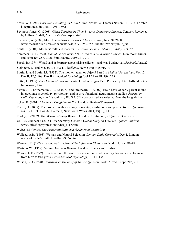- Sears, W. (1991). *Christian Parenting and Child Care*. Nashville: Thomas Nelson. 116–7. (The table is reproduced in Cook, 1996, 189.)
- Seymour-Jones, C. (2008). *Glued Together by Their Lives: A Dangerous Liaison*. Century. Reviewed by Gillian Tindall, *Literary Review*, April, 4–5.
- Shanahan, A. (2008) More than a drink after work. *The Australian*, June 28, 2008. www.theaustralian.news.com.au/story/0,,23932280-7583,00.html?from=public\_rss
- Smith, J. (2004). Mothers' milk and markets. *Australian Feminist Studies*, 19(45), 369–379.
- Sommers, C.H. (1994). *Who Stole Feminism? How women have betrayed women*. New York: Simon and Schuster, 257. Cited from Manne, 2005:33, 321.
- Spock, B. (1974). What I said in February about raising children—and what I did not say. *Redbook*, June, 22.
- Steinberg, L., and Meyer, R. (1995). *Childhood*. New York: McGraw-Hill.
- Suttie, I., and Suttie, I.J. (1932). The mother: agent or object? Part I in *Medical Psychology*, Vol 12, Part II, 12;7-108. Part II in *Medical Psychology* Vol 12 Part III: 199–233.
- Suttie, I. (1935). *The Origins of Love and Hate*. London: Kegan Paul. Preface by J.A. Hadfield in 4th Impression, 1948.
- Swain, J.E., Lorberbaum, J.P., Kose, S., and Strathearn, L. (2007). Brain basis of early parent-infant interactions: psychology, physiology, and in vivo functional neuroimaging studies. *Journal of Child Psychology and Psychiatry*, 48, 287. (The words cited are selected from the long abstract.)
- Sykes, B. (2001). *The Seven Daughters of Eve*. London: Bantam/Transworld.
- Theile, D. (2005). The problem with sociology: morality, anti-biology and perspectivism. *Quadrant*, 49(10);11, PO Box 82, Balmain, New South Wales 2041, 49[10], 11.
- Tooley, J. (2002). *The Miseducation of Women*. London: Continuum, 71 (see de Beauvoir).
- UNICEF/Innocenti (2005). UN Secretary-General: *Global Study on Violence Against Children*. www.unicef.org/protection/index\_3717.html
- Weber, M. (1905). *The Protestant Ethic and the Spirit of Capitalism.*
- Wallace, A.R. (1893). Woman and Natural Selection. *London Daily Chronicle*, Dec 4. London. www.wku.edu/~smithch/wallace/S736.htm
- Watson, J.B. (1928). *Psychological Care of the Infant and Child.* New York: Norton, 81–82.
- Watts, A.W. (1958). *Nature, Man and Woman.* London: Thames and Hudson.
- Werner, E.E. (1972). Infants around the world: cross-cultural studies of psychomotor development from birth to two years. *Cross-Cultural Psychology*, 3, 111–134.
- Wilson, E.O. (1998). *Consilience: The unity of knowledge*. New York: Alfred Knopf, 203, 211.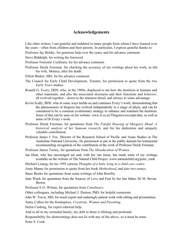## **Acknowledgements**

Like other writers, I am grateful and indebted to many people from whom I have learned over the years—often from children and their parents. In particular, I express grateful thanks to:

Professor Jay Belsky, for generous help over the years, and his advance comment.

Steve Biddulph, for writing the foreword.

Professor Forrester Cockburn, for his advance comment.

- Professor Derek Freeman, for checking the accuracy of my writings about his work, as did his wife, Monica, after his death.
- Elliott Barker, MD, for his advance comment.
- The Council for Early Child Development, Toronto, for permission to quote from the two *Early Years* studies.
- Ronald G. Every, DDS, who, in the 1960s, displayed to me how the dentition in humans and other mammals, and also the associated structures and their functions and *behavior*, all evolved together—down to the minutest detail, and always to some advantage.
- Kevin Scally, BDS, who in some ways builds on and continues Every's work, demonstrating that the phenomenon of thegosis has evolved independently in a range of phyla, and can be considered to be a common evolutionary strategy to enhance and maintain the dentition. Some of this can be seen on his website: www.8.co.nz/Thegotics/excerpts.htm, as well as some of Dr Every's work.
- Professor Derek Freeman, for quotations from *The Fateful Hoaxing of Margaret Mead: A historical analysis of her Samoan research*, and for his dedication and uniquely valuable contribution.
- Professor James J. Fox, Director of the Research School of Pacific and Asian Studies at The Australian National University, for permission to put in the public domain his testimonial recommending recognition of the contribution of the work of Professor Derek Freeman.

Professor James Tooley, for quotations from *The Miseducation of Women.*

- Jan Hunt, who has encouraged me and, with her son Jason, has made some of my writings available on the website of The Natural Child Project. www.naturalchild.org/peter\_cook
- Michael Leunig, for his 1995 cartoon *Thoughts of a baby lying in a child care centre.*
- Anne Manne for permission to quote from her book *Motherhood*, and also two essays.
- Basic Books for quotations from some writings of John Bowlby.
- June Ward, for quotations from the Sources of Love and Fear by her late father, Dr M. Bevan-Brown.

Professor E.O. Wilson, for quotations from *Consilience.* 

Other colleagues, including Michael J. Denton, PhD, for helpful comments.

John W. Travis, MD, for much expert and enduringly patient work with editing and presentation.

Jenny Cullen for the frontispiece, *Creativity, Women and Parenting.*

Helen Cushing, for expert editorial help.

And to all in my extended family; my debt to them is lifelong and profound.

Responsibility for shortcomings does not lie with any of the above, so it must be mine.

Peter S. Cook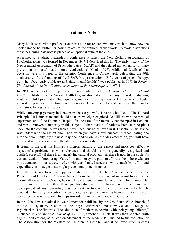# **Author's Note**

Many books start with a preface or author's note for readers who may wish to know how the book came to be written, or how it relates to the author's earlier work. To avoid distractions at the beginning, this note is placed as an optional extra at the end.

As a medical student, I attended a conference at which the New Zealand Association of Psychotherapists was formed in December 1947. I described this in "The early history of the New Zealand Association of Psychotherapists (NZAP) and the related movement for primary prevention in mental health: some recollections" (Cook, 1996). Additional details of that occasion were in a paper to the Reunion Conference in Christchurch, celebrating the 50th anniversary of the founding of the NZAP. My presentation, "Fifty years of psychotherapy, but what about early childcare and child mental health?" was published in 1998 in *Forum: The Journal of the New Zealand Association of Psychotherapists,* 4, 97–114.

In 1951, while working in pediatrics, I read John Bowlby's *Maternal Care and Mental Health*, published by the World Health Organization; it confirmed my interest in studying adult and child psychiatry. Subsequently, many clinical experiences led me to a particular interest in primary prevention. For this reason I have tried to write in ways that can be understood by a general reader.

While studying psychiatry in London in the early 1950s, I heard what I call "The Hilliard Principle." It is important and should be more widely recognized. Dr Hilliard was the medical superintendent of the Fountain Hospital for the care of the mentally handicapped in London, and was a renowned authority in this subject. Rehabilitation of patients from such hospitals back into the community was then a novel idea, but he believed in it. Essentially, his advice was: "Start with the easiest one. Then, when you have shown success in rehabilitating one into the community, try the next easy one, and so on. As the idea catches on, you will have more and more successes, and the idea will become established."

It seems to me that this Hilliard Principle, starting at the easiest and most cost-effective aspect of a problem, has wide relevance and should be more generally recognized and applied, especially if there is an underlying cultural problem—as there is now in our society's current 'denial' of mothering. Vast effort and money are put into efforts to help those who are most damaged in our society—often with very limited success—while much less effort and expenditure in strategic areas might prevent many such troubles.

Dr Elliott Barker took this approach when he formed The Canadian Society for the Prevention of Cruelty to Children. As deputy medical superintendent in an institution for the "criminally insane" in Canada, he once knew a hundred murderers by their first names. But he became convinced that their psychopathy, and the fundamental defect in their development of true empathy, was resistant to treatment, and often irremediable. He concluded that early prevention, by encouraging empathic parenting from birth, was the most cost-effective way forward. His steps toward this are outlined above in Chapter 12.

In the 1970s I was involved in two Memoranda published by the New South Wales branch of the Child Psychiatry Section of the Royal Australian and New Zealand College of Psychiatrists. The first was "The admission of mothers to hospital with their young children," published in *The Medical Journal of Australia*, October 3, 1970. It was then adopted, with slight modifications, as a Position Statement of the RANZCP. This led to the formation of The Association for the Welfare of Children in Hospital, and it achieved much success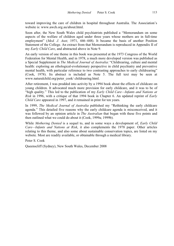toward improving the care of children in hospital throughout Australia. The Association's website is: www.awch.org.au/about.html.

Soon after, the New South Wales child psychiatrists published a "Memorandum on some aspects of the welfare of children aged under three years whose mothers are in full-time employment" (*Med. J. Aust,* 1971, 446–448). It became the basis of another Position Statement of the College. An extract from that Memorandum is reproduced in Appendix II of my *Early Child Care*, and abstracted above in Note 9.

An early version of one theme in this book was presented at the 1973 Congress of the World Federation for Mental Health, and in 1978, a much more developed version was published as a Special Supplement in *The Medical Journal of Australia*: "Childrearing, culture and mental health: exploring an ethological-evolutionary perspective in child psychiatry and preventive mental health, with particular reference to two contrasting approaches to early childrearing" (Cook, 1978). Its abstract is included as Note 5. The full text may be seen at www.naturalchild.org/peter\_cook/ childrearing.html.

After retirement, I was prodded into activity by a 1994 book about the effects of childcare on young children. It advocated much more provision for early childcare, and it was to be of "high quality." This led to the publication of my *Early Child Care—Infants and Nations at Risk* in 1996, with a critique of that 1994 book in Chapter 6. An updated reprint of *Early Child Care* appeared in 1997, and it remained in print for ten years.

In 1999, *The Medical Journal of Australia* published my "Rethinking the early childcare agenda." This detailed five reasons why the early childcare agenda is misconceived, and it was followed by an opinion article in *The Australian* that began with these five points and then outlined what we could do about it (Cook, 1999a; 1999b).

While *Mothering Denied* is a sequel to, and in some ways a development of, *Early Child Care—Infants and Nations at Risk*, it also complements the 1978 paper. Other articles relating to this theme, and also some about sustainable conservation topics, are listed on my website. Most are readily available, or obtainable through a medical library.

Peter S. Cook

Queenscliff (Sydney), New South Wales, December 2008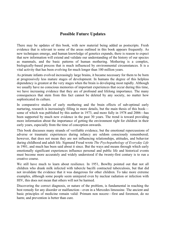# **Possible Future Updates**

There may be updates of this book, with new material being added as postscripts. Fresh evidence that is relevant to some of the areas outlined in this book appears frequently. As new techniques emerge, and human knowledge of genetics expands, there is reason to expect that new information will extend and validate our understanding of the history of our species as mammals, and the basic patterns of human mothering. Mothering is a complex, biologically-based process that is much influenced by environmental circumstances. It is a vital activity that has been evolving for much longer than 100 million years.

As primate infants evolved increasingly large brains, it became necessary for them to be born at progressively less mature stages of development. In humans the degree of this helpless dependency is greatest at the very stages when the brain is developing most rapidly. Although we usually have no conscious memories of important experiences that occur during this time, we have increasing evidence that they are of profound and lifelong importance. The many consequences that stem from this fact cannot be deleted by any society, no matter how sophisticated its culture.

In comparative studies of early mothering and the brain effects of sub-optimal early nurturing, research is increasingly filling in more details, but the main thesis of this book some of which was published by this author in 1973, and more fully in 1978 and 2006—has been supported by much new evidence in the past 30 years. The trend is toward providing more information about the importance of getting the environment right for children in their early years, especially from the time of conception onwards.

This book discusses many strands of verifiable evidence, but the emotional repercussions of adverse or traumatic experiences during infancy are seldom consciously remembered; however, that does not mean they are not influencing relationships, attitudes, and behavior during childhood and adult life. Sigmund Freud wrote *The Psychopathology of Everyday Life* in 1901, and much has been said about it since. But the ways and means through which early emotionally significant experiences influence personal and public life and historical events must become more accurately and widely understood if the twenty-first century is to run a creative course.

We still have much to learn about resilience. In 1951, Bowlby pointed out that not all children who drank milk infected with tubercle bacilli contracted tuberculosis, but that did not invalidate the evidence that it was dangerous for other children. To take more extreme examples, although some people seem uninjured even by nuclear radiation or infection with HIV, this does not mean that others will not be harmed.

Discovering the correct diagnosis, or nature of the problem, is fundamental in reaching the best remedy for any disorder or malfunction—even in a Mercedes limousine. The ancient and basic principles of medicine remain valid: Primum non nocere—first and foremost, do no harm; and prevention is better than cure.